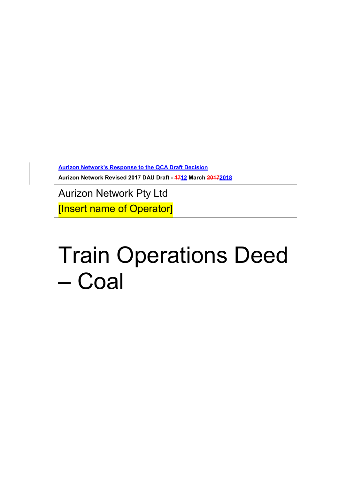**Aurizon Network's Response to the QCA Draft Decision**

**Aurizon Network Revised 2017 DAU Draft - 1712 March 20172018**

Aurizon Network Pty Ltd

[Insert name of Operator]

# Train Operations Deed – Coal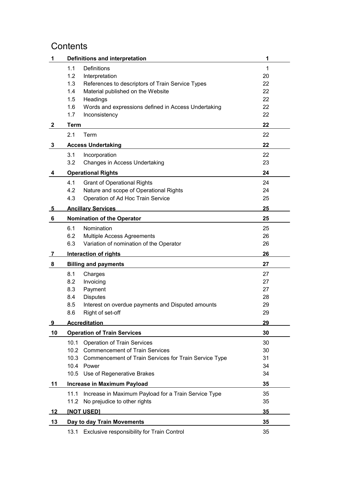# **Contents**

| 1            | Definitions and interpretation                                | 1        |
|--------------|---------------------------------------------------------------|----------|
|              | 1.1<br>Definitions                                            | 1        |
|              | 1.2<br>Interpretation                                         | 20       |
|              | 1.3<br>References to descriptors of Train Service Types       | 22       |
|              | 1.4<br>Material published on the Website                      | 22       |
|              | 1.5<br>Headings                                               | 22       |
|              | 1.6<br>Words and expressions defined in Access Undertaking    | 22       |
|              | 1.7<br>Inconsistency                                          | 22       |
| $\mathbf{2}$ | <b>Term</b>                                                   | 22       |
|              | 2.1<br>Term                                                   | 22       |
| 3            | <b>Access Undertaking</b>                                     | 22       |
|              | 3.1<br>Incorporation                                          | 22       |
|              | 3.2<br>Changes in Access Undertaking                          | 23       |
| 4            | <b>Operational Rights</b>                                     | 24       |
|              | 4.1<br><b>Grant of Operational Rights</b>                     | 24       |
|              | 4.2<br>Nature and scope of Operational Rights                 | 24       |
|              | Operation of Ad Hoc Train Service<br>4.3                      | 25       |
| <u>5</u>     | <b>Ancillary Services</b>                                     | 25       |
| 6            | <b>Nomination of the Operator</b>                             | 25       |
|              | 6.1<br>Nomination                                             | 25       |
|              | 6.2<br>Multiple Access Agreements                             | 26       |
|              | Variation of nomination of the Operator<br>6.3                | 26       |
| 7            | <b>Interaction of rights</b>                                  | 26       |
| 8            | <b>Billing and payments</b>                                   | 27       |
|              | 8.1                                                           | 27       |
|              | Charges<br>8.2<br>Invoicing                                   | 27       |
|              | Payment<br>8.3                                                | 27       |
|              | <b>Disputes</b><br>8.4                                        | 28       |
|              | 8.5<br>Interest on overdue payments and Disputed amounts      | 29       |
|              | Right of set-off<br>8.6                                       | 29       |
| 9            | <b>Accreditation</b>                                          | 29       |
| 10           | <b>Operation of Train Services</b>                            | 30       |
|              |                                                               |          |
|              | 10.1<br><b>Operation of Train Services</b>                    | 30       |
|              | 10.2<br><b>Commencement of Train Services</b>                 | 30       |
|              | 10.3<br>Commencement of Train Services for Train Service Type | 31       |
|              | 10.4<br>Power<br>10.5 Use of Regenerative Brakes              | 34<br>34 |
|              |                                                               |          |
| 11           | Increase in Maximum Payload                                   | 35       |
|              | Increase in Maximum Payload for a Train Service Type<br>11.1  | 35       |
|              | 11.2 No prejudice to other rights                             | 35       |
| 12           | <b>INOT USEDI</b>                                             | 35       |
| 13           | Day to day Train Movements                                    | 35       |
|              | 13.1 Exclusive responsibility for Train Control               | 35       |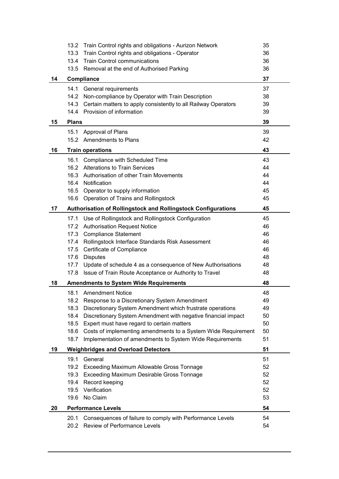|    | 13.2         | Train Control rights and obligations - Aurizon Network         | 35 |
|----|--------------|----------------------------------------------------------------|----|
|    | 13.3         | Train Control rights and obligations - Operator                | 36 |
|    | 13.4         | <b>Train Control communications</b>                            | 36 |
|    |              | 13.5 Removal at the end of Authorised Parking                  | 36 |
| 14 |              | Compliance                                                     |    |
|    | 14.1         | General requirements                                           | 37 |
|    |              | 14.2 Non-compliance by Operator with Train Description         | 38 |
|    | 14.3         | Certain matters to apply consistently to all Railway Operators | 39 |
|    |              | 14.4 Provision of information                                  | 39 |
| 15 | <b>Plans</b> |                                                                | 39 |
|    | 15.1         | Approval of Plans                                              | 39 |
|    |              | 15.2 Amendments to Plans                                       | 42 |
| 16 |              | <b>Train operations</b>                                        | 43 |
|    | 16.1         | Compliance with Scheduled Time                                 | 43 |
|    |              | 16.2 Alterations to Train Services                             | 44 |
|    |              | 16.3 Authorisation of other Train Movements                    | 44 |
|    |              | 16.4 Notification                                              | 44 |
|    |              | 16.5 Operator to supply information                            | 45 |
|    | 16.6         | Operation of Trains and Rollingstock                           | 45 |
| 17 |              | Authorisation of Rollingstock and Rollingstock Configurations  | 45 |
|    | 17.1         | Use of Rollingstock and Rollingstock Configuration             | 45 |
|    |              | 17.2 Authorisation Request Notice                              | 46 |
|    | 17.3         | <b>Compliance Statement</b>                                    | 46 |
|    | 17.4         | Rollingstock Interface Standards Risk Assessment               | 46 |
|    |              | 17.5 Certificate of Compliance                                 | 46 |
|    | 17.6         | <b>Disputes</b>                                                | 48 |
|    | 17.7         | Update of schedule 4 as a consequence of New Authorisations    | 48 |
|    | 17.8         | Issue of Train Route Acceptance or Authority to Travel         | 48 |
| 18 |              | <b>Amendments to System Wide Requirements</b>                  | 48 |
|    | 18.1         | <b>Amendment Notice</b>                                        | 48 |
|    | 18.2         | Response to a Discretionary System Amendment                   | 49 |
|    | 18.3         | Discretionary System Amendment which frustrate operations      | 49 |
|    | 18.4         | Discretionary System Amendment with negative financial impact  | 50 |
|    | 18.5         | Expert must have regard to certain matters                     | 50 |
|    | 18.6         | Costs of implementing amendments to a System Wide Requirement  | 50 |
|    | 18.7         | Implementation of amendments to System Wide Requirements       | 51 |
| 19 |              | <b>Weighbridges and Overload Detectors</b>                     | 51 |
|    | 19.1         | General                                                        | 51 |
|    | 19.2         | Exceeding Maximum Allowable Gross Tonnage                      | 52 |
|    | 19.3         | <b>Exceeding Maximum Desirable Gross Tonnage</b>               | 52 |
|    | 19.4         | Record keeping                                                 | 52 |
|    | 19.5         | Verification                                                   | 52 |
|    | 19.6         | No Claim                                                       | 53 |
| 20 |              | <b>Performance Levels</b>                                      | 54 |
|    | 20.1         | Consequences of failure to comply with Performance Levels      | 54 |
|    | 20.2         | Review of Performance Levels                                   | 54 |
|    |              |                                                                |    |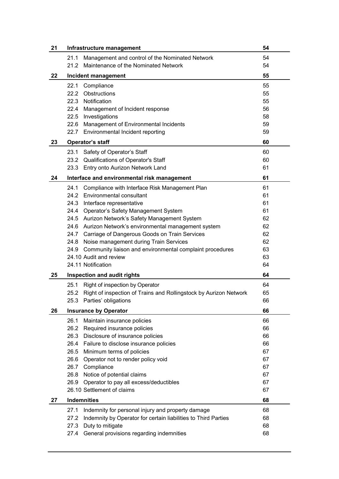| 21 | Infrastructure management                                                 | 54 |
|----|---------------------------------------------------------------------------|----|
|    | Management and control of the Nominated Network<br>21.1                   | 54 |
|    | Maintenance of the Nominated Network<br>21.2                              | 54 |
| 22 | Incident management                                                       | 55 |
|    | 22.1<br>Compliance                                                        | 55 |
|    | 22.2<br>Obstructions                                                      | 55 |
|    | Notification<br>22.3                                                      | 55 |
|    | 22.4<br>Management of Incident response                                   | 56 |
|    | 22.5 Investigations                                                       | 58 |
|    | 22.6<br>Management of Environmental Incidents                             | 59 |
|    | 22.7<br>Environmental Incident reporting                                  | 59 |
| 23 | <b>Operator's staff</b>                                                   | 60 |
|    | Safety of Operator's Staff<br>23.1                                        | 60 |
|    | 23.2 Qualifications of Operator's Staff                                   | 60 |
|    | Entry onto Aurizon Network Land<br>23.3                                   | 61 |
| 24 | Interface and environmental risk management                               | 61 |
|    | 24.1<br>Compliance with Interface Risk Management Plan                    | 61 |
|    | 24.2 Environmental consultant                                             | 61 |
|    | 24.3 Interface representative                                             | 61 |
|    | 24.4<br>Operator's Safety Management System                               | 61 |
|    | 24.5 Aurizon Network's Safety Management System                           | 62 |
|    | 24.6 Aurizon Network's environmental management system                    | 62 |
|    | 24.7 Carriage of Dangerous Goods on Train Services                        | 62 |
|    | 24.8 Noise management during Train Services                               | 62 |
|    | 24.9 Community liaison and environmental complaint procedures             | 63 |
|    | 24.10 Audit and review                                                    | 63 |
|    | 24.11 Notification                                                        | 64 |
| 25 | Inspection and audit rights                                               | 64 |
|    | Right of inspection by Operator<br>25.1                                   | 64 |
|    | Right of inspection of Trains and Rollingstock by Aurizon Network<br>25.2 | 65 |
|    | 25.3 Parties' obligations                                                 | 66 |
| 26 | <b>Insurance by Operator</b>                                              | 66 |
|    | 26.1<br>Maintain insurance policies                                       | 66 |
|    | 26.2 Required insurance policies                                          | 66 |
|    | 26.3 Disclosure of insurance policies                                     | 66 |
|    | 26.4<br>Failure to disclose insurance policies                            | 66 |
|    | 26.5<br>Minimum terms of policies                                         | 67 |
|    | 26.6<br>Operator not to render policy void                                | 67 |
|    | 26.7<br>Compliance                                                        | 67 |
|    | Notice of potential claims<br>26.8                                        | 67 |
|    | 26.9<br>Operator to pay all excess/deductibles                            | 67 |
|    | 26.10 Settlement of claims                                                | 67 |
| 27 | <b>Indemnities</b>                                                        | 68 |
|    | Indemnity for personal injury and property damage<br>27.1                 | 68 |
|    | 27.2<br>Indemnity by Operator for certain liabilities to Third Parties    | 68 |
|    | Duty to mitigate<br>27.3                                                  | 68 |
|    | 27.4 General provisions regarding indemnities                             | 68 |
|    |                                                                           |    |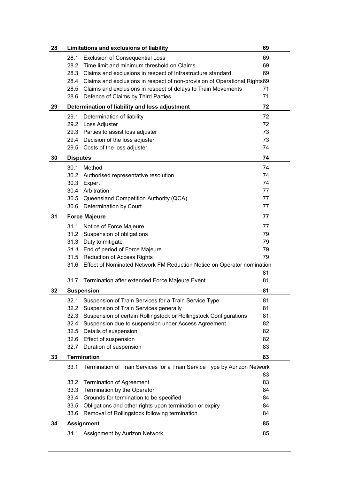| 28 | Limitations and exclusions of liability                                           | 69 |
|----|-----------------------------------------------------------------------------------|----|
|    | <b>Exclusion of Consequential Loss</b><br>28.1                                    | 69 |
|    | Time limit and minimum threshold on Claims<br>28.2                                | 69 |
|    | 28.3<br>Claims and exclusions in respect of Infrastructure standard               | 69 |
|    | Claims and exclusions in respect of non-provision of Operational Rights69<br>28.4 |    |
|    | 28.5 Claims and exclusions in respect of delays to Train Movements                | 71 |
|    | Defence of Claims by Third Parties<br>28.6                                        | 71 |
| 29 | Determination of liability and loss adjustment                                    | 72 |
|    | 29.1<br>Determination of liability                                                | 72 |
|    | 29.2<br>Loss Adjuster                                                             | 72 |
|    | 29.3<br>Parties to assist loss adjuster                                           | 73 |
|    | 29.4 Decision of the loss adjuster                                                | 73 |
|    | 29.5 Costs of the loss adjuster                                                   | 74 |
| 30 | <b>Disputes</b>                                                                   | 74 |
|    | 30.1<br>Method                                                                    | 74 |
|    | Authorised representative resolution<br>30.2                                      | 74 |
|    | 30.3<br>Expert                                                                    | 74 |
|    | Arbitration<br>30.4                                                               | 77 |
|    | 30.5<br>Queensland Competition Authority (QCA)                                    | 77 |
|    | Determination by Court<br>30.6                                                    | 77 |
| 31 | <b>Force Majeure</b>                                                              | 77 |
|    | Notice of Force Majeure<br>31.1                                                   | 77 |
|    | Suspension of obligations<br>31.2                                                 | 79 |
|    | 31.3 Duty to mitigate                                                             | 79 |
|    | 31.4 End of period of Force Majeure                                               | 79 |
|    | 31.5 Reduction of Access Rights                                                   | 79 |
|    | Effect of Nominated Network FM Reduction Notice on Operator nomination<br>31.6    |    |
|    |                                                                                   | 81 |
|    | 31.7 Termination after extended Force Majeure Event                               | 81 |
| 32 | <b>Suspension</b>                                                                 | 81 |
|    | 32.1 Suspension of Train Services for a Train Service Type                        | 81 |
|    | Suspension of Train Services generally<br>32.2                                    | 81 |
|    | Suspension of certain Rollingstock or Rollingstock Configurations<br>32.3         | 81 |
|    | Suspension due to suspension under Access Agreement<br>32.4                       | 82 |
|    | 32.5<br>Details of suspension                                                     | 82 |
|    | <b>Effect of suspension</b><br>32.6                                               | 82 |
|    | Duration of suspension<br>32.7                                                    | 83 |
| 33 | <b>Termination</b>                                                                | 83 |
|    | Termination of Train Services for a Train Service Type by Aurizon Network<br>33.1 |    |
|    |                                                                                   | 83 |
|    | 33.2<br><b>Termination of Agreement</b>                                           | 83 |
|    | Termination by the Operator<br>33.3                                               | 84 |
|    | Grounds for termination to be specified<br>33.4                                   | 84 |
|    | Obligations and other rights upon termination or expiry<br>33.5                   | 84 |
|    | Removal of Rollingstock following termination<br>33.6                             | 84 |
| 34 | <b>Assignment</b>                                                                 | 85 |
|    | 34.1 Assignment by Aurizon Network                                                | 85 |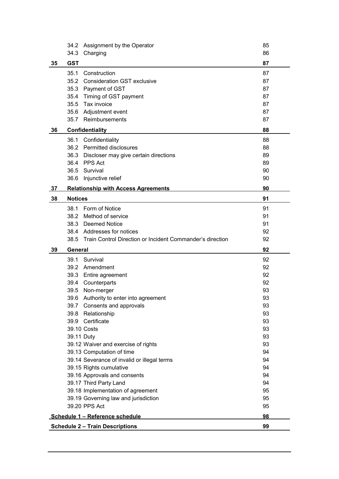|     | 34.2            | Assignment by the Operator                                                | 85       |
|-----|-----------------|---------------------------------------------------------------------------|----------|
|     | 34.3            | Charging                                                                  | 86       |
| 35  | <b>GST</b>      |                                                                           | 87       |
|     | 35.1            | Construction                                                              | 87       |
|     |                 | 35.2 Consideration GST exclusive                                          | 87       |
|     |                 | 35.3 Payment of GST                                                       | 87       |
|     | 35.4            | Timing of GST payment                                                     | 87       |
|     |                 | 35.5 Tax invoice                                                          | 87       |
|     |                 | 35.6 Adjustment event                                                     | 87       |
|     |                 | 35.7 Reimbursements                                                       | 87       |
| 36  | Confidentiality |                                                                           | 88       |
|     | 36.1            | Confidentiality                                                           | 88       |
|     |                 | 36.2 Permitted disclosures                                                | 88       |
|     |                 | 36.3 Discloser may give certain directions                                | 89       |
|     |                 | 36.4 PPS Act                                                              | 89       |
|     |                 | 36.5 Survival                                                             | 90       |
|     | 36.6            | Injunctive relief                                                         | 90       |
| -37 |                 | <b>Relationship with Access Agreements</b>                                | 90       |
| 38  | <b>Notices</b>  |                                                                           | 91       |
|     | 38.1            | Form of Notice                                                            | 91       |
|     |                 | 38.2 Method of service                                                    | 91       |
|     |                 | 38.3 Deemed Notice                                                        | 91       |
|     |                 | 38.4 Addresses for notices                                                | 92       |
|     | 38.5            | Train Control Direction or Incident Commander's direction                 | 92       |
|     |                 |                                                                           |          |
| 39  | General         |                                                                           | 92       |
|     | 39.1            | Survival                                                                  | 92       |
|     |                 | 39.2 Amendment                                                            | 92       |
|     |                 | 39.3 Entire agreement                                                     | 92       |
|     |                 | 39.4 Counterparts                                                         | 92       |
|     | 39.5            | Non-merger                                                                | 93       |
|     |                 | 39.6 Authority to enter into agreement                                    | 93       |
|     |                 | 39.7 Consents and approvals                                               | 93       |
|     |                 | 39.8 Relationship                                                         | 93       |
|     |                 | 39.9 Certificate                                                          | 93       |
|     |                 | 39.10 Costs                                                               | 93       |
|     |                 | 39.11 Duty                                                                | 93       |
|     |                 | 39.12 Waiver and exercise of rights                                       | 93       |
|     |                 | 39.13 Computation of time                                                 | 94       |
|     |                 | 39.14 Severance of invalid or illegal terms                               | 94       |
|     |                 | 39.15 Rights cumulative                                                   | 94       |
|     |                 | 39.16 Approvals and consents                                              | 94       |
|     |                 | 39.17 Third Party Land                                                    | 94       |
|     |                 | 39.18 Implementation of agreement                                         | 95       |
|     |                 | 39.19 Governing law and jurisdiction                                      | 95       |
|     |                 | 39.20 PPS Act                                                             | 95       |
|     |                 | Schedule 1 - Reference schedule<br><b>Schedule 2 - Train Descriptions</b> | 98<br>99 |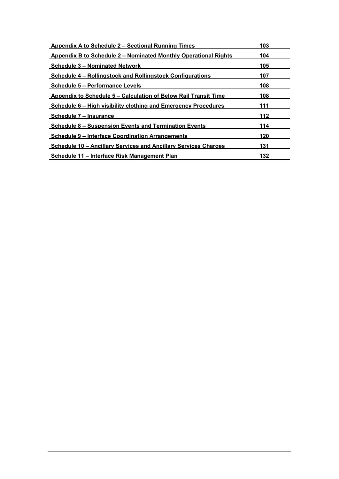| <b>Appendix A to Schedule 2 - Sectional Running Times</b>              | 103 |
|------------------------------------------------------------------------|-----|
| <b>Appendix B to Schedule 2 - Nominated Monthly Operational Rights</b> | 104 |
| <b>Schedule 3 – Nominated Network</b>                                  | 105 |
| <b>Schedule 4 - Rollingstock and Rollingstock Configurations</b>       | 107 |
| <b>Schedule 5 – Performance Levels</b>                                 | 108 |
| <b>Appendix to Schedule 5 – Calculation of Below Rail Transit Time</b> | 108 |
| <b>Schedule 6 – High visibility clothing and Emergency Procedures</b>  | 111 |
| Schedule 7 – Insurance                                                 | 112 |
| <b>Schedule 8 – Suspension Events and Termination Events</b>           | 114 |
| <b>Schedule 9 - Interface Coordination Arrangements</b>                | 120 |
| <b>Schedule 10 - Ancillary Services and Ancillary Services Charges</b> | 131 |
| Schedule 11 – Interface Risk Management Plan                           | 132 |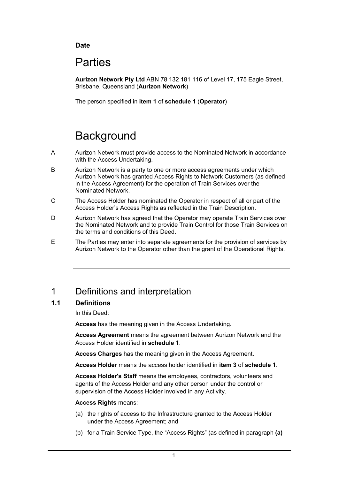#### **Date**

# Parties

**Aurizon Network Pty Ltd** ABN 78 132 181 116 of Level 17, 175 Eagle Street, Brisbane, Queensland (**Aurizon Network**)

The person specified in **item 1** of **schedule 1** (**Operator**)

# **Background**

- A Aurizon Network must provide access to the Nominated Network in accordance with the Access Undertaking.
- B Aurizon Network is a party to one or more access agreements under which Aurizon Network has granted Access Rights to Network Customers (as defined in the Access Agreement) for the operation of Train Services over the Nominated Network.
- C The Access Holder has nominated the Operator in respect of all or part of the Access Holder's Access Rights as reflected in the Train Description.
- D Aurizon Network has agreed that the Operator may operate Train Services over the Nominated Network and to provide Train Control for those Train Services on the terms and conditions of this Deed.
- E The Parties may enter into separate agreements for the provision of services by Aurizon Network to the Operator other than the grant of the Operational Rights.

# 1 Definitions and interpretation

#### **1.1 Definitions**

In this Deed:

**Access** has the meaning given in the Access Undertaking.

**Access Agreement** means the agreement between Aurizon Network and the Access Holder identified in **schedule 1**.

**Access Charges** has the meaning given in the Access Agreement.

**Access Holder** means the access holder identified in **item 3** of **schedule 1**.

**Access Holder's Staff** means the employees, contractors, volunteers and agents of the Access Holder and any other person under the control or supervision of the Access Holder involved in any Activity.

#### **Access Rights** means:

- (a) the rights of access to the Infrastructure granted to the Access Holder under the Access Agreement; and
- (b) for a Train Service Type, the "Access Rights" (as defined in paragraph **(a)**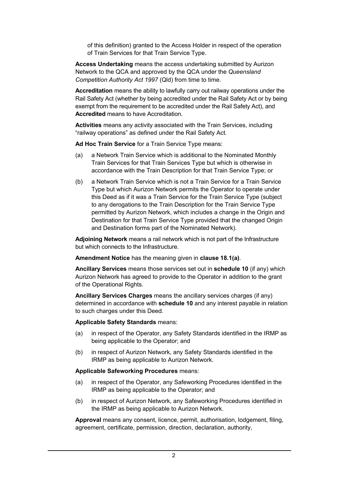of this definition) granted to the Access Holder in respect of the operation of Train Services for that Train Service Type.

**Access Undertaking** means the access undertaking submitted by Aurizon Network to the QCA and approved by the QCA under the *Queensland Competition Authority Act 1997* (Qld) from time to time.

**Accreditation** means the ability to lawfully carry out railway operations under the Rail Safety Act (whether by being accredited under the Rail Safety Act or by being exempt from the requirement to be accredited under the Rail Safety Act), and **Accredited** means to have Accreditation.

**Activities** means any activity associated with the Train Services, including "railway operations" as defined under the Rail Safety Act.

**Ad Hoc Train Service** for a Train Service Type means:

- (a) a Network Train Service which is additional to the Nominated Monthly Train Services for that Train Services Type but which is otherwise in accordance with the Train Description for that Train Service Type; or
- (b) a Network Train Service which is not a Train Service for a Train Service Type but which Aurizon Network permits the Operator to operate under this Deed as if it was a Train Service for the Train Service Type (subject to any derogations to the Train Description for the Train Service Type permitted by Aurizon Network, which includes a change in the Origin and Destination for that Train Service Type provided that the changed Origin and Destination forms part of the Nominated Network).

**Adjoining Network** means a rail network which is not part of the Infrastructure but which connects to the Infrastructure.

**Amendment Notice** has the meaning given in **clause 18.1(a)**.

**Ancillary Services** means those services set out in **schedule 10** (if any) which Aurizon Network has agreed to provide to the Operator in addition to the grant of the Operational Rights.

**Ancillary Services Charges** means the ancillary services charges (if any) determined in accordance with **schedule 10** and any interest payable in relation to such charges under this Deed.

**Applicable Safety Standards** means:

- (a) in respect of the Operator, any Safety Standards identified in the IRMP as being applicable to the Operator; and
- (b) in respect of Aurizon Network, any Safety Standards identified in the IRMP as being applicable to Aurizon Network.

#### **Applicable Safeworking Procedures** means:

- (a) in respect of the Operator, any Safeworking Procedures identified in the IRMP as being applicable to the Operator; and
- (b) in respect of Aurizon Network, any Safeworking Procedures identified in the IRMP as being applicable to Aurizon Network.

**Approval** means any consent, licence, permit, authorisation, lodgement, filing, agreement, certificate, permission, direction, declaration, authority,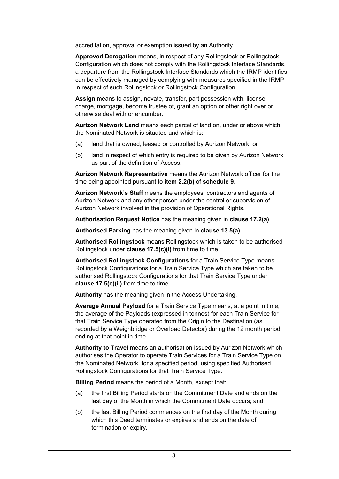accreditation, approval or exemption issued by an Authority.

**Approved Derogation** means, in respect of any Rollingstock or Rollingstock Configuration which does not comply with the Rollingstock Interface Standards, a departure from the Rollingstock Interface Standards which the IRMP identifies can be effectively managed by complying with measures specified in the IRMP in respect of such Rollingstock or Rollingstock Configuration.

**Assign** means to assign, novate, transfer, part possession with, license, charge, mortgage, become trustee of, grant an option or other right over or otherwise deal with or encumber.

**Aurizon Network Land** means each parcel of land on, under or above which the Nominated Network is situated and which is:

- (a) land that is owned, leased or controlled by Aurizon Network; or
- (b) land in respect of which entry is required to be given by Aurizon Network as part of the definition of Access.

**Aurizon Network Representative** means the Aurizon Network officer for the time being appointed pursuant to **item 2.2(b)** of **schedule 9**.

**Aurizon Network's Staff** means the employees, contractors and agents of Aurizon Network and any other person under the control or supervision of Aurizon Network involved in the provision of Operational Rights.

**Authorisation Request Notice** has the meaning given in **clause 17.2(a)**.

**Authorised Parking** has the meaning given in **clause 13.5(a)**.

**Authorised Rollingstock** means Rollingstock which is taken to be authorised Rollingstock under **clause 17.5(c)(i)** from time to time.

**Authorised Rollingstock Configurations** for a Train Service Type means Rollingstock Configurations for a Train Service Type which are taken to be authorised Rollingstock Configurations for that Train Service Type under **clause 17.5(c)(ii)** from time to time.

**Authority** has the meaning given in the Access Undertaking.

**Average Annual Payload** for a Train Service Type means, at a point in time, the average of the Payloads (expressed in tonnes) for each Train Service for that Train Service Type operated from the Origin to the Destination (as recorded by a Weighbridge or Overload Detector) during the 12 month period ending at that point in time.

**Authority to Travel** means an authorisation issued by Aurizon Network which authorises the Operator to operate Train Services for a Train Service Type on the Nominated Network, for a specified period, using specified Authorised Rollingstock Configurations for that Train Service Type.

**Billing Period** means the period of a Month, except that:

- (a) the first Billing Period starts on the Commitment Date and ends on the last day of the Month in which the Commitment Date occurs; and
- (b) the last Billing Period commences on the first day of the Month during which this Deed terminates or expires and ends on the date of termination or expiry.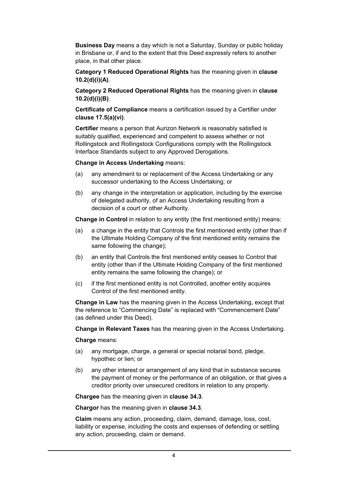**Business Day** means a day which is not a Saturday, Sunday or public holiday in Brisbane or, if and to the extent that this Deed expressly refers to another place, in that other place.

**Category 1 Reduced Operational Rights** has the meaning given in **clause 10.2(d)(i)(A)**.

**Category 2 Reduced Operational Rights** has the meaning given in **clause 10.2(d)(i)(B)**.

**Certificate of Compliance** means a certification issued by a Certifier under **clause 17.5(a)(vi)**.

**Certifier** means a person that Aurizon Network is reasonably satisfied is suitably qualified, experienced and competent to assess whether or not Rollingstock and Rollingstock Configurations comply with the Rollingstock Interface Standards subject to any Approved Derogations.

#### **Change in Access Undertaking** means:

- (a) any amendment to or replacement of the Access Undertaking or any successor undertaking to the Access Undertaking; or
- (b) any change in the interpretation or application, including by the exercise of delegated authority, of an Access Undertaking resulting from a decision of a court or other Authority.

**Change in Control** in relation to any entity (the first mentioned entity) means:

- (a) a change in the entity that Controls the first mentioned entity (other than if the Ultimate Holding Company of the first mentioned entity remains the same following the change);
- (b) an entity that Controls the first mentioned entity ceases to Control that entity (other than if the Ultimate Holding Company of the first mentioned entity remains the same following the change); or
- (c) if the first mentioned entity is not Controlled, another entity acquires Control of the first mentioned entity.

**Change in Law** has the meaning given in the Access Undertaking, except that the reference to "Commencing Date" is replaced with "Commencement Date" (as defined under this Deed).

**Change in Relevant Taxes** has the meaning given in the Access Undertaking.

#### **Charge** means:

- (a) any mortgage, charge, a general or special notarial bond, pledge, hypothec or lien; or
- (b) any other interest or arrangement of any kind that in substance secures the payment of money or the performance of an obligation, or that gives a creditor priority over unsecured creditors in relation to any property.

**Chargee** has the meaning given in **clause 34.3**.

**Chargor** has the meaning given in **clause 34.3**.

**Claim** means any action, proceeding, claim, demand, damage, loss, cost, liability or expense, including the costs and expenses of defending or settling any action, proceeding, claim or demand.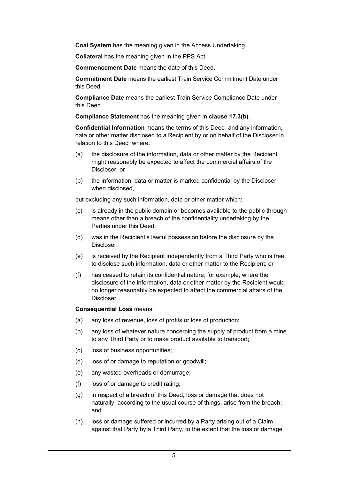**Coal System** has the meaning given in the Access Undertaking.

**Collateral** has the meaning given in the PPS Act.

**Commencement Date** means the date of this Deed.

**Commitment Date** means the earliest Train Service Commitment Date under this Deed.

**Compliance Date** means the earliest Train Service Compliance Date under this Deed.

**Compliance Statement** has the meaning given in **clause 17.3(b)**.

**Confidential Information** means the terms of this Deed and any information, data or other matter disclosed to a Recipient by or on behalf of the Discloser in relation to this Deed where:

- (a) the disclosure of the information, data or other matter by the Recipient might reasonably be expected to affect the commercial affairs of the Discloser; or
- (b) the information, data or matter is marked confidential by the Discloser when disclosed,

but excluding any such information, data or other matter which:

- (c) is already in the public domain or becomes available to the public through means other than a breach of the confidentiality undertaking by the Parties under this Deed;
- (d) was in the Recipient's lawful possession before the disclosure by the Discloser;
- (e) is received by the Recipient independently from a Third Party who is free to disclose such information, data or other matter to the Recipient; or
- (f) has ceased to retain its confidential nature, for example, where the disclosure of the information, data or other matter by the Recipient would no longer reasonably be expected to affect the commercial affairs of the Discloser.

**Consequential Loss** means:

- (a) any loss of revenue, loss of profits or loss of production;
- (b) any loss of whatever nature concerning the supply of product from a mine to any Third Party or to make product available to transport;
- (c) loss of business opportunities;
- (d) loss of or damage to reputation or goodwill;
- (e) any wasted overheads or demurrage;
- (f) loss of or damage to credit rating;
- (g) in respect of a breach of this Deed, loss or damage that does not naturally, according to the usual course of things, arise from the breach; and
- (h) loss or damage suffered or incurred by a Party arising out of a Claim against that Party by a Third Party, to the extent that the loss or damage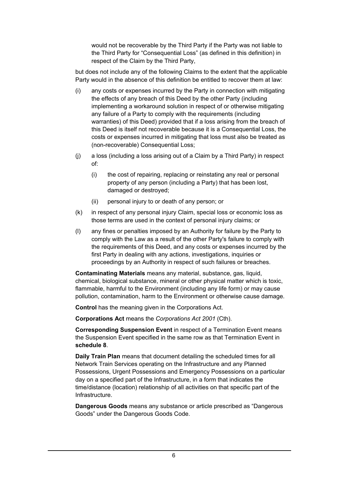would not be recoverable by the Third Party if the Party was not liable to the Third Party for "Consequential Loss" (as defined in this definition) in respect of the Claim by the Third Party,

but does not include any of the following Claims to the extent that the applicable Party would in the absence of this definition be entitled to recover them at law:

- (i) any costs or expenses incurred by the Party in connection with mitigating the effects of any breach of this Deed by the other Party (including implementing a workaround solution in respect of or otherwise mitigating any failure of a Party to comply with the requirements (including warranties) of this Deed) provided that if a loss arising from the breach of this Deed is itself not recoverable because it is a Consequential Loss, the costs or expenses incurred in mitigating that loss must also be treated as (non-recoverable) Consequential Loss;
- (j) a loss (including a loss arising out of a Claim by a Third Party) in respect of:
	- (i) the cost of repairing, replacing or reinstating any real or personal property of any person (including a Party) that has been lost, damaged or destroyed;
	- (ii) personal injury to or death of any person; or
- (k) in respect of any personal injury Claim, special loss or economic loss as those terms are used in the context of personal injury claims; or
- (l) any fines or penalties imposed by an Authority for failure by the Party to comply with the Law as a result of the other Party's failure to comply with the requirements of this Deed, and any costs or expenses incurred by the first Party in dealing with any actions, investigations, inquiries or proceedings by an Authority in respect of such failures or breaches.

**Contaminating Materials** means any material, substance, gas, liquid, chemical, biological substance, mineral or other physical matter which is toxic, flammable, harmful to the Environment (including any life form) or may cause pollution, contamination, harm to the Environment or otherwise cause damage.

**Control** has the meaning given in the Corporations Act.

**Corporations Act** means the *Corporations Act 2001* (Cth).

**Corresponding Suspension Event** in respect of a Termination Event means the Suspension Event specified in the same row as that Termination Event in **schedule 8**.

**Daily Train Plan** means that document detailing the scheduled times for all Network Train Services operating on the Infrastructure and any Planned Possessions, Urgent Possessions and Emergency Possessions on a particular day on a specified part of the Infrastructure, in a form that indicates the time/distance (location) relationship of all activities on that specific part of the Infrastructure.

**Dangerous Goods** means any substance or article prescribed as "Dangerous Goods" under the Dangerous Goods Code.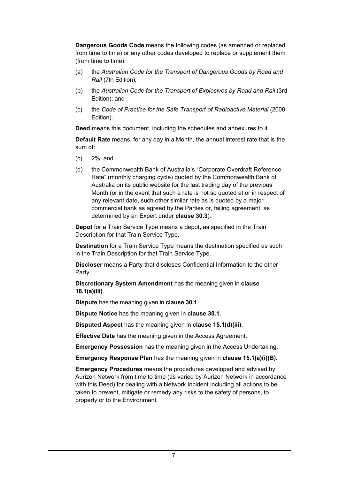**Dangerous Goods Code** means the following codes (as amended or replaced from time to time) or any other codes developed to replace or supplement them (from time to time):

- (a) the *Australian Code for the Transport of Dangerous Goods by Road and Rail* (7th Edition);
- (b) the *Australian Code for the Transport of Explosives by Road and Rail* (3rd Edition); and
- (c) the *Code of Practice for the Safe Transport of Radioactive Material* (2008 Edition).

**Deed** means this document, including the schedules and annexures to it.

**Default Rate** means, for any day in a Month, the annual interest rate that is the sum of:

- (c) 2%; and
- (d) the Commonwealth Bank of Australia's "Corporate Overdraft Reference Rate" (monthly charging cycle) quoted by the Commonwealth Bank of Australia on its public website for the last trading day of the previous Month (or in the event that such a rate is not so quoted at or in respect of any relevant date, such other similar rate as is quoted by a major commercial bank as agreed by the Parties or, failing agreement, as determined by an Expert under **clause 30.3**).

**Depot** for a Train Service Type means a depot, as specified in the Train Description for that Train Service Type.

**Destination** for a Train Service Type means the destination specified as such in the Train Description for that Train Service Type.

**Discloser** means a Party that discloses Confidential Information to the other Party.

**Discretionary System Amendment** has the meaning given in **clause 18.1(a)(iii)**.

**Dispute** has the meaning given in **clause 30.1**.

**Dispute Notice** has the meaning given in **clause 30.1**.

**Disputed Aspect** has the meaning given in **clause 15.1(d)(iii)**.

**Effective Date** has the meaning given in the Access Agreement.

**Emergency Possession** has the meaning given in the Access Undertaking.

**Emergency Response Plan** has the meaning given in **clause 15.1(a)(i)(B)**.

**Emergency Procedures** means the procedures developed and advised by Aurizon Network from time to time (as varied by Aurizon Network in accordance with this Deed) for dealing with a Network Incident including all actions to be taken to prevent, mitigate or remedy any risks to the safety of persons, to property or to the Environment.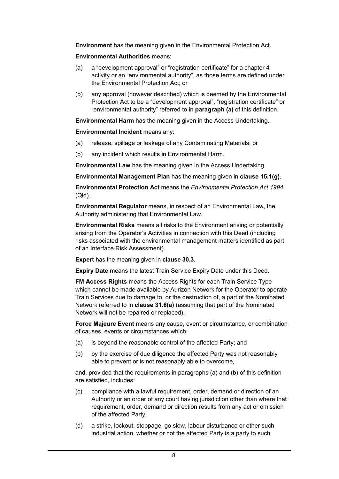**Environment** has the meaning given in the Environmental Protection Act.

**Environmental Authorities** means:

- (a) a "development approval" or "registration certificate" for a chapter 4 activity or an "environmental authority", as those terms are defined under the Environmental Protection Act; or
- (b) any approval (however described) which is deemed by the Environmental Protection Act to be a "development approval", "registration certificate" or "environmental authority" referred to in **paragraph (a)** of this definition.

**Environmental Harm** has the meaning given in the Access Undertaking.

**Environmental Incident** means any:

- (a) release, spillage or leakage of any Contaminating Materials; or
- (b) any incident which results in Environmental Harm.

**Environmental Law** has the meaning given in the Access Undertaking.

**Environmental Management Plan** has the meaning given in **clause 15.1(g)**.

**Environmental Protection Act** means the *Environmental Protection Act 1994* (Qld)*.*

**Environmental Regulator** means, in respect of an Environmental Law, the Authority administering that Environmental Law.

**Environmental Risks** means all risks to the Environment arising or potentially arising from the Operator's Activities in connection with this Deed (including risks associated with the environmental management matters identified as part of an Interface Risk Assessment).

**Expert** has the meaning given in **clause 30.3**.

**Expiry Date** means the latest Train Service Expiry Date under this Deed.

**FM Access Rights** means the Access Rights for each Train Service Type which cannot be made available by Aurizon Network for the Operator to operate Train Services due to damage to, or the destruction of, a part of the Nominated Network referred to in **clause 31.6(a)** (assuming that part of the Nominated Network will not be repaired or replaced).

**Force Majeure Event** means any cause, event or circumstance, or combination of causes, events or circumstances which:

- (a) is beyond the reasonable control of the affected Party; and
- (b) by the exercise of due diligence the affected Party was not reasonably able to prevent or is not reasonably able to overcome,

and, provided that the requirements in paragraphs (a) and (b) of this definition are satisfied, includes:

- (c) compliance with a lawful requirement, order, demand or direction of an Authority or an order of any court having jurisdiction other than where that requirement, order, demand or direction results from any act or omission of the affected Party;
- (d) a strike, lockout, stoppage, go slow, labour disturbance or other such industrial action, whether or not the affected Party is a party to such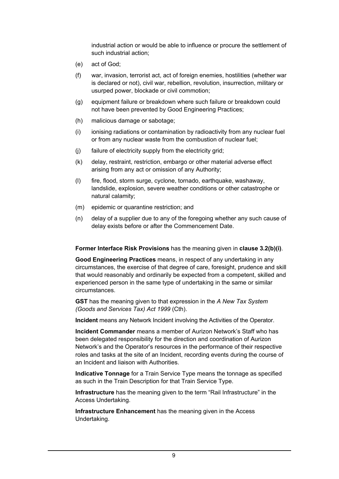industrial action or would be able to influence or procure the settlement of such industrial action;

- (e) act of God;
- (f) war, invasion, terrorist act, act of foreign enemies, hostilities (whether war is declared or not), civil war, rebellion, revolution, insurrection, military or usurped power, blockade or civil commotion;
- (g) equipment failure or breakdown where such failure or breakdown could not have been prevented by Good Engineering Practices;
- (h) malicious damage or sabotage;
- (i) ionising radiations or contamination by radioactivity from any nuclear fuel or from any nuclear waste from the combustion of nuclear fuel;
- (j) failure of electricity supply from the electricity grid;
- (k) delay, restraint, restriction, embargo or other material adverse effect arising from any act or omission of any Authority;
- (l) fire, flood, storm surge, cyclone, tornado, earthquake, washaway, landslide, explosion, severe weather conditions or other catastrophe or natural calamity;
- (m) epidemic or quarantine restriction; and
- (n) delay of a supplier due to any of the foregoing whether any such cause of delay exists before or after the Commencement Date.

#### **Former Interface Risk Provisions** has the meaning given in **clause 3.2(b)(i)**.

**Good Engineering Practices** means, in respect of any undertaking in any circumstances, the exercise of that degree of care, foresight, prudence and skill that would reasonably and ordinarily be expected from a competent, skilled and experienced person in the same type of undertaking in the same or similar circumstances.

**GST** has the meaning given to that expression in the *A New Tax System (Goods and Services Tax) Act 1999* (Cth).

**Incident** means any Network Incident involving the Activities of the Operator.

**Incident Commander** means a member of Aurizon Network's Staff who has been delegated responsibility for the direction and coordination of Aurizon Network's and the Operator's resources in the performance of their respective roles and tasks at the site of an Incident, recording events during the course of an Incident and liaison with Authorities.

**Indicative Tonnage** for a Train Service Type means the tonnage as specified as such in the Train Description for that Train Service Type.

**Infrastructure** has the meaning given to the term "Rail Infrastructure" in the Access Undertaking.

**Infrastructure Enhancement** has the meaning given in the Access Undertaking.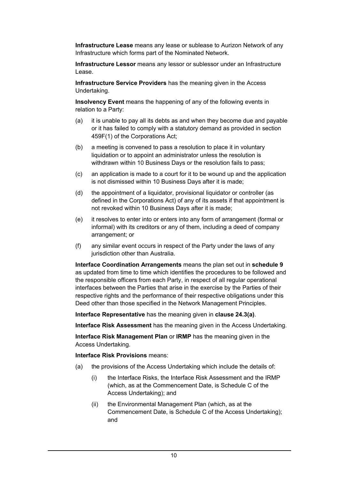**Infrastructure Lease** means any lease or sublease to Aurizon Network of any Infrastructure which forms part of the Nominated Network.

**Infrastructure Lessor** means any lessor or sublessor under an Infrastructure Lease.

**Infrastructure Service Providers** has the meaning given in the Access Undertaking.

**Insolvency Event** means the happening of any of the following events in relation to a Party:

- (a) it is unable to pay all its debts as and when they become due and payable or it has failed to comply with a statutory demand as provided in section 459F(1) of the Corporations Act;
- (b) a meeting is convened to pass a resolution to place it in voluntary liquidation or to appoint an administrator unless the resolution is withdrawn within 10 Business Days or the resolution fails to pass;
- (c) an application is made to a court for it to be wound up and the application is not dismissed within 10 Business Days after it is made;
- (d) the appointment of a liquidator, provisional liquidator or controller (as defined in the Corporations Act) of any of its assets if that appointment is not revoked within 10 Business Days after it is made;
- (e) it resolves to enter into or enters into any form of arrangement (formal or informal) with its creditors or any of them, including a deed of company arrangement; or
- (f) any similar event occurs in respect of the Party under the laws of any jurisdiction other than Australia.

**Interface Coordination Arrangements** means the plan set out in **schedule 9** as updated from time to time which identifies the procedures to be followed and the responsible officers from each Party, in respect of all regular operational interfaces between the Parties that arise in the exercise by the Parties of their respective rights and the performance of their respective obligations under this Deed other than those specified in the Network Management Principles.

**Interface Representative** has the meaning given in **clause 24.3(a)**.

**Interface Risk Assessment** has the meaning given in the Access Undertaking.

**Interface Risk Management Plan** or **IRMP** has the meaning given in the Access Undertaking.

**Interface Risk Provisions** means:

- (a) the provisions of the Access Undertaking which include the details of:
	- (i) the Interface Risks, the Interface Risk Assessment and the IRMP (which, as at the Commencement Date, is Schedule C of the Access Undertaking); and
	- (ii) the Environmental Management Plan (which, as at the Commencement Date, is Schedule C of the Access Undertaking); and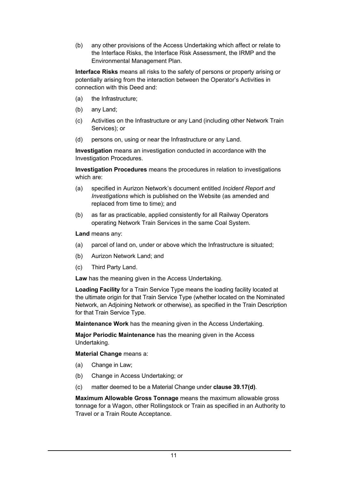(b) any other provisions of the Access Undertaking which affect or relate to the Interface Risks, the Interface Risk Assessment, the IRMP and the Environmental Management Plan.

**Interface Risks** means all risks to the safety of persons or property arising or potentially arising from the interaction between the Operator's Activities in connection with this Deed and:

- (a) the Infrastructure;
- (b) any Land;
- (c) Activities on the Infrastructure or any Land (including other Network Train Services); or
- (d) persons on, using or near the Infrastructure or any Land.

**Investigation** means an investigation conducted in accordance with the Investigation Procedures.

**Investigation Procedures** means the procedures in relation to investigations which are:

- (a) specified in Aurizon Network's document entitled *Incident Report and Investigations* which is published on the Website (as amended and replaced from time to time); and
- (b) as far as practicable, applied consistently for all Railway Operators operating Network Train Services in the same Coal System.

#### **Land** means any:

- (a) parcel of land on, under or above which the Infrastructure is situated;
- (b) Aurizon Network Land; and
- (c) Third Party Land.

**Law** has the meaning given in the Access Undertaking.

**Loading Facility** for a Train Service Type means the loading facility located at the ultimate origin for that Train Service Type (whether located on the Nominated Network, an Adjoining Network or otherwise), as specified in the Train Description for that Train Service Type.

**Maintenance Work** has the meaning given in the Access Undertaking.

**Major Periodic Maintenance** has the meaning given in the Access Undertaking.

**Material Change** means a:

- (a) Change in Law;
- (b) Change in Access Undertaking; or
- (c) matter deemed to be a Material Change under **clause 39.17(d)**.

**Maximum Allowable Gross Tonnage** means the maximum allowable gross tonnage for a Wagon, other Rollingstock or Train as specified in an Authority to Travel or a Train Route Acceptance.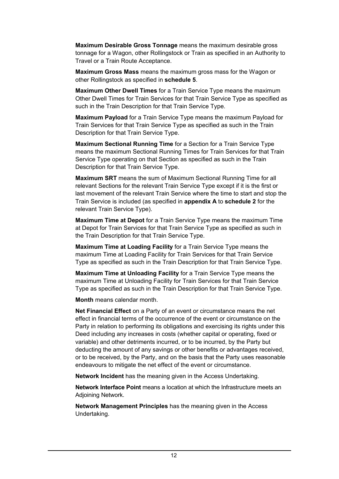**Maximum Desirable Gross Tonnage** means the maximum desirable gross tonnage for a Wagon, other Rollingstock or Train as specified in an Authority to Travel or a Train Route Acceptance.

**Maximum Gross Mass** means the maximum gross mass for the Wagon or other Rollingstock as specified in **schedule 5**.

**Maximum Other Dwell Times** for a Train Service Type means the maximum Other Dwell Times for Train Services for that Train Service Type as specified as such in the Train Description for that Train Service Type.

**Maximum Payload** for a Train Service Type means the maximum Payload for Train Services for that Train Service Type as specified as such in the Train Description for that Train Service Type.

**Maximum Sectional Running Time** for a Section for a Train Service Type means the maximum Sectional Running Times for Train Services for that Train Service Type operating on that Section as specified as such in the Train Description for that Train Service Type.

**Maximum SRT** means the sum of Maximum Sectional Running Time for all relevant Sections for the relevant Train Service Type except if it is the first or last movement of the relevant Train Service where the time to start and stop the Train Service is included (as specified in **appendix A** to **schedule 2** for the relevant Train Service Type).

**Maximum Time at Depot** for a Train Service Type means the maximum Time at Depot for Train Services for that Train Service Type as specified as such in the Train Description for that Train Service Type.

**Maximum Time at Loading Facility** for a Train Service Type means the maximum Time at Loading Facility for Train Services for that Train Service Type as specified as such in the Train Description for that Train Service Type.

**Maximum Time at Unloading Facility** for a Train Service Type means the maximum Time at Unloading Facility for Train Services for that Train Service Type as specified as such in the Train Description for that Train Service Type.

**Month** means calendar month.

**Net Financial Effect** on a Party of an event or circumstance means the net effect in financial terms of the occurrence of the event or circumstance on the Party in relation to performing its obligations and exercising its rights under this Deed including any increases in costs (whether capital or operating, fixed or variable) and other detriments incurred, or to be incurred, by the Party but deducting the amount of any savings or other benefits or advantages received, or to be received, by the Party, and on the basis that the Party uses reasonable endeavours to mitigate the net effect of the event or circumstance.

**Network Incident** has the meaning given in the Access Undertaking.

**Network Interface Point** means a location at which the Infrastructure meets an Adjoining Network.

**Network Management Principles** has the meaning given in the Access Undertaking.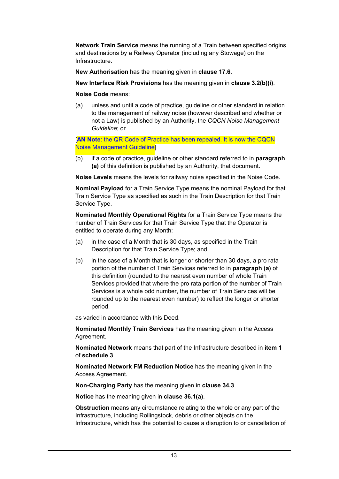**Network Train Service** means the running of a Train between specified origins and destinations by a Railway Operator (including any Stowage) on the Infrastructure.

**New Authorisation** has the meaning given in **clause 17.6**.

**New Interface Risk Provisions** has the meaning given in **clause 3.2(b)(i)**.

**Noise Code** means:

(a) unless and until a code of practice, guideline or other standard in relation to the management of railway noise (however described and whether or not a Law) is published by an Authority, the *CQCN Noise Management Guideline*; or

[**AN Note**: the QR Code of Practice has been repealed. It is now the CQCN Noise Management Guideline]

(b) if a code of practice, guideline or other standard referred to in **paragraph (a)** of this definition is published by an Authority, that document.

**Noise Levels** means the levels for railway noise specified in the Noise Code.

**Nominal Payload** for a Train Service Type means the nominal Payload for that Train Service Type as specified as such in the Train Description for that Train Service Type.

**Nominated Monthly Operational Rights** for a Train Service Type means the number of Train Services for that Train Service Type that the Operator is entitled to operate during any Month:

- (a) in the case of a Month that is 30 days, as specified in the Train Description for that Train Service Type; and
- (b) in the case of a Month that is longer or shorter than 30 days, a pro rata portion of the number of Train Services referred to in **paragraph (a)** of this definition (rounded to the nearest even number of whole Train Services provided that where the pro rata portion of the number of Train Services is a whole odd number, the number of Train Services will be rounded up to the nearest even number) to reflect the longer or shorter period,

as varied in accordance with this Deed.

**Nominated Monthly Train Services** has the meaning given in the Access Agreement.

**Nominated Network** means that part of the Infrastructure described in **item 1** of **schedule 3**.

**Nominated Network FM Reduction Notice** has the meaning given in the Access Agreement.

**Non-Charging Party** has the meaning given in **clause 34.3**.

**Notice** has the meaning given in **clause 36.1(a)**.

**Obstruction** means any circumstance relating to the whole or any part of the Infrastructure, including Rollingstock, debris or other objects on the Infrastructure, which has the potential to cause a disruption to or cancellation of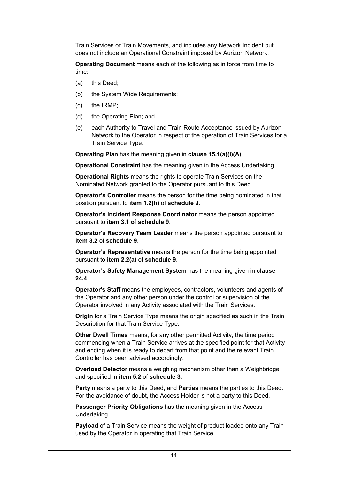Train Services or Train Movements, and includes any Network Incident but does not include an Operational Constraint imposed by Aurizon Network.

**Operating Document** means each of the following as in force from time to time:

- (a) this Deed;
- (b) the System Wide Requirements;
- (c) the IRMP;
- (d) the Operating Plan; and
- (e) each Authority to Travel and Train Route Acceptance issued by Aurizon Network to the Operator in respect of the operation of Train Services for a Train Service Type.

**Operating Plan** has the meaning given in **clause 15.1(a)(i)(A)**.

**Operational Constraint** has the meaning given in the Access Undertaking.

**Operational Rights** means the rights to operate Train Services on the Nominated Network granted to the Operator pursuant to this Deed.

**Operator's Controller** means the person for the time being nominated in that position pursuant to **item 1.2(h)** of **schedule 9**.

**Operator's Incident Response Coordinator** means the person appointed pursuant to **item 3.1 o**f **schedule 9**.

**Operator's Recovery Team Leader** means the person appointed pursuant to **item 3.2** of **schedule 9**.

**Operator's Representative** means the person for the time being appointed pursuant to **item 2.2(a)** of **schedule 9**.

**Operator's Safety Management System** has the meaning given in **clause 24.4**.

**Operator's Staff** means the employees, contractors, volunteers and agents of the Operator and any other person under the control or supervision of the Operator involved in any Activity associated with the Train Services.

**Origin** for a Train Service Type means the origin specified as such in the Train Description for that Train Service Type.

**Other Dwell Times** means, for any other permitted Activity, the time period commencing when a Train Service arrives at the specified point for that Activity and ending when it is ready to depart from that point and the relevant Train Controller has been advised accordingly.

**Overload Detector** means a weighing mechanism other than a Weighbridge and specified in **item 5.2** of **schedule 3**.

**Party** means a party to this Deed, and **Parties** means the parties to this Deed. For the avoidance of doubt, the Access Holder is not a party to this Deed.

**Passenger Priority Obligations** has the meaning given in the Access Undertaking.

**Payload** of a Train Service means the weight of product loaded onto any Train used by the Operator in operating that Train Service.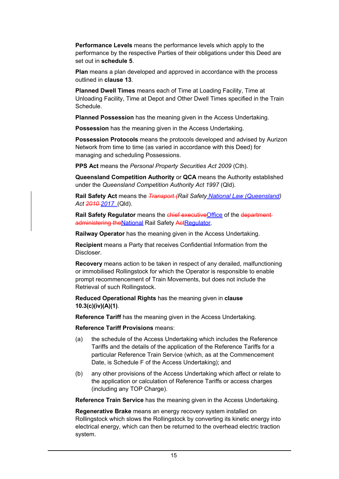**Performance Levels** means the performance levels which apply to the performance by the respective Parties of their obligations under this Deed are set out in **schedule 5**.

**Plan** means a plan developed and approved in accordance with the process outlined in **clause 13**.

**Planned Dwell Times** means each of Time at Loading Facility, Time at Unloading Facility, Time at Depot and Other Dwell Times specified in the Train Schedule.

**Planned Possession** has the meaning given in the Access Undertaking.

**Possession** has the meaning given in the Access Undertaking.

**Possession Protocols** means the protocols developed and advised by Aurizon Network from time to time (as varied in accordance with this Deed) for managing and scheduling Possessions.

**PPS Act** means the *Personal Property Securities Act 2009* (Cth).

**Queensland Competition Authority** or **QCA** means the Authority established under the *Queensland Competition Authority Act 1997* (Qld).

**Rail Safety Act** means the *Transport (Rail Safety National Law (Queensland) Act 2010 2017* (Qld).

**Rail Safety Regulator** means the chief executive Office of the department administering the National Rail Safety ActRegulator.

**Railway Operator** has the meaning given in the Access Undertaking.

**Recipient** means a Party that receives Confidential Information from the Discloser.

**Recovery** means action to be taken in respect of any derailed, malfunctioning or immobilised Rollingstock for which the Operator is responsible to enable prompt recommencement of Train Movements, but does not include the Retrieval of such Rollingstock.

**Reduced Operational Rights** has the meaning given in **clause 10.3(c)(iv)(A)(1)**.

**Reference Tariff** has the meaning given in the Access Undertaking.

**Reference Tariff Provisions** means:

- (a) the schedule of the Access Undertaking which includes the Reference Tariffs and the details of the application of the Reference Tariffs for a particular Reference Train Service (which, as at the Commencement Date, is Schedule F of the Access Undertaking); and
- (b) any other provisions of the Access Undertaking which affect or relate to the application or calculation of Reference Tariffs or access charges (including any TOP Charge).

**Reference Train Service** has the meaning given in the Access Undertaking.

**Regenerative Brake** means an energy recovery system installed on Rollingstock which slows the Rollingstock by converting its kinetic energy into electrical energy, which can then be returned to the overhead electric traction system.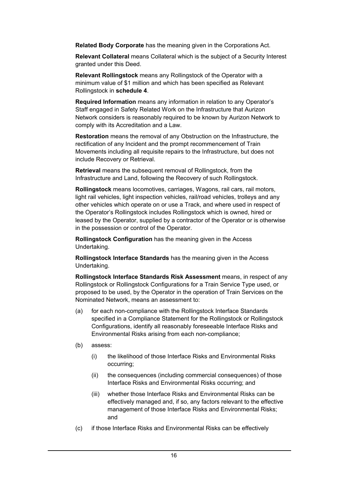**Related Body Corporate** has the meaning given in the Corporations Act.

**Relevant Collateral** means Collateral which is the subject of a Security Interest granted under this Deed.

**Relevant Rollingstock** means any Rollingstock of the Operator with a minimum value of \$1 million and which has been specified as Relevant Rollingstock in **schedule 4**.

**Required Information** means any information in relation to any Operator's Staff engaged in Safety Related Work on the Infrastructure that Aurizon Network considers is reasonably required to be known by Aurizon Network to comply with its Accreditation and a Law.

**Restoration** means the removal of any Obstruction on the Infrastructure, the rectification of any Incident and the prompt recommencement of Train Movements including all requisite repairs to the Infrastructure, but does not include Recovery or Retrieval.

**Retrieval** means the subsequent removal of Rollingstock, from the Infrastructure and Land, following the Recovery of such Rollingstock.

**Rollingstock** means locomotives, carriages, Wagons, rail cars, rail motors, light rail vehicles, light inspection vehicles, rail/road vehicles, trolleys and any other vehicles which operate on or use a Track, and where used in respect of the Operator's Rollingstock includes Rollingstock which is owned, hired or leased by the Operator, supplied by a contractor of the Operator or is otherwise in the possession or control of the Operator.

**Rollingstock Configuration** has the meaning given in the Access Undertaking.

**Rollingstock Interface Standards** has the meaning given in the Access Undertaking.

**Rollingstock Interface Standards Risk Assessment** means, in respect of any Rollingstock or Rollingstock Configurations for a Train Service Type used, or proposed to be used, by the Operator in the operation of Train Services on the Nominated Network, means an assessment to:

- (a) for each non-compliance with the Rollingstock Interface Standards specified in a Compliance Statement for the Rollingstock or Rollingstock Configurations, identify all reasonably foreseeable Interface Risks and Environmental Risks arising from each non-compliance;
- (b) assess:
	- (i) the likelihood of those Interface Risks and Environmental Risks occurring;
	- (ii) the consequences (including commercial consequences) of those Interface Risks and Environmental Risks occurring; and
	- (iii) whether those Interface Risks and Environmental Risks can be effectively managed and, if so, any factors relevant to the effective management of those Interface Risks and Environmental Risks; and
- (c) if those Interface Risks and Environmental Risks can be effectively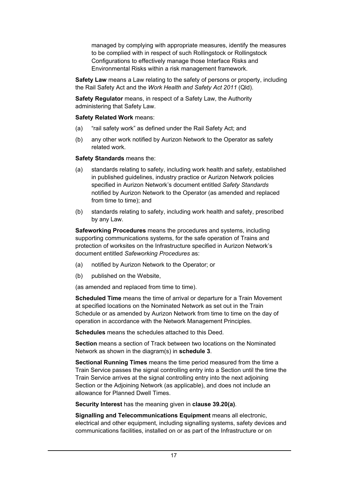managed by complying with appropriate measures, identify the measures to be complied with in respect of such Rollingstock or Rollingstock Configurations to effectively manage those Interface Risks and Environmental Risks within a risk management framework.

**Safety Law** means a Law relating to the safety of persons or property, including the Rail Safety Act and the *Work Health and Safety Act 2011* (Qld).

**Safety Regulator** means, in respect of a Safety Law, the Authority administering that Safety Law.

#### **Safety Related Work** means:

- (a) "rail safety work" as defined under the Rail Safety Act; and
- (b) any other work notified by Aurizon Network to the Operator as safety related work.

#### **Safety Standards** means the:

- (a) standards relating to safety, including work health and safety, established in published guidelines, industry practice or Aurizon Network policies specified in Aurizon Network's document entitled *Safety Standards* notified by Aurizon Network to the Operator (as amended and replaced from time to time); and
- (b) standards relating to safety, including work health and safety, prescribed by any Law.

**Safeworking Procedures** means the procedures and systems, including supporting communications systems, for the safe operation of Trains and protection of worksites on the Infrastructure specified in Aurizon Network's document entitled *Safeworking Procedures* as:

- (a) notified by Aurizon Network to the Operator; or
- (b) published on the Website,

(as amended and replaced from time to time).

**Scheduled Time** means the time of arrival or departure for a Train Movement at specified locations on the Nominated Network as set out in the Train Schedule or as amended by Aurizon Network from time to time on the day of operation in accordance with the Network Management Principles.

**Schedules** means the schedules attached to this Deed.

**Section** means a section of Track between two locations on the Nominated Network as shown in the diagram(s) in **schedule 3**.

**Sectional Running Times** means the time period measured from the time a Train Service passes the signal controlling entry into a Section until the time the Train Service arrives at the signal controlling entry into the next adjoining Section or the Adjoining Network (as applicable), and does not include an allowance for Planned Dwell Times.

**Security Interest** has the meaning given in **clause 39.20(a)**.

**Signalling and Telecommunications Equipment** means all electronic, electrical and other equipment, including signalling systems, safety devices and communications facilities, installed on or as part of the Infrastructure or on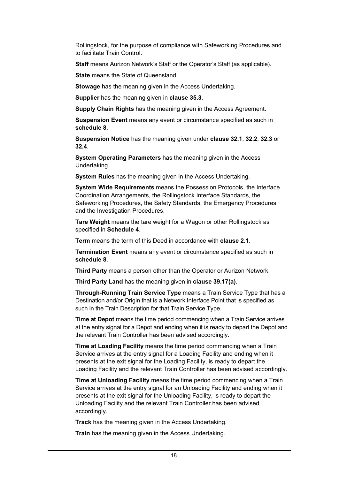Rollingstock, for the purpose of compliance with Safeworking Procedures and to facilitate Train Control.

**Staff** means Aurizon Network's Staff or the Operator's Staff (as applicable).

**State** means the State of Queensland.

**Stowage** has the meaning given in the Access Undertaking.

**Supplier** has the meaning given in **clause 35.3**.

**Supply Chain Rights** has the meaning given in the Access Agreement.

**Suspension Event** means any event or circumstance specified as such in **schedule 8**.

**Suspension Notice** has the meaning given under **clause 32.1**, **32.2**, **32.3** or **32.4**.

**System Operating Parameters** has the meaning given in the Access Undertaking.

**System Rules** has the meaning given in the Access Undertaking.

**System Wide Requirements** means the Possession Protocols, the Interface Coordination Arrangements, the Rollingstock Interface Standards, the Safeworking Procedures, the Safety Standards, the Emergency Procedures and the Investigation Procedures.

**Tare Weight** means the tare weight for a Wagon or other Rollingstock as specified in **Schedule 4**.

**Term** means the term of this Deed in accordance with **clause 2.1**.

**Termination Event** means any event or circumstance specified as such in **schedule 8**.

**Third Party** means a person other than the Operator or Aurizon Network.

**Third Party Land** has the meaning given in **clause 39.17(a)**.

**Through-Running Train Service Type** means a Train Service Type that has a Destination and/or Origin that is a Network Interface Point that is specified as such in the Train Description for that Train Service Type.

**Time at Depot** means the time period commencing when a Train Service arrives at the entry signal for a Depot and ending when it is ready to depart the Depot and the relevant Train Controller has been advised accordingly.

**Time at Loading Facility** means the time period commencing when a Train Service arrives at the entry signal for a Loading Facility and ending when it presents at the exit signal for the Loading Facility, is ready to depart the Loading Facility and the relevant Train Controller has been advised accordingly.

**Time at Unloading Facility** means the time period commencing when a Train Service arrives at the entry signal for an Unloading Facility and ending when it presents at the exit signal for the Unloading Facility, is ready to depart the Unloading Facility and the relevant Train Controller has been advised accordingly.

**Track** has the meaning given in the Access Undertaking.

**Train** has the meaning given in the Access Undertaking.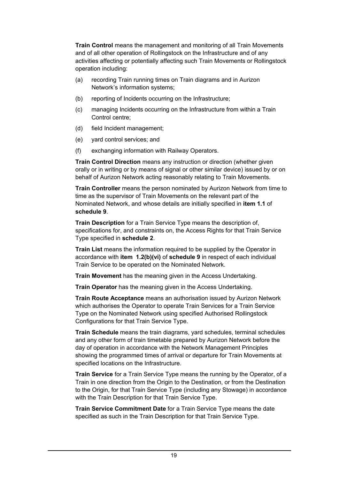**Train Control** means the management and monitoring of all Train Movements and of all other operation of Rollingstock on the Infrastructure and of any activities affecting or potentially affecting such Train Movements or Rollingstock operation including:

- (a) recording Train running times on Train diagrams and in Aurizon Network's information systems;
- (b) reporting of Incidents occurring on the Infrastructure;
- (c) managing Incidents occurring on the Infrastructure from within a Train Control centre;
- (d) field Incident management;
- (e) yard control services; and
- (f) exchanging information with Railway Operators.

**Train Control Direction** means any instruction or direction (whether given orally or in writing or by means of signal or other similar device) issued by or on behalf of Aurizon Network acting reasonably relating to Train Movements.

**Train Controller** means the person nominated by Aurizon Network from time to time as the supervisor of Train Movements on the relevant part of the Nominated Network, and whose details are initially specified in **item 1.1** of **schedule 9**.

**Train Description** for a Train Service Type means the description of, specifications for, and constraints on, the Access Rights for that Train Service Type specified in **schedule 2**.

**Train List** means the information required to be supplied by the Operator in accordance with **item 1.2(b)(vi)** of **schedule 9** in respect of each individual Train Service to be operated on the Nominated Network.

**Train Movement** has the meaning given in the Access Undertaking.

**Train Operator** has the meaning given in the Access Undertaking.

**Train Route Acceptance** means an authorisation issued by Aurizon Network which authorises the Operator to operate Train Services for a Train Service Type on the Nominated Network using specified Authorised Rollingstock Configurations for that Train Service Type.

**Train Schedule** means the train diagrams, yard schedules, terminal schedules and any other form of train timetable prepared by Aurizon Network before the day of operation in accordance with the Network Management Principles showing the programmed times of arrival or departure for Train Movements at specified locations on the Infrastructure.

**Train Service** for a Train Service Type means the running by the Operator, of a Train in one direction from the Origin to the Destination, or from the Destination to the Origin, for that Train Service Type (including any Stowage) in accordance with the Train Description for that Train Service Type.

**Train Service Commitment Date** for a Train Service Type means the date specified as such in the Train Description for that Train Service Type.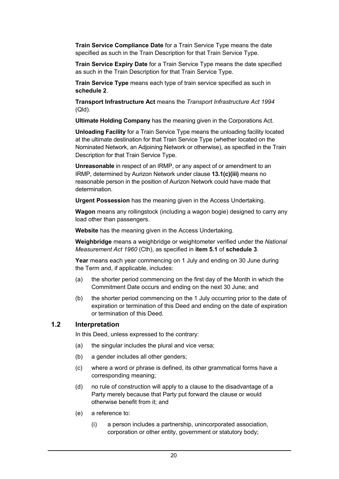**Train Service Compliance Date** for a Train Service Type means the date specified as such in the Train Description for that Train Service Type.

**Train Service Expiry Date** for a Train Service Type means the date specified as such in the Train Description for that Train Service Type.

**Train Service Type** means each type of train service specified as such in **schedule 2**.

**Transport Infrastructure Act** means the *Transport Infrastructure Act 1994* (Qld).

**Ultimate Holding Company** has the meaning given in the Corporations Act.

**Unloading Facility** for a Train Service Type means the unloading facility located at the ultimate destination for that Train Service Type (whether located on the Nominated Network, an Adjoining Network or otherwise), as specified in the Train Description for that Train Service Type.

**Unreasonable** in respect of an IRMP, or any aspect of or amendment to an IRMP, determined by Aurizon Network under clause **13.1(c)(iii)** means no reasonable person in the position of Aurizon Network could have made that determination.

**Urgent Possession** has the meaning given in the Access Undertaking.

**Wagon** means any rollingstock (including a wagon bogie) designed to carry any load other than passengers.

**Website** has the meaning given in the Access Undertaking.

**Weighbridge** means a weighbridge or weightometer verified under the *National Measurement Act 1960* (Cth), as specified in **item 5.1** of **schedule 3**.

**Year** means each year commencing on 1 July and ending on 30 June during the Term and, if applicable, includes:

- (a) the shorter period commencing on the first day of the Month in which the Commitment Date occurs and ending on the next 30 June; and
- (b) the shorter period commencing on the 1 July occurring prior to the date of expiration or termination of this Deed and ending on the date of expiration or termination of this Deed.

#### **1.2 Interpretation**

In this Deed, unless expressed to the contrary:

- (a) the singular includes the plural and vice versa;
- (b) a gender includes all other genders;
- (c) where a word or phrase is defined, its other grammatical forms have a corresponding meaning;
- (d) no rule of construction will apply to a clause to the disadvantage of a Party merely because that Party put forward the clause or would otherwise benefit from it; and
- (e) a reference to:
	- (i) a person includes a partnership, unincorporated association, corporation or other entity, government or statutory body;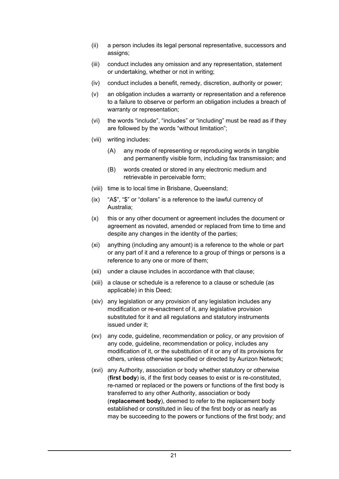- (ii) a person includes its legal personal representative, successors and assigns;
- (iii) conduct includes any omission and any representation, statement or undertaking, whether or not in writing;
- (iv) conduct includes a benefit, remedy, discretion, authority or power;
- (v) an obligation includes a warranty or representation and a reference to a failure to observe or perform an obligation includes a breach of warranty or representation;
- (vi) the words "include", "includes" or "including" must be read as if they are followed by the words "without limitation";
- (vii) writing includes:
	- (A) any mode of representing or reproducing words in tangible and permanently visible form, including fax transmission; and
	- (B) words created or stored in any electronic medium and retrievable in perceivable form;
- (viii) time is to local time in Brisbane, Queensland;
- (ix) "A\$", "\$" or "dollars" is a reference to the lawful currency of Australia;
- (x) this or any other document or agreement includes the document or agreement as novated, amended or replaced from time to time and despite any changes in the identity of the parties;
- (xi) anything (including any amount) is a reference to the whole or part or any part of it and a reference to a group of things or persons is a reference to any one or more of them;
- (xii) under a clause includes in accordance with that clause;
- (xiii) a clause or schedule is a reference to a clause or schedule (as applicable) in this Deed;
- (xiv) any legislation or any provision of any legislation includes any modification or re-enactment of it, any legislative provision substituted for it and all regulations and statutory instruments issued under it;
- (xv) any code, guideline, recommendation or policy, or any provision of any code, guideline, recommendation or policy, includes any modification of it, or the substitution of it or any of its provisions for others, unless otherwise specified or directed by Aurizon Network;
- (xvi) any Authority, association or body whether statutory or otherwise (**first body**) is, if the first body ceases to exist or is re-constituted, re-named or replaced or the powers or functions of the first body is transferred to any other Authority, association or body (**replacement body**), deemed to refer to the replacement body established or constituted in lieu of the first body or as nearly as may be succeeding to the powers or functions of the first body; and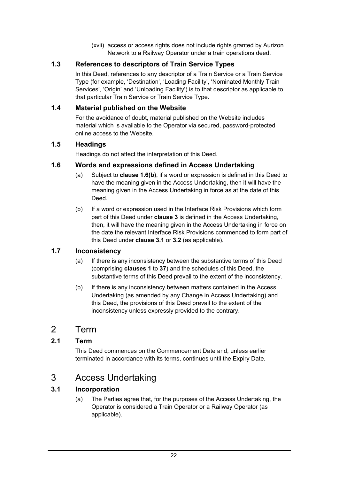(xvii) access or access rights does not include rights granted by Aurizon Network to a Railway Operator under a train operations deed.

#### **1.3 References to descriptors of Train Service Types**

In this Deed, references to any descriptor of a Train Service or a Train Service Type (for example, 'Destination', 'Loading Facility', 'Nominated Monthly Train Services', 'Origin' and 'Unloading Facility') is to that descriptor as applicable to that particular Train Service or Train Service Type.

#### **1.4 Material published on the Website**

For the avoidance of doubt, material published on the Website includes material which is available to the Operator via secured, password-protected online access to the Website.

#### **1.5 Headings**

Headings do not affect the interpretation of this Deed.

#### **1.6 Words and expressions defined in Access Undertaking**

- (a) Subject to **clause 1.6(b)**, if a word or expression is defined in this Deed to have the meaning given in the Access Undertaking, then it will have the meaning given in the Access Undertaking in force as at the date of this Deed.
- (b) If a word or expression used in the Interface Risk Provisions which form part of this Deed under **clause 3** is defined in the Access Undertaking, then, it will have the meaning given in the Access Undertaking in force on the date the relevant Interface Risk Provisions commenced to form part of this Deed under **clause 3.1** or **3.2** (as applicable).

#### **1.7 Inconsistency**

- (a) If there is any inconsistency between the substantive terms of this Deed (comprising **clauses 1** to **37**) and the schedules of this Deed, the substantive terms of this Deed prevail to the extent of the inconsistency.
- (b) If there is any inconsistency between matters contained in the Access Undertaking (as amended by any Change in Access Undertaking) and this Deed, the provisions of this Deed prevail to the extent of the inconsistency unless expressly provided to the contrary.

## 2 Term

#### **2.1 Term**

This Deed commences on the Commencement Date and, unless earlier terminated in accordance with its terms, continues until the Expiry Date.

## 3 Access Undertaking

#### **3.1 Incorporation**

(a) The Parties agree that, for the purposes of the Access Undertaking, the Operator is considered a Train Operator or a Railway Operator (as applicable).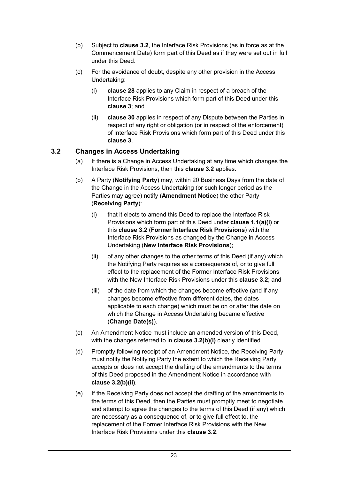- (b) Subject to **clause 3.2**, the Interface Risk Provisions (as in force as at the Commencement Date) form part of this Deed as if they were set out in full under this Deed.
- (c) For the avoidance of doubt, despite any other provision in the Access Undertaking:
	- (i) **clause 28** applies to any Claim in respect of a breach of the Interface Risk Provisions which form part of this Deed under this **clause 3**; and
	- (ii) **clause 30** applies in respect of any Dispute between the Parties in respect of any right or obligation (or in respect of the enforcement) of Interface Risk Provisions which form part of this Deed under this **clause 3**.

#### **3.2 Changes in Access Undertaking**

- (a) If there is a Change in Access Undertaking at any time which changes the Interface Risk Provisions, then this **clause 3.2** applies.
- (b) A Party (**Notifying Party**) may, within 20 Business Days from the date of the Change in the Access Undertaking (or such longer period as the Parties may agree) notify (**Amendment Notice**) the other Party (**Receiving Party**):
	- (i) that it elects to amend this Deed to replace the Interface Risk Provisions which form part of this Deed under **clause 1.1(a)(i)** or this **clause 3.2** (**Former Interface Risk Provisions**) with the Interface Risk Provisions as changed by the Change in Access Undertaking (**New Interface Risk Provisions**);
	- (ii) of any other changes to the other terms of this Deed (if any) which the Notifying Party requires as a consequence of, or to give full effect to the replacement of the Former Interface Risk Provisions with the New Interface Risk Provisions under this **clause 3.2**; and
	- (iii) of the date from which the changes become effective (and if any changes become effective from different dates, the dates applicable to each change) which must be on or after the date on which the Change in Access Undertaking became effective (**Change Date(s)**).
- (c) An Amendment Notice must include an amended version of this Deed, with the changes referred to in **clause 3.2(b)(i)** clearly identified.
- (d) Promptly following receipt of an Amendment Notice, the Receiving Party must notify the Notifying Party the extent to which the Receiving Party accepts or does not accept the drafting of the amendments to the terms of this Deed proposed in the Amendment Notice in accordance with **clause 3.2(b)(ii)**.
- (e) If the Receiving Party does not accept the drafting of the amendments to the terms of this Deed, then the Parties must promptly meet to negotiate and attempt to agree the changes to the terms of this Deed (if any) which are necessary as a consequence of, or to give full effect to, the replacement of the Former Interface Risk Provisions with the New Interface Risk Provisions under this **clause 3.2**.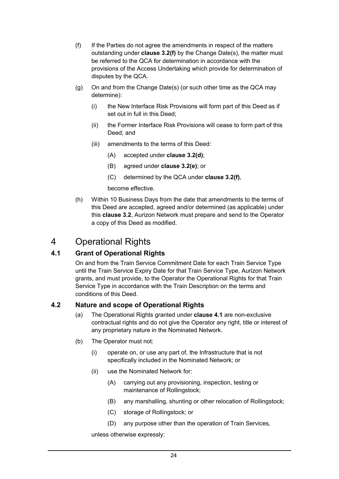- (f) If the Parties do not agree the amendments in respect of the matters outstanding under **clause 3.2(f)** by the Change Date(s), the matter must be referred to the QCA for determination in accordance with the provisions of the Access Undertaking which provide for determination of disputes by the QCA.
- (g) On and from the Change Date(s) (or such other time as the QCA may determine):
	- (i) the New Interface Risk Provisions will form part of this Deed as if set out in full in this Deed;
	- (ii) the Former Interface Risk Provisions will cease to form part of this Deed; and
	- (iii) amendments to the terms of this Deed:
		- (A) accepted under **clause 3.2(d)**;
		- (B) agreed under **clause 3.2(e)**; or
		- (C) determined by the QCA under **clause 3.2(f)**,
		- become effective.
- (h) Within 10 Business Days from the date that amendments to the terms of this Deed are accepted, agreed and/or determined (as applicable) under this **clause 3.2**, Aurizon Network must prepare and send to the Operator a copy of this Deed as modified.

# 4 Operational Rights

#### **4.1 Grant of Operational Rights**

On and from the Train Service Commitment Date for each Train Service Type until the Train Service Expiry Date for that Train Service Type, Aurizon Network grants, and must provide, to the Operator the Operational Rights for that Train Service Type in accordance with the Train Description on the terms and conditions of this Deed.

#### **4.2 Nature and scope of Operational Rights**

- (a) The Operational Rights granted under **clause 4.1** are non-exclusive contractual rights and do not give the Operator any right, title or interest of any proprietary nature in the Nominated Network.
- (b) The Operator must not:
	- (i) operate on, or use any part of, the Infrastructure that is not specifically included in the Nominated Network; or
	- (ii) use the Nominated Network for:
		- (A) carrying out any provisioning, inspection, testing or maintenance of Rollingstock;
		- (B) any marshalling, shunting or other relocation of Rollingstock;
		- (C) storage of Rollingstock; or
		- (D) any purpose other than the operation of Train Services,

unless otherwise expressly: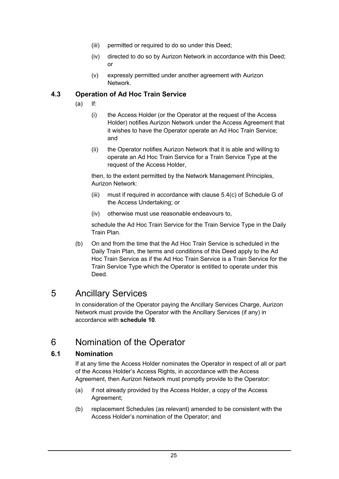- (iii) permitted or required to do so under this Deed;
- (iv) directed to do so by Aurizon Network in accordance with this Deed; or
- (v) expressly permitted under another agreement with Aurizon Network.

#### **4.3 Operation of Ad Hoc Train Service**

- (a) If:
	- (i) the Access Holder (or the Operator at the request of the Access Holder) notifies Aurizon Network under the Access Agreement that it wishes to have the Operator operate an Ad Hoc Train Service; and
	- (ii) the Operator notifies Aurizon Network that it is able and willing to operate an Ad Hoc Train Service for a Train Service Type at the request of the Access Holder,

then, to the extent permitted by the Network Management Principles, Aurizon Network:

- (iii) must if required in accordance with clause 5.4(c) of Schedule G of the Access Undertaking; or
- (iv) otherwise must use reasonable endeavours to,

schedule the Ad Hoc Train Service for the Train Service Type in the Daily Train Plan.

(b) On and from the time that the Ad Hoc Train Service is scheduled in the Daily Train Plan, the terms and conditions of this Deed apply to the Ad Hoc Train Service as if the Ad Hoc Train Service is a Train Service for the Train Service Type which the Operator is entitled to operate under this Deed.

# 5 Ancillary Services

In consideration of the Operator paying the Ancillary Services Charge, Aurizon Network must provide the Operator with the Ancillary Services (if any) in accordance with **schedule 10**.

# 6 Nomination of the Operator

#### **6.1 Nomination**

If at any time the Access Holder nominates the Operator in respect of all or part of the Access Holder's Access Rights, in accordance with the Access Agreement, then Aurizon Network must promptly provide to the Operator:

- (a) if not already provided by the Access Holder, a copy of the Access Agreement;
- (b) replacement Schedules (as relevant) amended to be consistent with the Access Holder's nomination of the Operator; and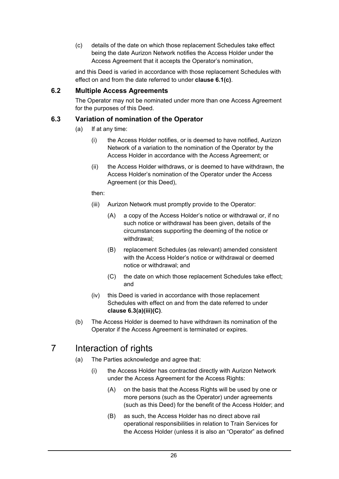(c) details of the date on which those replacement Schedules take effect being the date Aurizon Network notifies the Access Holder under the Access Agreement that it accepts the Operator's nomination,

and this Deed is varied in accordance with those replacement Schedules with effect on and from the date referred to under **clause 6.1(c)**.

#### **6.2 Multiple Access Agreements**

The Operator may not be nominated under more than one Access Agreement for the purposes of this Deed.

#### **6.3 Variation of nomination of the Operator**

- (a) If at any time:
	- (i) the Access Holder notifies, or is deemed to have notified, Aurizon Network of a variation to the nomination of the Operator by the Access Holder in accordance with the Access Agreement; or
	- (ii) the Access Holder withdraws, or is deemed to have withdrawn, the Access Holder's nomination of the Operator under the Access Agreement (or this Deed),

then:

- (iii) Aurizon Network must promptly provide to the Operator:
	- (A) a copy of the Access Holder's notice or withdrawal or, if no such notice or withdrawal has been given, details of the circumstances supporting the deeming of the notice or withdrawal;
	- (B) replacement Schedules (as relevant) amended consistent with the Access Holder's notice or withdrawal or deemed notice or withdrawal; and
	- (C) the date on which those replacement Schedules take effect; and
- (iv) this Deed is varied in accordance with those replacement Schedules with effect on and from the date referred to under **clause 6.3(a)(iii)(C)**.
- (b) The Access Holder is deemed to have withdrawn its nomination of the Operator if the Access Agreement is terminated or expires.

# 7 Interaction of rights

- (a) The Parties acknowledge and agree that:
	- (i) the Access Holder has contracted directly with Aurizon Network under the Access Agreement for the Access Rights:
		- (A) on the basis that the Access Rights will be used by one or more persons (such as the Operator) under agreements (such as this Deed) for the benefit of the Access Holder; and
		- (B) as such, the Access Holder has no direct above rail operational responsibilities in relation to Train Services for the Access Holder (unless it is also an "Operator" as defined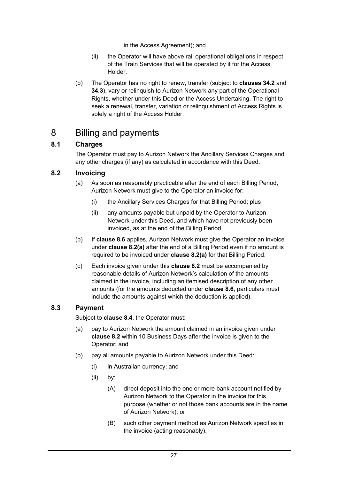in the Access Agreement); and

- (ii) the Operator will have above rail operational obligations in respect of the Train Services that will be operated by it for the Access Holder.
- (b) The Operator has no right to renew, transfer (subject to **clauses 34.2** and **34.3**), vary or relinguish to Aurizon Network any part of the Operational Rights, whether under this Deed or the Access Undertaking. The right to seek a renewal, transfer, variation or relinquishment of Access Rights is solely a right of the Access Holder.

# 8 Billing and payments

#### **8.1 Charges**

The Operator must pay to Aurizon Network the Ancillary Services Charges and any other charges (if any) as calculated in accordance with this Deed.

#### **8.2 Invoicing**

- (a) As soon as reasonably practicable after the end of each Billing Period, Aurizon Network must give to the Operator an invoice for:
	- (i) the Ancillary Services Charges for that Billing Period; plus
	- (ii) any amounts payable but unpaid by the Operator to Aurizon Network under this Deed, and which have not previously been invoiced, as at the end of the Billing Period.
- (b) If **clause 8.6** applies, Aurizon Network must give the Operator an invoice under **clause 8.2(a)** after the end of a Billing Period even if no amount is required to be invoiced under **clause 8.2(a)** for that Billing Period.
- (c) Each invoice given under this **clause 8.2** must be accompanied by reasonable details of Aurizon Network's calculation of the amounts claimed in the invoice, including an itemised description of any other amounts (for the amounts deducted under **clause 8.6**, particulars must include the amounts against which the deduction is applied).

#### **8.3 Payment**

Subject to **clause 8.4**, the Operator must:

- (a) pay to Aurizon Network the amount claimed in an invoice given under **clause 8.2** within 10 Business Days after the invoice is given to the Operator; and
- (b) pay all amounts payable to Aurizon Network under this Deed:
	- (i) in Australian currency; and
	- (ii) by:
		- (A) direct deposit into the one or more bank account notified by Aurizon Network to the Operator in the invoice for this purpose (whether or not those bank accounts are in the name of Aurizon Network); or
		- (B) such other payment method as Aurizon Network specifies in the invoice (acting reasonably).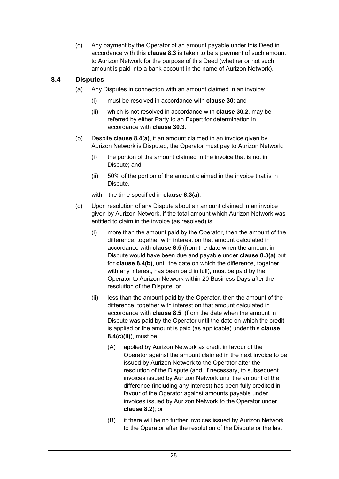(c) Any payment by the Operator of an amount payable under this Deed in accordance with this **clause 8.3** is taken to be a payment of such amount to Aurizon Network for the purpose of this Deed (whether or not such amount is paid into a bank account in the name of Aurizon Network).

#### **8.4 Disputes**

- (a) Any Disputes in connection with an amount claimed in an invoice:
	- (i) must be resolved in accordance with **clause 30**; and
	- (ii) which is not resolved in accordance with **clause 30.2**, may be referred by either Party to an Expert for determination in accordance with **clause 30.3**.
- (b) Despite **clause 8.4(a)**, if an amount claimed in an invoice given by Aurizon Network is Disputed, the Operator must pay to Aurizon Network:
	- (i) the portion of the amount claimed in the invoice that is not in Dispute; and
	- (ii) 50% of the portion of the amount claimed in the invoice that is in Dispute,

within the time specified in **clause 8.3(a)**.

- (c) Upon resolution of any Dispute about an amount claimed in an invoice given by Aurizon Network, if the total amount which Aurizon Network was entitled to claim in the invoice (as resolved) is:
	- (i) more than the amount paid by the Operator, then the amount of the difference, together with interest on that amount calculated in accordance with **clause 8.5** (from the date when the amount in Dispute would have been due and payable under **clause 8.3(a)** but for **clause 8.4(b)**, until the date on which the difference, together with any interest, has been paid in full), must be paid by the Operator to Aurizon Network within 20 Business Days after the resolution of the Dispute; or
	- (ii) less than the amount paid by the Operator, then the amount of the difference, together with interest on that amount calculated in accordance with **clause 8.5** (from the date when the amount in Dispute was paid by the Operator until the date on which the credit is applied or the amount is paid (as applicable) under this **clause 8.4(c)(ii)**), must be:
		- (A) applied by Aurizon Network as credit in favour of the Operator against the amount claimed in the next invoice to be issued by Aurizon Network to the Operator after the resolution of the Dispute (and, if necessary, to subsequent invoices issued by Aurizon Network until the amount of the difference (including any interest) has been fully credited in favour of the Operator against amounts payable under invoices issued by Aurizon Network to the Operator under **clause 8.2**); or
		- (B) if there will be no further invoices issued by Aurizon Network to the Operator after the resolution of the Dispute or the last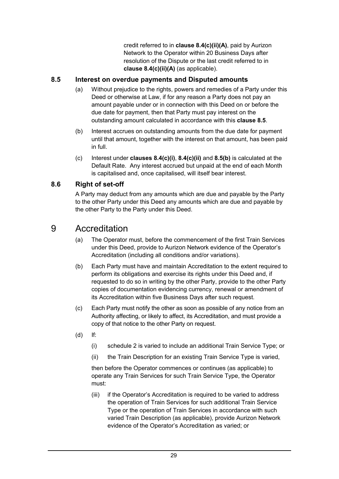credit referred to in **clause 8.4(c)(ii)(A)**, paid by Aurizon Network to the Operator within 20 Business Days after resolution of the Dispute or the last credit referred to in **clause 8.4(c)(ii)(A)** (as applicable).

#### **8.5 Interest on overdue payments and Disputed amounts**

- (a) Without prejudice to the rights, powers and remedies of a Party under this Deed or otherwise at Law, if for any reason a Party does not pay an amount payable under or in connection with this Deed on or before the due date for payment, then that Party must pay interest on the outstanding amount calculated in accordance with this **clause 8.5**.
- (b) Interest accrues on outstanding amounts from the due date for payment until that amount, together with the interest on that amount, has been paid in full.
- (c) Interest under **clauses 8.4(c)(i)**, **8.4(c)(ii)** and **8.5(b)** is calculated at the Default Rate. Any interest accrued but unpaid at the end of each Month is capitalised and, once capitalised, will itself bear interest.

#### **8.6 Right of set-off**

A Party may deduct from any amounts which are due and payable by the Party to the other Party under this Deed any amounts which are due and payable by the other Party to the Party under this Deed.

## 9 Accreditation

- (a) The Operator must, before the commencement of the first Train Services under this Deed, provide to Aurizon Network evidence of the Operator's Accreditation (including all conditions and/or variations).
- (b) Each Party must have and maintain Accreditation to the extent required to perform its obligations and exercise its rights under this Deed and, if requested to do so in writing by the other Party, provide to the other Party copies of documentation evidencing currency, renewal or amendment of its Accreditation within five Business Days after such request.
- (c) Each Party must notify the other as soon as possible of any notice from an Authority affecting, or likely to affect, its Accreditation, and must provide a copy of that notice to the other Party on request.
- (d) If:
	- (i) schedule 2 is varied to include an additional Train Service Type; or
	- (ii) the Train Description for an existing Train Service Type is varied,

then before the Operator commences or continues (as applicable) to operate any Train Services for such Train Service Type, the Operator must:

(iii) if the Operator's Accreditation is required to be varied to address the operation of Train Services for such additional Train Service Type or the operation of Train Services in accordance with such varied Train Description (as applicable), provide Aurizon Network evidence of the Operator's Accreditation as varied; or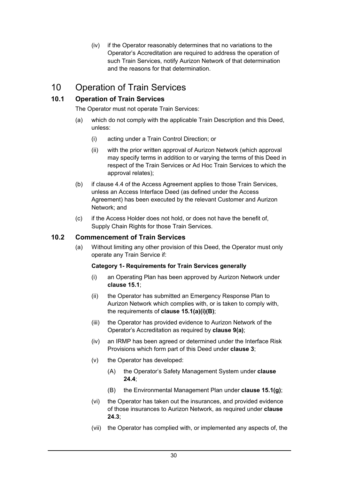(iv) if the Operator reasonably determines that no variations to the Operator's Accreditation are required to address the operation of such Train Services, notify Aurizon Network of that determination and the reasons for that determination.

# 10 Operation of Train Services

# **10.1 Operation of Train Services**

The Operator must not operate Train Services:

- (a) which do not comply with the applicable Train Description and this Deed, unless:
	- (i) acting under a Train Control Direction; or
	- (ii) with the prior written approval of Aurizon Network (which approval may specify terms in addition to or varying the terms of this Deed in respect of the Train Services or Ad Hoc Train Services to which the approval relates);
- (b) if clause 4.4 of the Access Agreement applies to those Train Services, unless an Access Interface Deed (as defined under the Access Agreement) has been executed by the relevant Customer and Aurizon Network; and
- (c) if the Access Holder does not hold, or does not have the benefit of, Supply Chain Rights for those Train Services.

## **10.2 Commencement of Train Services**

(a) Without limiting any other provision of this Deed, the Operator must only operate any Train Service if:

#### **Category 1- Requirements for Train Services generally**

- (i) an Operating Plan has been approved by Aurizon Network under **clause 15.1**;
- (ii) the Operator has submitted an Emergency Response Plan to Aurizon Network which complies with, or is taken to comply with, the requirements of **clause 15.1(a)(i)(B)**;
- (iii) the Operator has provided evidence to Aurizon Network of the Operator's Accreditation as required by **clause 9(a)**;
- (iv) an IRMP has been agreed or determined under the Interface Risk Provisions which form part of this Deed under **clause 3**;
- (v) the Operator has developed:
	- (A) the Operator's Safety Management System under **clause 24.4**;
	- (B) the Environmental Management Plan under **clause 15.1(g)**;
- (vi) the Operator has taken out the insurances, and provided evidence of those insurances to Aurizon Network, as required under **clause 24.3**;
- (vii) the Operator has complied with, or implemented any aspects of, the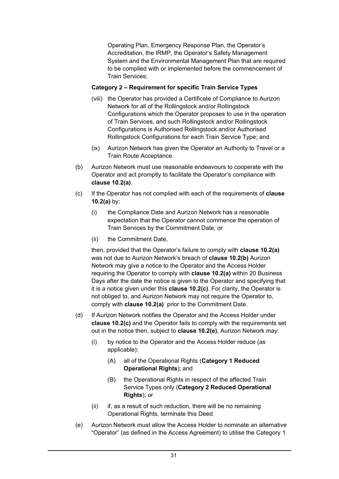Operating Plan, Emergency Response Plan, the Operator's Accreditation, the IRMP, the Operator's Safety Management System and the Environmental Management Plan that are required to be complied with or implemented before the commencement of Train Services;

### **Category 2 – Requirement for specific Train Service Types**

- (viii) the Operator has provided a Certificate of Compliance to Aurizon Network for all of the Rollingstock and/or Rollingstock Configurations which the Operator proposes to use in the operation of Train Services, and such Rollingstock and/or Rollingstock Configurations is Authorised Rollingstock and/or Authorised Rollingstock Configurations for each Train Service Type; and
- (ix) Aurizon Network has given the Operator an Authority to Travel or a Train Route Acceptance.
- (b) Aurizon Network must use reasonable endeavours to cooperate with the Operator and act promptly to facilitate the Operator's compliance with **clause 10.2(a)**.
- (c) If the Operator has not complied with each of the requirements of **clause 10.2(a)** by:
	- (i) the Compliance Date and Aurizon Network has a reasonable expectation that the Operator cannot commence the operation of Train Services by the Commitment Date; or
	- (ii) the Commitment Date,

then, provided that the Operator's failure to comply with **clause 10.2(a)** was not due to Aurizon Network's breach of **clause 10.2(b)** Aurizon Network may give a notice to the Operator and the Access Holder requiring the Operator to comply with **clause 10.2(a)** within 20 Business Days after the date the notice is given to the Operator and specifying that it is a notice given under this **clause 10.2(c)**. For clarity, the Operator is not obliged to, and Aurizon Network may not require the Operator to, comply with **clause 10.2(a)** prior to the Commitment Date.

- (d) If Aurizon Network notifies the Operator and the Access Holder under **clause 10.2(c)** and the Operator fails to comply with the requirements set out in the notice then, subject to **clause 10.2(e)**, Aurizon Network may:
	- (i) by notice to the Operator and the Access Holder reduce (as applicable):
		- (A) all of the Operational Rights (**Category 1 Reduced Operational Rights**); and
		- (B) the Operational Rights in respect of the affected Train Service Types only (**Category 2 Reduced Operational Rights**); or
	- (ii) if, as a result of such reduction, there will be no remaining Operational Rights, terminate this Deed.
- (e) Aurizon Network must allow the Access Holder to nominate an alternative "Operator" (as defined in the Access Agreement) to utilise the Category 1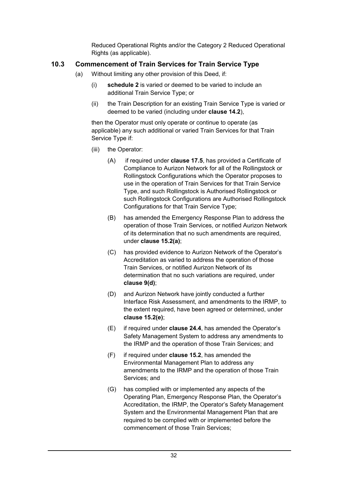Reduced Operational Rights and/or the Category 2 Reduced Operational Rights (as applicable).

## **10.3 Commencement of Train Services for Train Service Type**

- (a) Without limiting any other provision of this Deed, if:
	- (i) **schedule 2** is varied or deemed to be varied to include an additional Train Service Type; or
	- (ii) the Train Description for an existing Train Service Type is varied or deemed to be varied (including under **clause 14.2**),

then the Operator must only operate or continue to operate (as applicable) any such additional or varied Train Services for that Train Service Type if:

- (iii) the Operator:
	- (A) if required under **clause 17.5**, has provided a Certificate of Compliance to Aurizon Network for all of the Rollingstock or Rollingstock Configurations which the Operator proposes to use in the operation of Train Services for that Train Service Type, and such Rollingstock is Authorised Rollingstock or such Rollingstock Configurations are Authorised Rollingstock Configurations for that Train Service Type;
	- (B) has amended the Emergency Response Plan to address the operation of those Train Services, or notified Aurizon Network of its determination that no such amendments are required, under **clause 15.2(a)**;
	- (C) has provided evidence to Aurizon Network of the Operator's Accreditation as varied to address the operation of those Train Services, or notified Aurizon Network of its determination that no such variations are required, under **clause 9(d)**;
	- (D) and Aurizon Network have jointly conducted a further Interface Risk Assessment, and amendments to the IRMP, to the extent required, have been agreed or determined, under **clause 15.2(e)**;
	- (E) if required under **clause 24.4**, has amended the Operator's Safety Management System to address any amendments to the IRMP and the operation of those Train Services; and
	- (F) if required under **clause 15.2**, has amended the Environmental Management Plan to address any amendments to the IRMP and the operation of those Train Services; and
	- (G) has complied with or implemented any aspects of the Operating Plan, Emergency Response Plan, the Operator's Accreditation, the IRMP, the Operator's Safety Management System and the Environmental Management Plan that are required to be complied with or implemented before the commencement of those Train Services;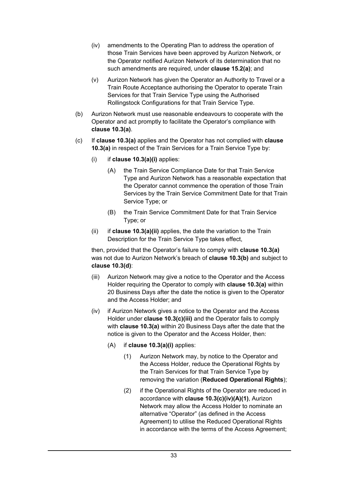- (iv) amendments to the Operating Plan to address the operation of those Train Services have been approved by Aurizon Network, or the Operator notified Aurizon Network of its determination that no such amendments are required, under **clause 15.2(a)**; and
- (v) Aurizon Network has given the Operator an Authority to Travel or a Train Route Acceptance authorising the Operator to operate Train Services for that Train Service Type using the Authorised Rollingstock Configurations for that Train Service Type.
- (b) Aurizon Network must use reasonable endeavours to cooperate with the Operator and act promptly to facilitate the Operator's compliance with **clause 10.3(a)**.
- (c) If **clause 10.3(a)** applies and the Operator has not complied with **clause 10.3(a)** in respect of the Train Services for a Train Service Type by:
	- (i) if **clause 10.3(a)(i)** applies:
		- (A) the Train Service Compliance Date for that Train Service Type and Aurizon Network has a reasonable expectation that the Operator cannot commence the operation of those Train Services by the Train Service Commitment Date for that Train Service Type; or
		- (B) the Train Service Commitment Date for that Train Service Type; or
	- (ii) if **clause 10.3(a)(ii)** applies, the date the variation to the Train Description for the Train Service Type takes effect,

then, provided that the Operator's failure to comply with **clause 10.3(a)** was not due to Aurizon Network's breach of **clause 10.3(b)** and subject to **clause 10.3(d)**:

- (iii) Aurizon Network may give a notice to the Operator and the Access Holder requiring the Operator to comply with **clause 10.3(a)** within 20 Business Days after the date the notice is given to the Operator and the Access Holder; and
- (iv) if Aurizon Network gives a notice to the Operator and the Access Holder under **clause 10.3(c)(iii)** and the Operator fails to comply with **clause 10.3(a)** within 20 Business Days after the date that the notice is given to the Operator and the Access Holder, then:
	- (A) if **clause 10.3(a)(i)** applies:
		- (1) Aurizon Network may, by notice to the Operator and the Access Holder, reduce the Operational Rights by the Train Services for that Train Service Type by removing the variation (**Reduced Operational Rights**);
		- (2) if the Operational Rights of the Operator are reduced in accordance with **clause 10.3(c)(iv)(A)(1)**, Aurizon Network may allow the Access Holder to nominate an alternative "Operator" (as defined in the Access Agreement) to utilise the Reduced Operational Rights in accordance with the terms of the Access Agreement;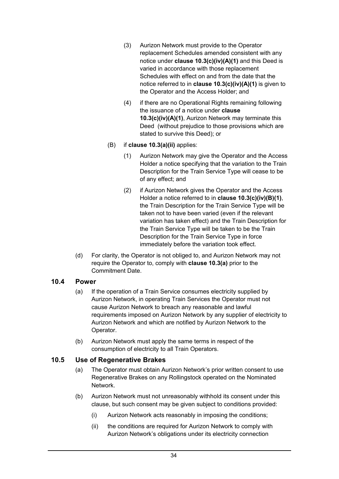- (3) Aurizon Network must provide to the Operator replacement Schedules amended consistent with any notice under **clause 10.3(c)(iv)(A)(1)** and this Deed is varied in accordance with those replacement Schedules with effect on and from the date that the notice referred to in **clause 10.3(c)(iv)(A)(1)** is given to the Operator and the Access Holder; and
- (4) if there are no Operational Rights remaining following the issuance of a notice under **clause 10.3(c)(iv)(A)(1)**, Aurizon Network may terminate this Deed (without prejudice to those provisions which are stated to survive this Deed); or
- (B) if **clause 10.3(a)(ii)** applies:
	- (1) Aurizon Network may give the Operator and the Access Holder a notice specifying that the variation to the Train Description for the Train Service Type will cease to be of any effect; and
	- (2) if Aurizon Network gives the Operator and the Access Holder a notice referred to in **clause 10.3(c)(iv)(B)(1)**, the Train Description for the Train Service Type will be taken not to have been varied (even if the relevant variation has taken effect) and the Train Description for the Train Service Type will be taken to be the Train Description for the Train Service Type in force immediately before the variation took effect.
- (d) For clarity, the Operator is not obliged to, and Aurizon Network may not require the Operator to, comply with **clause 10.3(a)** prior to the Commitment Date.

## **10.4 Power**

- (a) If the operation of a Train Service consumes electricity supplied by Aurizon Network, in operating Train Services the Operator must not cause Aurizon Network to breach any reasonable and lawful requirements imposed on Aurizon Network by any supplier of electricity to Aurizon Network and which are notified by Aurizon Network to the Operator.
- (b) Aurizon Network must apply the same terms in respect of the consumption of electricity to all Train Operators.

#### **10.5 Use of Regenerative Brakes**

- (a) The Operator must obtain Aurizon Network's prior written consent to use Regenerative Brakes on any Rollingstock operated on the Nominated **Network**
- (b) Aurizon Network must not unreasonably withhold its consent under this clause, but such consent may be given subject to conditions provided:
	- (i) Aurizon Network acts reasonably in imposing the conditions;
	- (ii) the conditions are required for Aurizon Network to comply with Aurizon Network's obligations under its electricity connection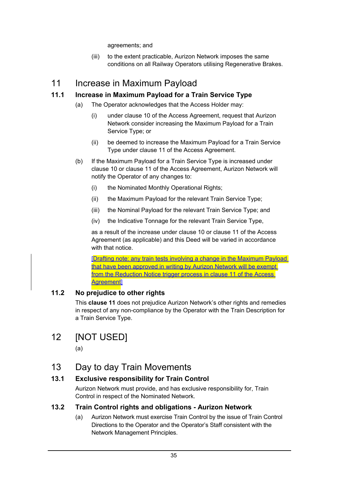agreements; and

(iii) to the extent practicable, Aurizon Network imposes the same conditions on all Railway Operators utilising Regenerative Brakes.

# 11 Increase in Maximum Payload

## **11.1 Increase in Maximum Payload for a Train Service Type**

- (a) The Operator acknowledges that the Access Holder may:
	- (i) under clause 10 of the Access Agreement, request that Aurizon Network consider increasing the Maximum Payload for a Train Service Type; or
	- (ii) be deemed to increase the Maximum Payload for a Train Service Type under clause 11 of the Access Agreement.
- (b) If the Maximum Payload for a Train Service Type is increased under clause 10 or clause 11 of the Access Agreement, Aurizon Network will notify the Operator of any changes to:
	- (i) the Nominated Monthly Operational Rights;
	- (ii) the Maximum Payload for the relevant Train Service Type;
	- (iii) the Nominal Payload for the relevant Train Service Type; and
	- (iv) the Indicative Tonnage for the relevant Train Service Type,

as a result of the increase under clause 10 or clause 11 of the Access Agreement (as applicable) and this Deed will be varied in accordance with that notice.

[Drafting note: any train tests involving a change in the Maximum Payload that have been approved in writing by Aurizon Network will be exempt from the Reduction Notice trigger process in clause 11 of the Access Agreement]

## **11.2 No prejudice to other rights**

This **clause 11** does not prejudice Aurizon Network's other rights and remedies in respect of any non-compliance by the Operator with the Train Description for a Train Service Type.

# 12 [NOT USED]

(a)

# 13 Day to day Train Movements

## **13.1 Exclusive responsibility for Train Control**

Aurizon Network must provide, and has exclusive responsibility for, Train Control in respect of the Nominated Network.

## **13.2 Train Control rights and obligations - Aurizon Network**

(a) Aurizon Network must exercise Train Control by the issue of Train Control Directions to the Operator and the Operator's Staff consistent with the Network Management Principles.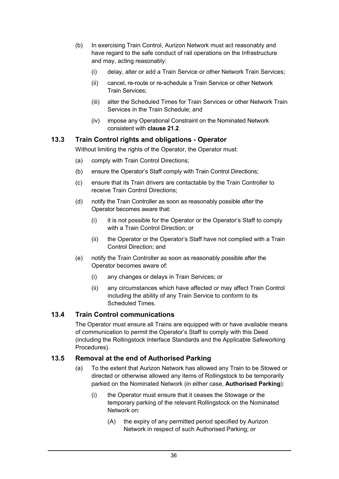- (b) In exercising Train Control, Aurizon Network must act reasonably and have regard to the safe conduct of rail operations on the Infrastructure and may, acting reasonably:
	- (i) delay, alter or add a Train Service or other Network Train Services;
	- (ii) cancel, re-route or re-schedule a Train Service or other Network Train Services;
	- (iii) alter the Scheduled Times for Train Services or other Network Train Services in the Train Schedule; and
	- (iv) impose any Operational Constraint on the Nominated Network consistent with **clause 21.2**.

#### **13.3 Train Control rights and obligations - Operator**

Without limiting the rights of the Operator, the Operator must:

- (a) comply with Train Control Directions;
- (b) ensure the Operator's Staff comply with Train Control Directions;
- (c) ensure that its Train drivers are contactable by the Train Controller to receive Train Control Directions;
- (d) notify the Train Controller as soon as reasonably possible after the Operator becomes aware that:
	- (i) it is not possible for the Operator or the Operator's Staff to comply with a Train Control Direction; or
	- (ii) the Operator or the Operator's Staff have not complied with a Train Control Direction; and
- (e) notify the Train Controller as soon as reasonably possible after the Operator becomes aware of:
	- (i) any changes or delays in Train Services; or
	- (ii) any circumstances which have affected or may affect Train Control including the ability of any Train Service to conform to its Scheduled Times.

## **13.4 Train Control communications**

The Operator must ensure all Trains are equipped with or have available means of communication to permit the Operator's Staff to comply with this Deed (including the Rollingstock Interface Standards and the Applicable Safeworking Procedures).

#### **13.5 Removal at the end of Authorised Parking**

- (a) To the extent that Aurizon Network has allowed any Train to be Stowed or directed or otherwise allowed any items of Rollingstock to be temporarily parked on the Nominated Network (in either case, **Authorised Parking**):
	- (i) the Operator must ensure that it ceases the Stowage or the temporary parking of the relevant Rollingstock on the Nominated Network on:
		- (A) the expiry of any permitted period specified by Aurizon Network in respect of such Authorised Parking; or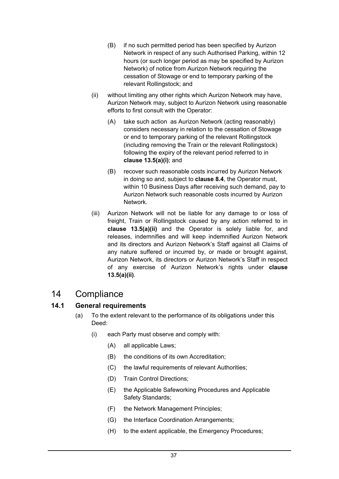- (B) if no such permitted period has been specified by Aurizon Network in respect of any such Authorised Parking, within 12 hours (or such longer period as may be specified by Aurizon Network) of notice from Aurizon Network requiring the cessation of Stowage or end to temporary parking of the relevant Rollingstock; and
- (ii) without limiting any other rights which Aurizon Network may have, Aurizon Network may, subject to Aurizon Network using reasonable efforts to first consult with the Operator:
	- (A) take such action as Aurizon Network (acting reasonably) considers necessary in relation to the cessation of Stowage or end to temporary parking of the relevant Rollingstock (including removing the Train or the relevant Rollingstock) following the expiry of the relevant period referred to in **clause 13.5(a)(i)**; and
	- (B) recover such reasonable costs incurred by Aurizon Network in doing so and, subject to **clause 8.4**, the Operator must, within 10 Business Days after receiving such demand, pay to Aurizon Network such reasonable costs incurred by Aurizon Network.
- (iii) Aurizon Network will not be liable for any damage to or loss of freight, Train or Rollingstock caused by any action referred to in **clause 13.5(a)(ii)** and the Operator is solely liable for, and releases, indemnifies and will keep indemnified Aurizon Network and its directors and Aurizon Network's Staff against all Claims of any nature suffered or incurred by, or made or brought against, Aurizon Network, its directors or Aurizon Network's Staff in respect of any exercise of Aurizon Network's rights under **clause 13.5(a)(ii)**.

# 14 Compliance

## **14.1 General requirements**

- (a) To the extent relevant to the performance of its obligations under this Deed:
	- (i) each Party must observe and comply with:
		- (A) all applicable Laws;
		- (B) the conditions of its own Accreditation;
		- (C) the lawful requirements of relevant Authorities;
		- (D) Train Control Directions;
		- (E) the Applicable Safeworking Procedures and Applicable Safety Standards;
		- (F) the Network Management Principles;
		- (G) the Interface Coordination Arrangements;
		- (H) to the extent applicable, the Emergency Procedures;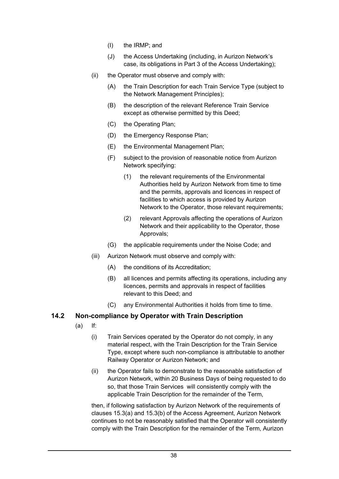- (I) the IRMP; and
- (J) the Access Undertaking (including, in Aurizon Network's case, its obligations in Part 3 of the Access Undertaking);
- (ii) the Operator must observe and comply with:
	- (A) the Train Description for each Train Service Type (subject to the Network Management Principles);
	- (B) the description of the relevant Reference Train Service except as otherwise permitted by this Deed;
	- (C) the Operating Plan;
	- (D) the Emergency Response Plan;
	- (E) the Environmental Management Plan;
	- (F) subject to the provision of reasonable notice from Aurizon Network specifying:
		- (1) the relevant requirements of the Environmental Authorities held by Aurizon Network from time to time and the permits, approvals and licences in respect of facilities to which access is provided by Aurizon Network to the Operator, those relevant requirements;
		- (2) relevant Approvals affecting the operations of Aurizon Network and their applicability to the Operator, those Approvals;
	- (G) the applicable requirements under the Noise Code; and
- (iii) Aurizon Network must observe and comply with:
	- (A) the conditions of its Accreditation;
	- (B) all licences and permits affecting its operations, including any licences, permits and approvals in respect of facilities relevant to this Deed; and
	- (C) any Environmental Authorities it holds from time to time.

## **14.2 Non-compliance by Operator with Train Description**

- (a) If:
	- (i) Train Services operated by the Operator do not comply, in any material respect, with the Train Description for the Train Service Type, except where such non-compliance is attributable to another Railway Operator or Aurizon Network; and
	- (ii) the Operator fails to demonstrate to the reasonable satisfaction of Aurizon Network, within 20 Business Days of being requested to do so, that those Train Services will consistently comply with the applicable Train Description for the remainder of the Term,

then, if following satisfaction by Aurizon Network of the requirements of clauses 15.3(a) and 15.3(b) of the Access Agreement, Aurizon Network continues to not be reasonably satisfied that the Operator will consistently comply with the Train Description for the remainder of the Term, Aurizon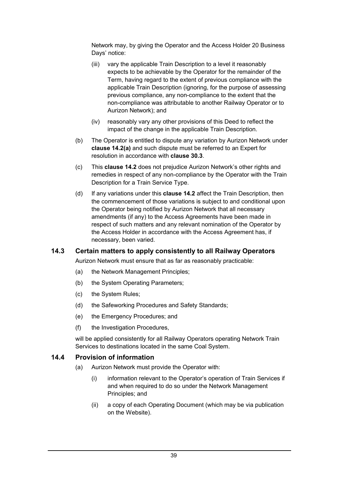Network may, by giving the Operator and the Access Holder 20 Business Days' notice:

- (iii) vary the applicable Train Description to a level it reasonably expects to be achievable by the Operator for the remainder of the Term, having regard to the extent of previous compliance with the applicable Train Description (ignoring, for the purpose of assessing previous compliance, any non-compliance to the extent that the non-compliance was attributable to another Railway Operator or to Aurizon Network); and
- (iv) reasonably vary any other provisions of this Deed to reflect the impact of the change in the applicable Train Description.
- (b) The Operator is entitled to dispute any variation by Aurizon Network under **clause 14.2(a)** and such dispute must be referred to an Expert for resolution in accordance with **clause 30.3**.
- (c) This **clause 14.2** does not prejudice Aurizon Network's other rights and remedies in respect of any non-compliance by the Operator with the Train Description for a Train Service Type.
- (d) If any variations under this **clause 14.2** affect the Train Description, then the commencement of those variations is subject to and conditional upon the Operator being notified by Aurizon Network that all necessary amendments (if any) to the Access Agreements have been made in respect of such matters and any relevant nomination of the Operator by the Access Holder in accordance with the Access Agreement has, if necessary, been varied.

## **14.3 Certain matters to apply consistently to all Railway Operators**

Aurizon Network must ensure that as far as reasonably practicable:

- (a) the Network Management Principles;
- (b) the System Operating Parameters;
- (c) the System Rules;
- (d) the Safeworking Procedures and Safety Standards;
- (e) the Emergency Procedures; and
- (f) the Investigation Procedures,

will be applied consistently for all Railway Operators operating Network Train Services to destinations located in the same Coal System.

#### **14.4 Provision of information**

- (a) Aurizon Network must provide the Operator with:
	- (i) information relevant to the Operator's operation of Train Services if and when required to do so under the Network Management Principles; and
	- (ii) a copy of each Operating Document (which may be via publication on the Website).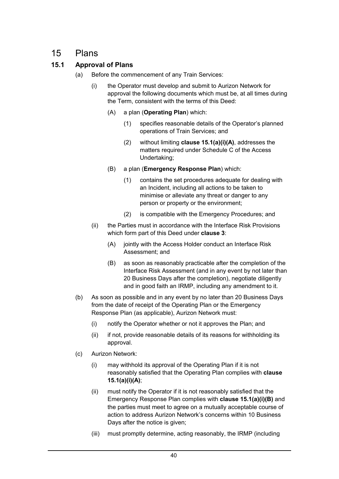# 15 Plans

# **15.1 Approval of Plans**

- (a) Before the commencement of any Train Services:
	- (i) the Operator must develop and submit to Aurizon Network for approval the following documents which must be, at all times during the Term, consistent with the terms of this Deed:
		- (A) a plan (**Operating Plan**) which:
			- (1) specifies reasonable details of the Operator's planned operations of Train Services; and
			- (2) without limiting **clause 15.1(a)(i)(A)**, addresses the matters required under Schedule C of the Access Undertaking;
		- (B) a plan (**Emergency Response Plan**) which:
			- (1) contains the set procedures adequate for dealing with an Incident, including all actions to be taken to minimise or alleviate any threat or danger to any person or property or the environment;
			- (2) is compatible with the Emergency Procedures; and
	- (ii) the Parties must in accordance with the Interface Risk Provisions which form part of this Deed under **clause 3**:
		- (A) jointly with the Access Holder conduct an Interface Risk Assessment; and
		- (B) as soon as reasonably practicable after the completion of the Interface Risk Assessment (and in any event by not later than 20 Business Days after the completion), negotiate diligently and in good faith an IRMP, including any amendment to it.
- (b) As soon as possible and in any event by no later than 20 Business Days from the date of receipt of the Operating Plan or the Emergency Response Plan (as applicable), Aurizon Network must:
	- (i) notify the Operator whether or not it approves the Plan; and
	- (ii) if not, provide reasonable details of its reasons for withholding its approval.
- (c) Aurizon Network:
	- (i) may withhold its approval of the Operating Plan if it is not reasonably satisfied that the Operating Plan complies with **clause 15.1(a)(i)(A)**;
	- (ii) must notify the Operator if it is not reasonably satisfied that the Emergency Response Plan complies with **clause 15.1(a)(i)(B)** and the parties must meet to agree on a mutually acceptable course of action to address Aurizon Network's concerns within 10 Business Days after the notice is given:
	- (iii) must promptly determine, acting reasonably, the IRMP (including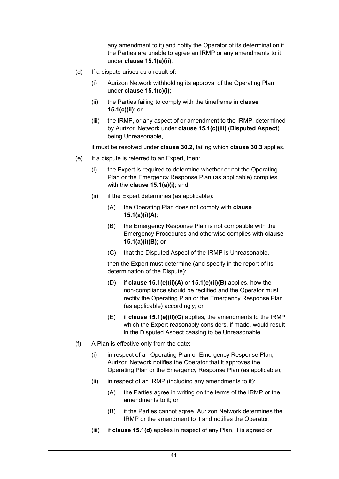any amendment to it) and notify the Operator of its determination if the Parties are unable to agree an IRMP or any amendments to it under **clause 15.1(a)(ii)**.

- (d) If a dispute arises as a result of:
	- (i) Aurizon Network withholding its approval of the Operating Plan under **clause 15.1(c)(i)**;
	- (ii) the Parties failing to comply with the timeframe in **clause 15.1(c)(ii)**; or
	- (iii) the IRMP, or any aspect of or amendment to the IRMP, determined by Aurizon Network under **clause 15.1(c)(iii)** (**Disputed Aspect**) being Unreasonable,

it must be resolved under **clause 30.2**, failing which **clause 30.3** applies.

- (e) If a dispute is referred to an Expert, then:
	- (i) the Expert is required to determine whether or not the Operating Plan or the Emergency Response Plan (as applicable) complies with the **clause 15.1(a)(i)**; and
	- (ii) if the Expert determines (as applicable):
		- (A) the Operating Plan does not comply with **clause 15.1(a)(i)(A)**;
		- (B) the Emergency Response Plan is not compatible with the Emergency Procedures and otherwise complies with **clause 15.1(a)(i)(B);** or
		- (C) that the Disputed Aspect of the IRMP is Unreasonable,

then the Expert must determine (and specify in the report of its determination of the Dispute):

- (D) if **clause 15.1(e)(ii)(A)** or **15.1(e)(ii)(B)** applies, how the non-compliance should be rectified and the Operator must rectify the Operating Plan or the Emergency Response Plan (as applicable) accordingly; or
- (E) if **clause 15.1(e)(ii)(C)** applies, the amendments to the IRMP which the Expert reasonably considers, if made, would result in the Disputed Aspect ceasing to be Unreasonable.
- (f) A Plan is effective only from the date:
	- (i) in respect of an Operating Plan or Emergency Response Plan, Aurizon Network notifies the Operator that it approves the Operating Plan or the Emergency Response Plan (as applicable);
	- $(ii)$  in respect of an IRMP (including any amendments to it):
		- (A) the Parties agree in writing on the terms of the IRMP or the amendments to it; or
		- (B) if the Parties cannot agree, Aurizon Network determines the IRMP or the amendment to it and notifies the Operator;
	- (iii) if **clause 15.1(d)** applies in respect of any Plan, it is agreed or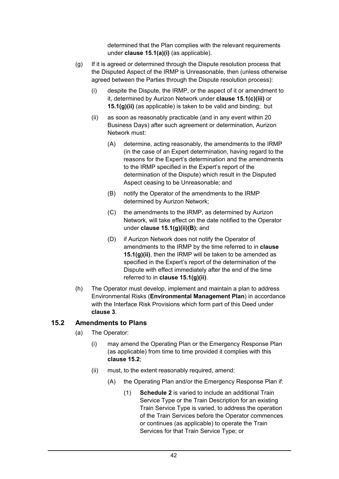determined that the Plan complies with the relevant requirements under **clause 15.1(a)(i)** (as applicable).

- (g) If it is agreed or determined through the Dispute resolution process that the Disputed Aspect of the IRMP is Unreasonable, then (unless otherwise agreed between the Parties through the Dispute resolution process):
	- (i) despite the Dispute, the IRMP, or the aspect of it or amendment to it, determined by Aurizon Network under **clause 15.1(c)(iii)** or **15.1(g)(ii)** (as applicable) is taken to be valid and binding; but
	- (ii) as soon as reasonably practicable (and in any event within 20 Business Days) after such agreement or determination, Aurizon Network must:
		- (A) determine, acting reasonably, the amendments to the IRMP (in the case of an Expert determination, having regard to the reasons for the Expert's determination and the amendments to the IRMP specified in the Expert's report of the determination of the Dispute) which result in the Disputed Aspect ceasing to be Unreasonable; and
		- (B) notify the Operator of the amendments to the IRMP determined by Aurizon Network;
		- (C) the amendments to the IRMP, as determined by Aurizon Network, will take effect on the date notified to the Operator under **clause 15.1(g)(ii)(B)**; and
		- (D) if Aurizon Network does not notify the Operator of amendments to the IRMP by the time referred to in **clause 15.1(g)(ii)**, then the IRMP will be taken to be amended as specified in the Expert's report of the determination of the Dispute with effect immediately after the end of the time referred to in **clause 15.1(g)(ii)**.
- (h) The Operator must develop, implement and maintain a plan to address Environmental Risks (**Environmental Management Plan**) in accordance with the Interface Risk Provisions which form part of this Deed under **clause 3**.

## **15.2 Amendments to Plans**

- (a) The Operator:
	- (i) may amend the Operating Plan or the Emergency Response Plan (as applicable) from time to time provided it complies with this **clause 15.2**;
	- (ii) must, to the extent reasonably required, amend:
		- (A) the Operating Plan and/or the Emergency Response Plan if:
			- (1) **Schedule 2** is varied to include an additional Train Service Type or the Train Description for an existing Train Service Type is varied, to address the operation of the Train Services before the Operator commences or continues (as applicable) to operate the Train Services for that Train Service Type; or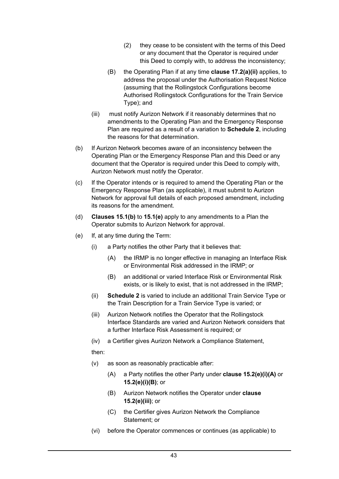- (2) they cease to be consistent with the terms of this Deed or any document that the Operator is required under this Deed to comply with, to address the inconsistency;
- (B) the Operating Plan if at any time **clause 17.2(a)(ii)** applies, to address the proposal under the Authorisation Request Notice (assuming that the Rollingstock Configurations become Authorised Rollingstock Configurations for the Train Service Type); and
- (iii) must notify Aurizon Network if it reasonably determines that no amendments to the Operating Plan and the Emergency Response Plan are required as a result of a variation to **Schedule 2**, including the reasons for that determination.
- (b) If Aurizon Network becomes aware of an inconsistency between the Operating Plan or the Emergency Response Plan and this Deed or any document that the Operator is required under this Deed to comply with, Aurizon Network must notify the Operator.
- (c) If the Operator intends or is required to amend the Operating Plan or the Emergency Response Plan (as applicable), it must submit to Aurizon Network for approval full details of each proposed amendment, including its reasons for the amendment.
- (d) **Clauses 15.1(b)** to **15.1(e)** apply to any amendments to a Plan the Operator submits to Aurizon Network for approval.
- (e) If, at any time during the Term:
	- (i) a Party notifies the other Party that it believes that:
		- (A) the IRMP is no longer effective in managing an Interface Risk or Environmental Risk addressed in the IRMP; or
		- (B) an additional or varied Interface Risk or Environmental Risk exists, or is likely to exist, that is not addressed in the IRMP;
	- (ii) **Schedule 2** is varied to include an additional Train Service Type or the Train Description for a Train Service Type is varied; or
	- (iii) Aurizon Network notifies the Operator that the Rollingstock Interface Standards are varied and Aurizon Network considers that a further Interface Risk Assessment is required; or
	- (iv) a Certifier gives Aurizon Network a Compliance Statement,

then:

- (v) as soon as reasonably practicable after:
	- (A) a Party notifies the other Party under **clause 15.2(e)(i)(A)** or **15.2(e)(i)(B)**; or
	- (B) Aurizon Network notifies the Operator under **clause 15.2(e)(iii)**; or
	- (C) the Certifier gives Aurizon Network the Compliance Statement; or
- (vi) before the Operator commences or continues (as applicable) to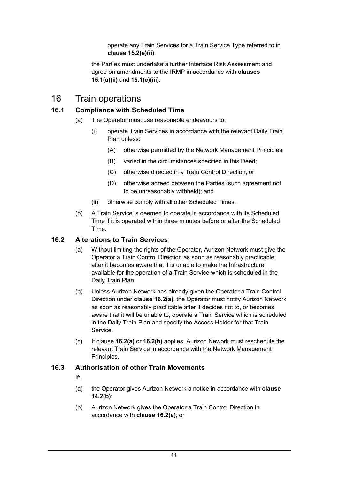operate any Train Services for a Train Service Type referred to in **clause 15.2(e)(ii)**;

the Parties must undertake a further Interface Risk Assessment and agree on amendments to the IRMP in accordance with **clauses 15.1(a)(ii)** and **15.1(c)(iii)**.

# 16 Train operations

## **16.1 Compliance with Scheduled Time**

- (a) The Operator must use reasonable endeavours to:
	- (i) operate Train Services in accordance with the relevant Daily Train Plan unless:
		- (A) otherwise permitted by the Network Management Principles;
		- (B) varied in the circumstances specified in this Deed;
		- (C) otherwise directed in a Train Control Direction; or
		- (D) otherwise agreed between the Parties (such agreement not to be unreasonably withheld); and
	- (ii) otherwise comply with all other Scheduled Times.
- (b) A Train Service is deemed to operate in accordance with its Scheduled Time if it is operated within three minutes before or after the Scheduled Time.

## **16.2 Alterations to Train Services**

- (a) Without limiting the rights of the Operator, Aurizon Network must give the Operator a Train Control Direction as soon as reasonably practicable after it becomes aware that it is unable to make the Infrastructure available for the operation of a Train Service which is scheduled in the Daily Train Plan.
- (b) Unless Aurizon Network has already given the Operator a Train Control Direction under **clause 16.2(a)**, the Operator must notify Aurizon Network as soon as reasonably practicable after it decides not to, or becomes aware that it will be unable to, operate a Train Service which is scheduled in the Daily Train Plan and specify the Access Holder for that Train Service.
- (c) If clause **16.2(a)** or **16.2(b)** applies, Aurizon Nework must reschedule the relevant Train Service in accordance with the Network Management Principles.

## **16.3 Authorisation of other Train Movements**

- If:
- (a) the Operator gives Aurizon Network a notice in accordance with **clause 14.2(b)**;
- (b) Aurizon Network gives the Operator a Train Control Direction in accordance with **clause 16.2(a)**; or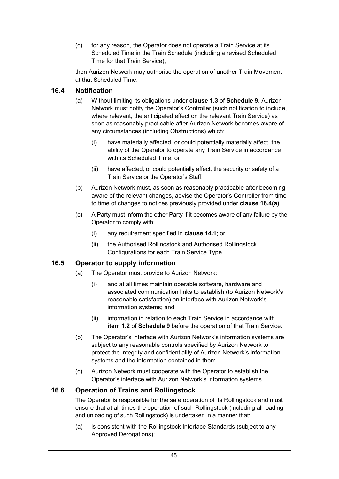(c) for any reason, the Operator does not operate a Train Service at its Scheduled Time in the Train Schedule (including a revised Scheduled Time for that Train Service),

then Aurizon Network may authorise the operation of another Train Movement at that Scheduled Time.

### **16.4 Notification**

- (a) Without limiting its obligations under **clause 1.3** of **Schedule 9**, Aurizon Network must notify the Operator's Controller (such notification to include, where relevant, the anticipated effect on the relevant Train Service) as soon as reasonably practicable after Aurizon Network becomes aware of any circumstances (including Obstructions) which:
	- (i) have materially affected, or could potentially materially affect, the ability of the Operator to operate any Train Service in accordance with its Scheduled Time; or
	- (ii) have affected, or could potentially affect, the security or safety of a Train Service or the Operator's Staff.
- (b) Aurizon Network must, as soon as reasonably practicable after becoming aware of the relevant changes, advise the Operator's Controller from time to time of changes to notices previously provided under **clause 16.4(a)**.
- (c) A Party must inform the other Party if it becomes aware of any failure by the Operator to comply with:
	- (i) any requirement specified in **clause 14.1**; or
	- (ii) the Authorised Rollingstock and Authorised Rollingstock Configurations for each Train Service Type.

## **16.5 Operator to supply information**

- (a) The Operator must provide to Aurizon Network:
	- (i) and at all times maintain operable software, hardware and associated communication links to establish (to Aurizon Network's reasonable satisfaction) an interface with Aurizon Network's information systems; and
	- (ii) information in relation to each Train Service in accordance with **item 1.2** of **Schedule 9** before the operation of that Train Service.
- (b) The Operator's interface with Aurizon Network's information systems are subject to any reasonable controls specified by Aurizon Network to protect the integrity and confidentiality of Aurizon Network's information systems and the information contained in them.
- (c) Aurizon Network must cooperate with the Operator to establish the Operator's interface with Aurizon Network's information systems.

#### **16.6 Operation of Trains and Rollingstock**

The Operator is responsible for the safe operation of its Rollingstock and must ensure that at all times the operation of such Rollingstock (including all loading and unloading of such Rollingstock) is undertaken in a manner that:

(a) is consistent with the Rollingstock Interface Standards (subject to any Approved Derogations);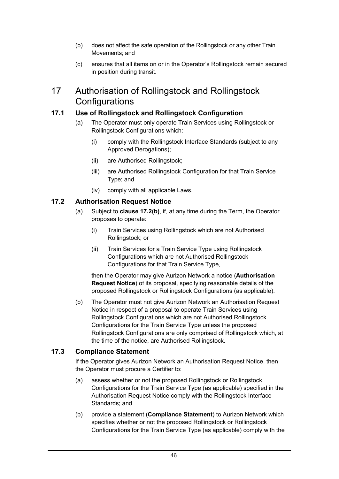- (b) does not affect the safe operation of the Rollingstock or any other Train Movements; and
- (c) ensures that all items on or in the Operator's Rollingstock remain secured in position during transit.

# 17 Authorisation of Rollingstock and Rollingstock **Configurations**

# **17.1 Use of Rollingstock and Rollingstock Configuration**

- (a) The Operator must only operate Train Services using Rollingstock or Rollingstock Configurations which:
	- (i) comply with the Rollingstock Interface Standards (subject to any Approved Derogations);
	- (ii) are Authorised Rollingstock;
	- (iii) are Authorised Rollingstock Configuration for that Train Service Type; and
	- (iv) comply with all applicable Laws.

## **17.2 Authorisation Request Notice**

- (a) Subject to **clause 17.2(b)**, if, at any time during the Term, the Operator proposes to operate:
	- (i) Train Services using Rollingstock which are not Authorised Rollingstock; or
	- (ii) Train Services for a Train Service Type using Rollingstock Configurations which are not Authorised Rollingstock Configurations for that Train Service Type,

then the Operator may give Aurizon Network a notice (**Authorisation Request Notice**) of its proposal, specifying reasonable details of the proposed Rollingstock or Rollingstock Configurations (as applicable).

(b) The Operator must not give Aurizon Network an Authorisation Request Notice in respect of a proposal to operate Train Services using Rollingstock Configurations which are not Authorised Rollingstock Configurations for the Train Service Type unless the proposed Rollingstock Configurations are only comprised of Rollingstock which, at the time of the notice, are Authorised Rollingstock.

## **17.3 Compliance Statement**

If the Operator gives Aurizon Network an Authorisation Request Notice, then the Operator must procure a Certifier to:

- (a) assess whether or not the proposed Rollingstock or Rollingstock Configurations for the Train Service Type (as applicable) specified in the Authorisation Request Notice comply with the Rollingstock Interface Standards; and
- (b) provide a statement (**Compliance Statement**) to Aurizon Network which specifies whether or not the proposed Rollingstock or Rollingstock Configurations for the Train Service Type (as applicable) comply with the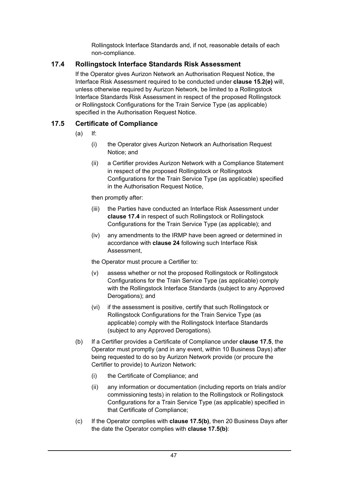Rollingstock Interface Standards and, if not, reasonable details of each non-compliance.

# **17.4 Rollingstock Interface Standards Risk Assessment**

If the Operator gives Aurizon Network an Authorisation Request Notice, the Interface Risk Assessment required to be conducted under **clause 15.2(e)** will, unless otherwise required by Aurizon Network, be limited to a Rollingstock Interface Standards Risk Assessment in respect of the proposed Rollingstock or Rollingstock Configurations for the Train Service Type (as applicable) specified in the Authorisation Request Notice.

# **17.5 Certificate of Compliance**

- (a) If:
	- (i) the Operator gives Aurizon Network an Authorisation Request Notice; and
	- (ii) a Certifier provides Aurizon Network with a Compliance Statement in respect of the proposed Rollingstock or Rollingstock Configurations for the Train Service Type (as applicable) specified in the Authorisation Request Notice,

then promptly after:

- (iii) the Parties have conducted an Interface Risk Assessment under **clause 17.4** in respect of such Rollingstock or Rollingstock Configurations for the Train Service Type (as applicable); and
- (iv) any amendments to the IRMP have been agreed or determined in accordance with **clause 24** following such Interface Risk Assessment,

the Operator must procure a Certifier to:

- (v) assess whether or not the proposed Rollingstock or Rollingstock Configurations for the Train Service Type (as applicable) comply with the Rollingstock Interface Standards (subject to any Approved Derogations); and
- (vi) if the assessment is positive, certify that such Rollingstock or Rollingstock Configurations for the Train Service Type (as applicable) comply with the Rollingstock Interface Standards (subject to any Approved Derogations).
- (b) If a Certifier provides a Certificate of Compliance under **clause 17.5**, the Operator must promptly (and in any event, within 10 Business Days) after being requested to do so by Aurizon Network provide (or procure the Certifier to provide) to Aurizon Network:
	- (i) the Certificate of Compliance; and
	- (ii) any information or documentation (including reports on trials and/or commissioning tests) in relation to the Rollingstock or Rollingstock Configurations for a Train Service Type (as applicable) specified in that Certificate of Compliance;
- (c) If the Operator complies with **clause 17.5(b)**, then 20 Business Days after the date the Operator complies with **clause 17.5(b)**: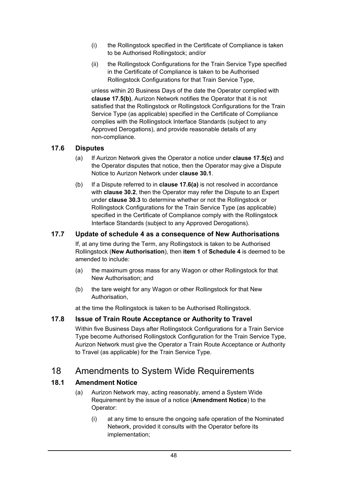- (i) the Rollingstock specified in the Certificate of Compliance is taken to be Authorised Rollingstock; and/or
- (ii) the Rollingstock Configurations for the Train Service Type specified in the Certificate of Compliance is taken to be Authorised Rollingstock Configurations for that Train Service Type,

unless within 20 Business Days of the date the Operator complied with **clause 17.5(b)**, Aurizon Network notifies the Operator that it is not satisfied that the Rollingstock or Rollingstock Configurations for the Train Service Type (as applicable) specified in the Certificate of Compliance complies with the Rollingstock Interface Standards (subject to any Approved Derogations), and provide reasonable details of any non-compliance.

## **17.6 Disputes**

- (a) If Aurizon Network gives the Operator a notice under **clause 17.5(c)** and the Operator disputes that notice, then the Operator may give a Dispute Notice to Aurizon Network under **clause 30.1**.
- (b) If a Dispute referred to in **clause 17.6(a)** is not resolved in accordance with **clause 30.2**, then the Operator may refer the Dispute to an Expert under **clause 30.3** to determine whether or not the Rollingstock or Rollingstock Configurations for the Train Service Type (as applicable) specified in the Certificate of Compliance comply with the Rollingstock Interface Standards (subject to any Approved Derogations).

### **17.7 Update of schedule 4 as a consequence of New Authorisations**

If, at any time during the Term, any Rollingstock is taken to be Authorised Rollingstock (**New Authorisation**), then **item 1** of **Schedule 4** is deemed to be amended to include:

- (a) the maximum gross mass for any Wagon or other Rollingstock for that New Authorisation; and
- (b) the tare weight for any Wagon or other Rollingstock for that New Authorisation,

at the time the Rollingstock is taken to be Authorised Rollingstock.

#### **17.8 Issue of Train Route Acceptance or Authority to Travel**

Within five Business Days after Rollingstock Configurations for a Train Service Type become Authorised Rollingstock Configuration for the Train Service Type, Aurizon Network must give the Operator a Train Route Acceptance or Authority to Travel (as applicable) for the Train Service Type.

# 18 Amendments to System Wide Requirements

## **18.1 Amendment Notice**

- (a) Aurizon Network may, acting reasonably, amend a System Wide Requirement by the issue of a notice (**Amendment Notice**) to the Operator:
	- (i) at any time to ensure the ongoing safe operation of the Nominated Network, provided it consults with the Operator before its implementation;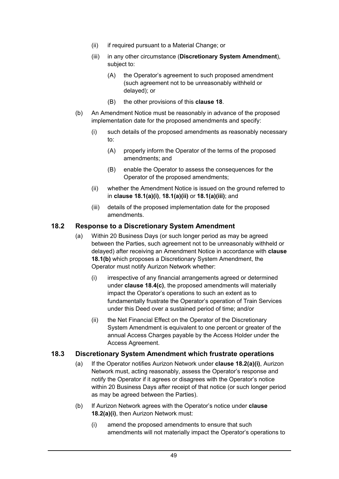- (ii) if required pursuant to a Material Change; or
- (iii) in any other circumstance (**Discretionary System Amendment**), subject to:
	- (A) the Operator's agreement to such proposed amendment (such agreement not to be unreasonably withheld or delayed); or
	- (B) the other provisions of this **clause 18**.
- (b) An Amendment Notice must be reasonably in advance of the proposed implementation date for the proposed amendments and specify:
	- (i) such details of the proposed amendments as reasonably necessary to:
		- (A) properly inform the Operator of the terms of the proposed amendments; and
		- (B) enable the Operator to assess the consequences for the Operator of the proposed amendments;
	- (ii) whether the Amendment Notice is issued on the ground referred to in **clause 18.1(a)(i)**, **18.1(a)(ii)** or **18.1(a)(iii)**; and
	- (iii) details of the proposed implementation date for the proposed amendments.

### **18.2 Response to a Discretionary System Amendment**

- (a) Within 20 Business Days (or such longer period as may be agreed between the Parties, such agreement not to be unreasonably withheld or delayed) after receiving an Amendment Notice in accordance with **clause 18.1(b)** which proposes a Discretionary System Amendment, the Operator must notify Aurizon Network whether:
	- (i) irrespective of any financial arrangements agreed or determined under **clause 18.4(c)**, the proposed amendments will materially impact the Operator's operations to such an extent as to fundamentally frustrate the Operator's operation of Train Services under this Deed over a sustained period of time; and/or
	- (ii) the Net Financial Effect on the Operator of the Discretionary System Amendment is equivalent to one percent or greater of the annual Access Charges payable by the Access Holder under the Access Agreement.

#### **18.3 Discretionary System Amendment which frustrate operations**

- (a) If the Operator notifies Aurizon Network under **clause 18.2(a)(i)**, Aurizon Network must, acting reasonably, assess the Operator's response and notify the Operator if it agrees or disagrees with the Operator's notice within 20 Business Days after receipt of that notice (or such longer period as may be agreed between the Parties).
- (b) If Aurizon Network agrees with the Operator's notice under **clause 18.2(a)(i)**, then Aurizon Network must:
	- (i) amend the proposed amendments to ensure that such amendments will not materially impact the Operator's operations to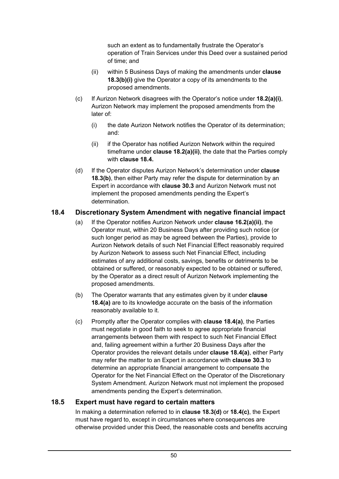such an extent as to fundamentally frustrate the Operator's operation of Train Services under this Deed over a sustained period of time; and

- (ii) within 5 Business Days of making the amendments under **clause 18.3(b)(i)** give the Operator a copy of its amendments to the proposed amendments.
- (c) If Aurizon Network disagrees with the Operator's notice under **18.2(a)(i)**, Aurizon Network may implement the proposed amendments from the later of:
	- (i) the date Aurizon Network notifies the Operator of its determination; and:
	- (ii) if the Operator has notified Aurizon Network within the required timeframe under **clause 18.2(a)(ii)**, the date that the Parties comply with **clause 18.4.**
- (d) If the Operator disputes Aurizon Network's determination under **clause 18.3(b)**, then either Party may refer the dispute for determination by an Expert in accordance with **clause 30.3** and Aurizon Network must not implement the proposed amendments pending the Expert's determination.

## **18.4 Discretionary System Amendment with negative financial impact**

- (a) If the Operator notifies Aurizon Network under **clause 16.2(a)(ii)**, the Operator must, within 20 Business Days after providing such notice (or such longer period as may be agreed between the Parties), provide to Aurizon Network details of such Net Financial Effect reasonably required by Aurizon Network to assess such Net Financial Effect, including estimates of any additional costs, savings, benefits or detriments to be obtained or suffered, or reasonably expected to be obtained or suffered, by the Operator as a direct result of Aurizon Network implementing the proposed amendments.
- (b) The Operator warrants that any estimates given by it under **clause 18.4(a)** are to its knowledge accurate on the basis of the information reasonably available to it.
- (c) Promptly after the Operator complies with **clause 18.4(a)**, the Parties must negotiate in good faith to seek to agree appropriate financial arrangements between them with respect to such Net Financial Effect and, failing agreement within a further 20 Business Days after the Operator provides the relevant details under **clause 18.4(a)**, either Party may refer the matter to an Expert in accordance with **clause 30.3** to determine an appropriate financial arrangement to compensate the Operator for the Net Financial Effect on the Operator of the Discretionary System Amendment. Aurizon Network must not implement the proposed amendments pending the Expert's determination.

## **18.5 Expert must have regard to certain matters**

In making a determination referred to in **clause 18.3(d)** or **18.4(c)**, the Expert must have regard to, except in circumstances where consequences are otherwise provided under this Deed, the reasonable costs and benefits accruing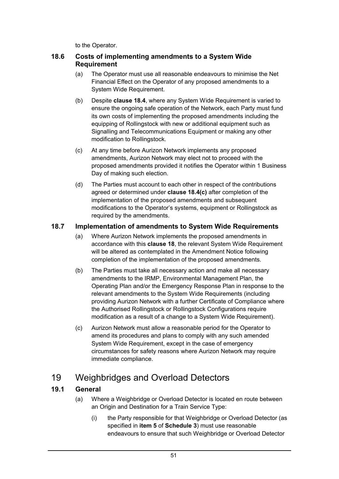to the Operator.

## **18.6 Costs of implementing amendments to a System Wide Requirement**

- (a) The Operator must use all reasonable endeavours to minimise the Net Financial Effect on the Operator of any proposed amendments to a System Wide Requirement.
- (b) Despite **clause 18.4**, where any System Wide Requirement is varied to ensure the ongoing safe operation of the Network, each Party must fund its own costs of implementing the proposed amendments including the equipping of Rollingstock with new or additional equipment such as Signalling and Telecommunications Equipment or making any other modification to Rollingstock.
- (c) At any time before Aurizon Network implements any proposed amendments, Aurizon Network may elect not to proceed with the proposed amendments provided it notifies the Operator within 1 Business Day of making such election.
- (d) The Parties must account to each other in respect of the contributions agreed or determined under **clause 18.4(c)** after completion of the implementation of the proposed amendments and subsequent modifications to the Operator's systems, equipment or Rollingstock as required by the amendments.

## **18.7 Implementation of amendments to System Wide Requirements**

- (a) Where Aurizon Network implements the proposed amendments in accordance with this **clause 18**, the relevant System Wide Requirement will be altered as contemplated in the Amendment Notice following completion of the implementation of the proposed amendments.
- (b) The Parties must take all necessary action and make all necessary amendments to the IRMP, Environmental Management Plan, the Operating Plan and/or the Emergency Response Plan in response to the relevant amendments to the System Wide Requirements (including providing Aurizon Network with a further Certificate of Compliance where the Authorised Rollingstock or Rollingstock Configurations require modification as a result of a change to a System Wide Requirement).
- (c) Aurizon Network must allow a reasonable period for the Operator to amend its procedures and plans to comply with any such amended System Wide Requirement, except in the case of emergency circumstances for safety reasons where Aurizon Network may require immediate compliance.

# 19 Weighbridges and Overload Detectors

## **19.1 General**

- (a) Where a Weighbridge or Overload Detector is located en route between an Origin and Destination for a Train Service Type:
	- (i) the Party responsible for that Weighbridge or Overload Detector (as specified in **item 5** of **Schedule 3**) must use reasonable endeavours to ensure that such Weighbridge or Overload Detector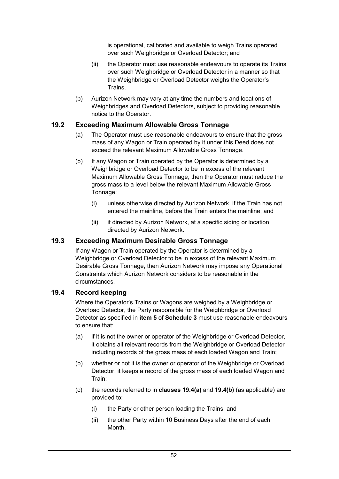is operational, calibrated and available to weigh Trains operated over such Weighbridge or Overload Detector; and

- (ii) the Operator must use reasonable endeavours to operate its Trains over such Weighbridge or Overload Detector in a manner so that the Weighbridge or Overload Detector weighs the Operator's Trains.
- (b) Aurizon Network may vary at any time the numbers and locations of Weighbridges and Overload Detectors, subject to providing reasonable notice to the Operator.

## **19.2 Exceeding Maximum Allowable Gross Tonnage**

- (a) The Operator must use reasonable endeavours to ensure that the gross mass of any Wagon or Train operated by it under this Deed does not exceed the relevant Maximum Allowable Gross Tonnage.
- (b) If any Wagon or Train operated by the Operator is determined by a Weighbridge or Overload Detector to be in excess of the relevant Maximum Allowable Gross Tonnage, then the Operator must reduce the gross mass to a level below the relevant Maximum Allowable Gross Tonnage:
	- (i) unless otherwise directed by Aurizon Network, if the Train has not entered the mainline, before the Train enters the mainline; and
	- (ii) if directed by Aurizon Network, at a specific siding or location directed by Aurizon Network.

## **19.3 Exceeding Maximum Desirable Gross Tonnage**

If any Wagon or Train operated by the Operator is determined by a Weighbridge or Overload Detector to be in excess of the relevant Maximum Desirable Gross Tonnage, then Aurizon Network may impose any Operational Constraints which Aurizon Network considers to be reasonable in the circumstances.

## **19.4 Record keeping**

Where the Operator's Trains or Wagons are weighed by a Weighbridge or Overload Detector, the Party responsible for the Weighbridge or Overload Detector as specified in **item 5** of **Schedule 3** must use reasonable endeavours to ensure that:

- (a) if it is not the owner or operator of the Weighbridge or Overload Detector, it obtains all relevant records from the Weighbridge or Overload Detector including records of the gross mass of each loaded Wagon and Train;
- (b) whether or not it is the owner or operator of the Weighbridge or Overload Detector, it keeps a record of the gross mass of each loaded Wagon and Train;
- (c) the records referred to in **clauses 19.4(a)** and **19.4(b)** (as applicable) are provided to:
	- (i) the Party or other person loading the Trains; and
	- (ii) the other Party within 10 Business Days after the end of each Month.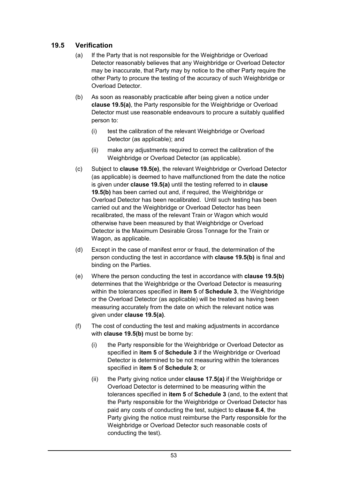# **19.5 Verification**

- (a) If the Party that is not responsible for the Weighbridge or Overload Detector reasonably believes that any Weighbridge or Overload Detector may be inaccurate, that Party may by notice to the other Party require the other Party to procure the testing of the accuracy of such Weighbridge or Overload Detector.
- (b) As soon as reasonably practicable after being given a notice under **clause 19.5(a)**, the Party responsible for the Weighbridge or Overload Detector must use reasonable endeavours to procure a suitably qualified person to:
	- (i) test the calibration of the relevant Weighbridge or Overload Detector (as applicable); and
	- (ii) make any adjustments required to correct the calibration of the Weighbridge or Overload Detector (as applicable).
- (c) Subject to **clause 19.5(e)**, the relevant Weighbridge or Overload Detector (as applicable) is deemed to have malfunctioned from the date the notice is given under **clause 19.5(a)** until the testing referred to in **clause 19.5(b)** has been carried out and, if required, the Weighbridge or Overload Detector has been recalibrated. Until such testing has been carried out and the Weighbridge or Overload Detector has been recalibrated, the mass of the relevant Train or Wagon which would otherwise have been measured by that Weighbridge or Overload Detector is the Maximum Desirable Gross Tonnage for the Train or Wagon, as applicable.
- (d) Except in the case of manifest error or fraud, the determination of the person conducting the test in accordance with **clause 19.5(b)** is final and binding on the Parties.
- (e) Where the person conducting the test in accordance with **clause 19.5(b)** determines that the Weighbridge or the Overload Detector is measuring within the tolerances specified in **item 5** of **Schedule 3**, the Weighbridge or the Overload Detector (as applicable) will be treated as having been measuring accurately from the date on which the relevant notice was given under **clause 19.5(a)**.
- (f) The cost of conducting the test and making adjustments in accordance with **clause 19.5(b)** must be borne by:
	- (i) the Party responsible for the Weighbridge or Overload Detector as specified in **item 5** of **Schedule 3** if the Weighbridge or Overload Detector is determined to be not measuring within the tolerances specified in **item 5** of **Schedule 3**; or
	- (ii) the Party giving notice under **clause 17.5(a)** if the Weighbridge or Overload Detector is determined to be measuring within the tolerances specified in **item 5** of **Schedule 3** (and, to the extent that the Party responsible for the Weighbridge or Overload Detector has paid any costs of conducting the test, subject to **clause 8.4**, the Party giving the notice must reimburse the Party responsible for the Weighbridge or Overload Detector such reasonable costs of conducting the test).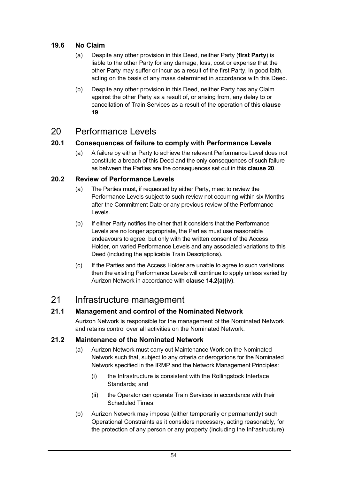## **19.6 No Claim**

- (a) Despite any other provision in this Deed, neither Party (**first Party**) is liable to the other Party for any damage, loss, cost or expense that the other Party may suffer or incur as a result of the first Party, in good faith, acting on the basis of any mass determined in accordance with this Deed.
- (b) Despite any other provision in this Deed, neither Party has any Claim against the other Party as a result of, or arising from, any delay to or cancellation of Train Services as a result of the operation of this **clause 19**.

# 20 Performance Levels

## **20.1 Consequences of failure to comply with Performance Levels**

(a) A failure by either Party to achieve the relevant Performance Level does not constitute a breach of this Deed and the only consequences of such failure as between the Parties are the consequences set out in this **clause 20**.

## **20.2 Review of Performance Levels**

- (a) The Parties must, if requested by either Party, meet to review the Performance Levels subject to such review not occurring within six Months after the Commitment Date or any previous review of the Performance Levels.
- (b) If either Party notifies the other that it considers that the Performance Levels are no longer appropriate, the Parties must use reasonable endeavours to agree, but only with the written consent of the Access Holder, on varied Performance Levels and any associated variations to this Deed (including the applicable Train Descriptions).
- (c) If the Parties and the Access Holder are unable to agree to such variations then the existing Performance Levels will continue to apply unless varied by Aurizon Network in accordance with **clause 14.2(a)(iv)**.

# 21 Infrastructure management

## **21.1 Management and control of the Nominated Network**

Aurizon Network is responsible for the management of the Nominated Network and retains control over all activities on the Nominated Network.

## **21.2 Maintenance of the Nominated Network**

- (a) Aurizon Network must carry out Maintenance Work on the Nominated Network such that, subject to any criteria or derogations for the Nominated Network specified in the IRMP and the Network Management Principles:
	- (i) the Infrastructure is consistent with the Rollingstock Interface Standards; and
	- (ii) the Operator can operate Train Services in accordance with their Scheduled Times.
- (b) Aurizon Network may impose (either temporarily or permanently) such Operational Constraints as it considers necessary, acting reasonably, for the protection of any person or any property (including the Infrastructure)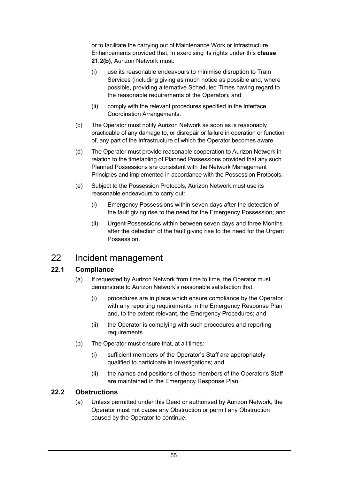or to facilitate the carrying out of Maintenance Work or Infrastructure Enhancements provided that, in exercising its rights under this **clause 21.2(b)**, Aurizon Network must:

- (i) use its reasonable endeavours to minimise disruption to Train Services (including giving as much notice as possible and, where possible, providing alternative Scheduled Times having regard to the reasonable requirements of the Operator); and
- (ii) comply with the relevant procedures specified in the Interface Coordination Arrangements.
- (c) The Operator must notify Aurizon Network as soon as is reasonably practicable of any damage to, or disrepair or failure in operation or function of, any part of the Infrastructure of which the Operator becomes aware.
- (d) The Operator must provide reasonable cooperation to Aurizon Network in relation to the timetabling of Planned Possessions provided that any such Planned Possessions are consistent with the Network Management Principles and implemented in accordance with the Possession Protocols.
- (e) Subject to the Possession Protocols, Aurizon Network must use its reasonable endeavours to carry out:
	- (i) Emergency Possessions within seven days after the detection of the fault giving rise to the need for the Emergency Possession; and
	- (ii) Urgent Possessions within between seven days and three Months after the detection of the fault giving rise to the need for the Urgent Possession.

# 22 Incident management

## **22.1 Compliance**

- (a) If requested by Aurizon Network from time to time, the Operator must demonstrate to Aurizon Network's reasonable satisfaction that:
	- (i) procedures are in place which ensure compliance by the Operator with any reporting requirements in the Emergency Response Plan and, to the extent relevant, the Emergency Procedures; and
	- (ii) the Operator is complying with such procedures and reporting requirements.
- (b) The Operator must ensure that, at all times:
	- (i) sufficient members of the Operator's Staff are appropriately qualified to participate in Investigations; and
	- (ii) the names and positions of those members of the Operator's Staff are maintained in the Emergency Response Plan.

## **22.2 Obstructions**

(a) Unless permitted under this Deed or authorised by Aurizon Network, the Operator must not cause any Obstruction or permit any Obstruction caused by the Operator to continue.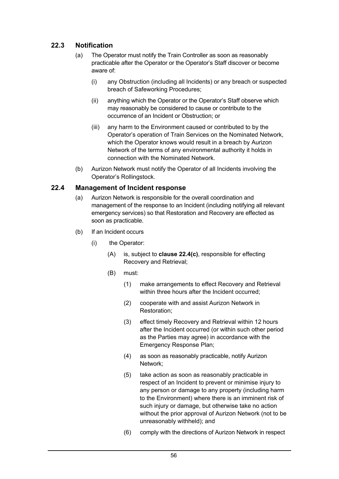## **22.3 Notification**

- (a) The Operator must notify the Train Controller as soon as reasonably practicable after the Operator or the Operator's Staff discover or become aware of:
	- (i) any Obstruction (including all Incidents) or any breach or suspected breach of Safeworking Procedures;
	- (ii) anything which the Operator or the Operator's Staff observe which may reasonably be considered to cause or contribute to the occurrence of an Incident or Obstruction; or
	- (iii) any harm to the Environment caused or contributed to by the Operator's operation of Train Services on the Nominated Network, which the Operator knows would result in a breach by Aurizon Network of the terms of any environmental authority it holds in connection with the Nominated Network.
- (b) Aurizon Network must notify the Operator of all Incidents involving the Operator's Rollingstock.

#### **22.4 Management of Incident response**

- (a) Aurizon Network is responsible for the overall coordination and management of the response to an Incident (including notifying all relevant emergency services) so that Restoration and Recovery are effected as soon as practicable.
- (b) If an Incident occurs
	- (i) the Operator:
		- (A) is, subject to **clause 22.4(c)**, responsible for effecting Recovery and Retrieval;
		- (B) must:
			- (1) make arrangements to effect Recovery and Retrieval within three hours after the Incident occurred:
			- (2) cooperate with and assist Aurizon Network in Restoration;
			- (3) effect timely Recovery and Retrieval within 12 hours after the Incident occurred (or within such other period as the Parties may agree) in accordance with the Emergency Response Plan;
			- (4) as soon as reasonably practicable, notify Aurizon Network;
			- (5) take action as soon as reasonably practicable in respect of an Incident to prevent or minimise injury to any person or damage to any property (including harm to the Environment) where there is an imminent risk of such injury or damage, but otherwise take no action without the prior approval of Aurizon Network (not to be unreasonably withheld); and
			- (6) comply with the directions of Aurizon Network in respect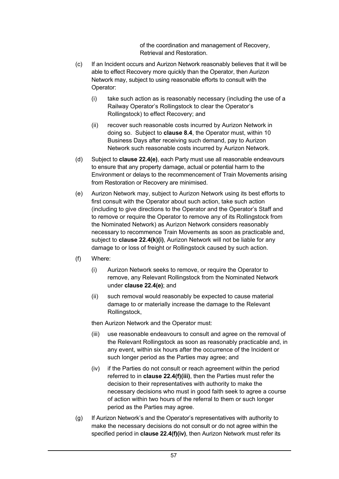of the coordination and management of Recovery, Retrieval and Restoration.

- (c) If an Incident occurs and Aurizon Network reasonably believes that it will be able to effect Recovery more quickly than the Operator, then Aurizon Network may, subject to using reasonable efforts to consult with the Operator:
	- (i) take such action as is reasonably necessary (including the use of a Railway Operator's Rollingstock to clear the Operator's Rollingstock) to effect Recovery; and
	- (ii) recover such reasonable costs incurred by Aurizon Network in doing so. Subject to **clause 8.4**, the Operator must, within 10 Business Days after receiving such demand, pay to Aurizon Network such reasonable costs incurred by Aurizon Network.
- (d) Subject to **clause 22.4(e)**, each Party must use all reasonable endeavours to ensure that any property damage, actual or potential harm to the Environment or delays to the recommencement of Train Movements arising from Restoration or Recovery are minimised.
- (e) Aurizon Network may, subject to Aurizon Network using its best efforts to first consult with the Operator about such action, take such action (including to give directions to the Operator and the Operator's Staff and to remove or require the Operator to remove any of its Rollingstock from the Nominated Network) as Aurizon Network considers reasonably necessary to recommence Train Movements as soon as practicable and, subject to **clause 22.4(k)(i)**, Aurizon Network will not be liable for any damage to or loss of freight or Rollingstock caused by such action.
- (f) Where:
	- (i) Aurizon Network seeks to remove, or require the Operator to remove, any Relevant Rollingstock from the Nominated Network under **clause 22.4(e)**; and
	- (ii) such removal would reasonably be expected to cause material damage to or materially increase the damage to the Relevant Rollingstock,

then Aurizon Network and the Operator must:

- (iii) use reasonable endeavours to consult and agree on the removal of the Relevant Rollingstock as soon as reasonably practicable and, in any event, within six hours after the occurrence of the Incident or such longer period as the Parties may agree; and
- (iv) if the Parties do not consult or reach agreement within the period referred to in **clause 22.4(f)(iii)**, then the Parties must refer the decision to their representatives with authority to make the necessary decisions who must in good faith seek to agree a course of action within two hours of the referral to them or such longer period as the Parties may agree.
- (g) If Aurizon Network's and the Operator's representatives with authority to make the necessary decisions do not consult or do not agree within the specified period in **clause 22.4(f)(iv)**, then Aurizon Network must refer its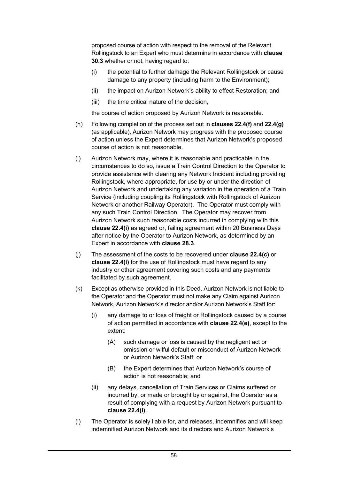proposed course of action with respect to the removal of the Relevant Rollingstock to an Expert who must determine in accordance with **clause 30.3** whether or not, having regard to:

- (i) the potential to further damage the Relevant Rollingstock or cause damage to any property (including harm to the Environment);
- (ii) the impact on Aurizon Network's ability to effect Restoration; and
- (iii) the time critical nature of the decision,

the course of action proposed by Aurizon Network is reasonable.

- (h) Following completion of the process set out in **clauses 22.4(f)** and **22.4(g)** (as applicable), Aurizon Network may progress with the proposed course of action unless the Expert determines that Aurizon Network's proposed course of action is not reasonable.
- (i) Aurizon Network may, where it is reasonable and practicable in the circumstances to do so, issue a Train Control Direction to the Operator to provide assistance with clearing any Network Incident including providing Rollingstock, where appropriate, for use by or under the direction of Aurizon Network and undertaking any variation in the operation of a Train Service (including coupling its Rollingstock with Rollingstock of Aurizon Network or another Railway Operator). The Operator must comply with any such Train Control Direction. The Operator may recover from Aurizon Network such reasonable costs incurred in complying with this **clause 22.4(i)** as agreed or, failing agreement within 20 Business Days after notice by the Operator to Aurizon Network, as determined by an Expert in accordance with **clause 28.3**.
- (j) The assessment of the costs to be recovered under **clause 22.4(c)** or **clause 22.4(i)** for the use of Rollingstock must have regard to any industry or other agreement covering such costs and any payments facilitated by such agreement.
- (k) Except as otherwise provided in this Deed, Aurizon Network is not liable to the Operator and the Operator must not make any Claim against Aurizon Network, Aurizon Network's director and/or Aurizon Network's Staff for:
	- (i) any damage to or loss of freight or Rollingstock caused by a course of action permitted in accordance with **clause 22.4(e)**, except to the extent:
		- (A) such damage or loss is caused by the negligent act or omission or wilful default or misconduct of Aurizon Network or Aurizon Network's Staff; or
		- (B) the Expert determines that Aurizon Network's course of action is not reasonable; and
	- (ii) any delays, cancellation of Train Services or Claims suffered or incurred by, or made or brought by or against, the Operator as a result of complying with a request by Aurizon Network pursuant to **clause 22.4(i)**.
- (l) The Operator is solely liable for, and releases, indemnifies and will keep indemnified Aurizon Network and its directors and Aurizon Network's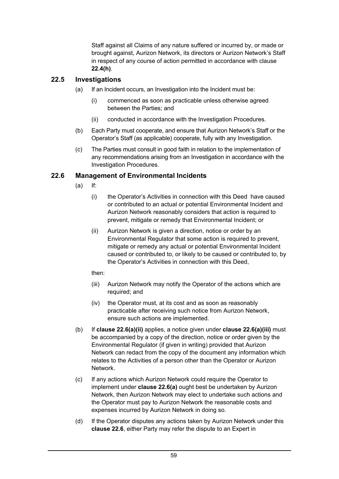Staff against all Claims of any nature suffered or incurred by, or made or brought against, Aurizon Network, its directors or Aurizon Network's Staff in respect of any course of action permitted in accordance with clause **22.4(h)**.

## **22.5 Investigations**

- (a) If an Incident occurs, an Investigation into the Incident must be:
	- (i) commenced as soon as practicable unless otherwise agreed between the Parties; and
	- (ii) conducted in accordance with the Investigation Procedures.
- (b) Each Party must cooperate, and ensure that Aurizon Network's Staff or the Operator's Staff (as applicable) cooperate, fully with any Investigation.
- (c) The Parties must consult in good faith in relation to the implementation of any recommendations arising from an Investigation in accordance with the Investigation Procedures.

## **22.6 Management of Environmental Incidents**

- (a) If:
	- (i) the Operator's Activities in connection with this Deed have caused or contributed to an actual or potential Environmental Incident and Aurizon Network reasonably considers that action is required to prevent, mitigate or remedy that Environmental Incident; or
	- (ii) Aurizon Network is given a direction, notice or order by an Environmental Regulator that some action is required to prevent, mitigate or remedy any actual or potential Environmental Incident caused or contributed to, or likely to be caused or contributed to, by the Operator's Activities in connection with this Deed,

then:

- (iii) Aurizon Network may notify the Operator of the actions which are required; and
- (iv) the Operator must, at its cost and as soon as reasonably practicable after receiving such notice from Aurizon Network, ensure such actions are implemented.
- (b) If **clause 22.6(a)(ii)** applies, a notice given under **clause 22.6(a)(iii)** must be accompanied by a copy of the direction, notice or order given by the Environmental Regulator (if given in writing) provided that Aurizon Network can redact from the copy of the document any information which relates to the Activities of a person other than the Operator or Aurizon Network.
- (c) If any actions which Aurizon Network could require the Operator to implement under **clause 22.6(a)** ought best be undertaken by Aurizon Network, then Aurizon Network may elect to undertake such actions and the Operator must pay to Aurizon Network the reasonable costs and expenses incurred by Aurizon Network in doing so.
- (d) If the Operator disputes any actions taken by Aurizon Network under this **clause 22.6**, either Party may refer the dispute to an Expert in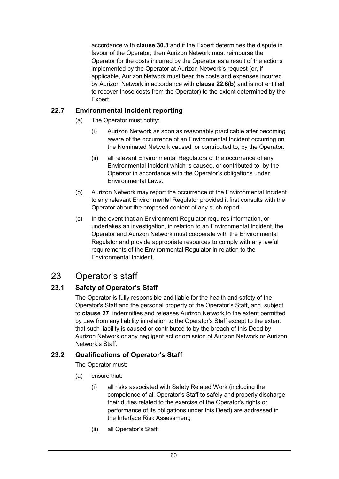accordance with **clause 30.3** and if the Expert determines the dispute in favour of the Operator, then Aurizon Network must reimburse the Operator for the costs incurred by the Operator as a result of the actions implemented by the Operator at Aurizon Network's request (or, if applicable, Aurizon Network must bear the costs and expenses incurred by Aurizon Network in accordance with **clause 22.6(b)** and is not entitled to recover those costs from the Operator) to the extent determined by the Expert.

## **22.7 Environmental Incident reporting**

- (a) The Operator must notify:
	- (i) Aurizon Network as soon as reasonably practicable after becoming aware of the occurrence of an Environmental Incident occurring on the Nominated Network caused, or contributed to, by the Operator.
	- (ii) all relevant Environmental Regulators of the occurrence of any Environmental Incident which is caused, or contributed to, by the Operator in accordance with the Operator's obligations under Environmental Laws.
- (b) Aurizon Network may report the occurrence of the Environmental Incident to any relevant Environmental Regulator provided it first consults with the Operator about the proposed content of any such report.
- (c) In the event that an Environment Regulator requires information, or undertakes an investigation, in relation to an Environmental Incident, the Operator and Aurizon Network must cooperate with the Environmental Regulator and provide appropriate resources to comply with any lawful requirements of the Environmental Regulator in relation to the Environmental Incident.

# 23 Operator's staff

# **23.1 Safety of Operator's Staff**

The Operator is fully responsible and liable for the health and safety of the Operator's Staff and the personal property of the Operator's Staff, and, subject to **clause 27**, indemnifies and releases Aurizon Network to the extent permitted by Law from any liability in relation to the Operator's Staff except to the extent that such liability is caused or contributed to by the breach of this Deed by Aurizon Network or any negligent act or omission of Aurizon Network or Aurizon Network's Staff.

## **23.2 Qualifications of Operator's Staff**

The Operator must:

- (a) ensure that:
	- (i) all risks associated with Safety Related Work (including the competence of all Operator's Staff to safely and properly discharge their duties related to the exercise of the Operator's rights or performance of its obligations under this Deed) are addressed in the Interface Risk Assessment;
	- (ii) all Operator's Staff: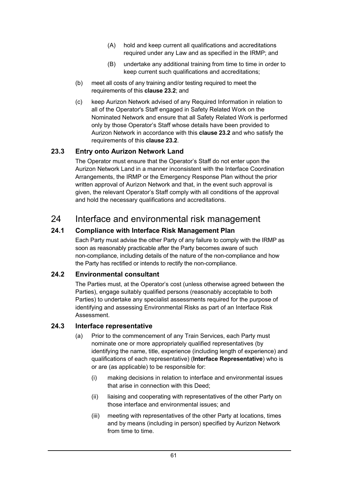- (A) hold and keep current all qualifications and accreditations required under any Law and as specified in the IRMP; and
- (B) undertake any additional training from time to time in order to keep current such qualifications and accreditations;
- (b) meet all costs of any training and/or testing required to meet the requirements of this **clause 23.2**; and
- (c) keep Aurizon Network advised of any Required Information in relation to all of the Operator's Staff engaged in Safety Related Work on the Nominated Network and ensure that all Safety Related Work is performed only by those Operator's Staff whose details have been provided to Aurizon Network in accordance with this **clause 23.2** and who satisfy the requirements of this **clause 23.2**.

## **23.3 Entry onto Aurizon Network Land**

The Operator must ensure that the Operator's Staff do not enter upon the Aurizon Network Land in a manner inconsistent with the Interface Coordination Arrangements, the IRMP or the Emergency Response Plan without the prior written approval of Aurizon Network and that, in the event such approval is given, the relevant Operator's Staff comply with all conditions of the approval and hold the necessary qualifications and accreditations.

# 24 Interface and environmental risk management

## **24.1 Compliance with Interface Risk Management Plan**

Each Party must advise the other Party of any failure to comply with the IRMP as soon as reasonably practicable after the Party becomes aware of such non-compliance, including details of the nature of the non-compliance and how the Party has rectified or intends to rectify the non-compliance.

## **24.2 Environmental consultant**

The Parties must, at the Operator's cost (unless otherwise agreed between the Parties), engage suitably qualified persons (reasonably acceptable to both Parties) to undertake any specialist assessments required for the purpose of identifying and assessing Environmental Risks as part of an Interface Risk Assessment.

## **24.3 Interface representative**

- (a) Prior to the commencement of any Train Services, each Party must nominate one or more appropriately qualified representatives (by identifying the name, title, experience (including length of experience) and qualifications of each representative) (**Interface Representative**) who is or are (as applicable) to be responsible for:
	- (i) making decisions in relation to interface and environmental issues that arise in connection with this Deed;
	- (ii) liaising and cooperating with representatives of the other Party on those interface and environmental issues; and
	- (iii) meeting with representatives of the other Party at locations, times and by means (including in person) specified by Aurizon Network from time to time.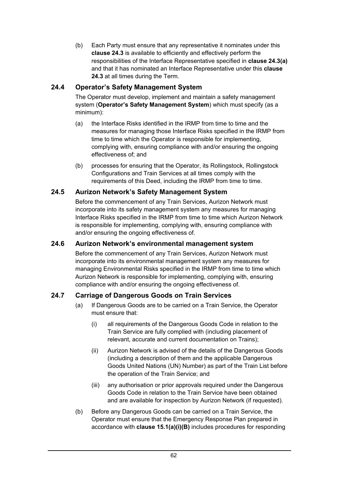(b) Each Party must ensure that any representative it nominates under this **clause 24.3** is available to efficiently and effectively perform the responsibilities of the Interface Representative specified in **clause 24.3(a)** and that it has nominated an Interface Representative under this **clause 24.3** at all times during the Term.

# **24.4 Operator's Safety Management System**

The Operator must develop, implement and maintain a safety management system (**Operator's Safety Management System**) which must specify (as a minimum):

- (a) the Interface Risks identified in the IRMP from time to time and the measures for managing those Interface Risks specified in the IRMP from time to time which the Operator is responsible for implementing, complying with, ensuring compliance with and/or ensuring the ongoing effectiveness of; and
- (b) processes for ensuring that the Operator, its Rollingstock, Rollingstock Configurations and Train Services at all times comply with the requirements of this Deed, including the IRMP from time to time.

## **24.5 Aurizon Network's Safety Management System**

Before the commencement of any Train Services, Aurizon Network must incorporate into its safety management system any measures for managing Interface Risks specified in the IRMP from time to time which Aurizon Network is responsible for implementing, complying with, ensuring compliance with and/or ensuring the ongoing effectiveness of.

## **24.6 Aurizon Network's environmental management system**

Before the commencement of any Train Services, Aurizon Network must incorporate into its environmental management system any measures for managing Environmental Risks specified in the IRMP from time to time which Aurizon Network is responsible for implementing, complying with, ensuring compliance with and/or ensuring the ongoing effectiveness of.

## **24.7 Carriage of Dangerous Goods on Train Services**

- (a) If Dangerous Goods are to be carried on a Train Service, the Operator must ensure that:
	- (i) all requirements of the Dangerous Goods Code in relation to the Train Service are fully complied with (including placement of relevant, accurate and current documentation on Trains);
	- (ii) Aurizon Network is advised of the details of the Dangerous Goods (including a description of them and the applicable Dangerous Goods United Nations (UN) Number) as part of the Train List before the operation of the Train Service; and
	- (iii) any authorisation or prior approvals required under the Dangerous Goods Code in relation to the Train Service have been obtained and are available for inspection by Aurizon Network (if requested).
- (b) Before any Dangerous Goods can be carried on a Train Service, the Operator must ensure that the Emergency Response Plan prepared in accordance with **clause 15.1(a)(i)(B)** includes procedures for responding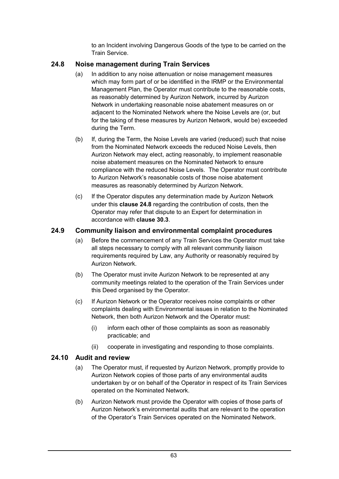to an Incident involving Dangerous Goods of the type to be carried on the Train Service.

## **24.8 Noise management during Train Services**

- (a) In addition to any noise attenuation or noise management measures which may form part of or be identified in the IRMP or the Environmental Management Plan, the Operator must contribute to the reasonable costs, as reasonably determined by Aurizon Network, incurred by Aurizon Network in undertaking reasonable noise abatement measures on or adjacent to the Nominated Network where the Noise Levels are (or, but for the taking of these measures by Aurizon Network, would be) exceeded during the Term.
- (b) If, during the Term, the Noise Levels are varied (reduced) such that noise from the Nominated Network exceeds the reduced Noise Levels, then Aurizon Network may elect, acting reasonably, to implement reasonable noise abatement measures on the Nominated Network to ensure compliance with the reduced Noise Levels. The Operator must contribute to Aurizon Network's reasonable costs of those noise abatement measures as reasonably determined by Aurizon Network.
- (c) If the Operator disputes any determination made by Aurizon Network under this **clause 24.8** regarding the contribution of costs, then the Operator may refer that dispute to an Expert for determination in accordance with **clause 30.3**.

## **24.9 Community liaison and environmental complaint procedures**

- (a) Before the commencement of any Train Services the Operator must take all steps necessary to comply with all relevant community liaison requirements required by Law, any Authority or reasonably required by Aurizon Network.
- (b) The Operator must invite Aurizon Network to be represented at any community meetings related to the operation of the Train Services under this Deed organised by the Operator.
- (c) If Aurizon Network or the Operator receives noise complaints or other complaints dealing with Environmental issues in relation to the Nominated Network, then both Aurizon Network and the Operator must:
	- (i) inform each other of those complaints as soon as reasonably practicable; and
	- (ii) cooperate in investigating and responding to those complaints.

## **24.10 Audit and review**

- (a) The Operator must, if requested by Aurizon Network, promptly provide to Aurizon Network copies of those parts of any environmental audits undertaken by or on behalf of the Operator in respect of its Train Services operated on the Nominated Network.
- (b) Aurizon Network must provide the Operator with copies of those parts of Aurizon Network's environmental audits that are relevant to the operation of the Operator's Train Services operated on the Nominated Network.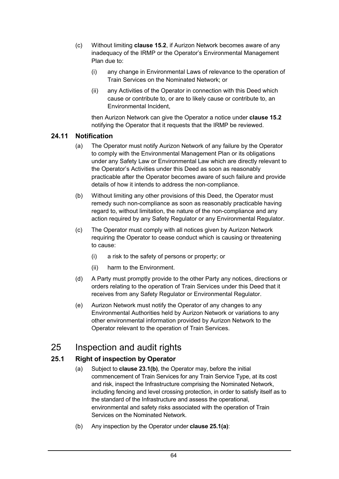- (c) Without limiting **clause 15.2**, if Aurizon Network becomes aware of any inadequacy of the IRMP or the Operator's Environmental Management Plan due to:
	- (i) any change in Environmental Laws of relevance to the operation of Train Services on the Nominated Network; or
	- (ii) any Activities of the Operator in connection with this Deed which cause or contribute to, or are to likely cause or contribute to, an Environmental Incident,

then Aurizon Network can give the Operator a notice under **clause 15.2** notifying the Operator that it requests that the IRMP be reviewed.

## **24.11 Notification**

- (a) The Operator must notify Aurizon Network of any failure by the Operator to comply with the Environmental Management Plan or its obligations under any Safety Law or Environmental Law which are directly relevant to the Operator's Activities under this Deed as soon as reasonably practicable after the Operator becomes aware of such failure and provide details of how it intends to address the non-compliance.
- (b) Without limiting any other provisions of this Deed, the Operator must remedy such non-compliance as soon as reasonably practicable having regard to, without limitation, the nature of the non-compliance and any action required by any Safety Regulator or any Environmental Regulator.
- (c) The Operator must comply with all notices given by Aurizon Network requiring the Operator to cease conduct which is causing or threatening to cause:
	- (i) a risk to the safety of persons or property; or
	- (ii) harm to the Environment.
- (d) A Party must promptly provide to the other Party any notices, directions or orders relating to the operation of Train Services under this Deed that it receives from any Safety Regulator or Environmental Regulator.
- (e) Aurizon Network must notify the Operator of any changes to any Environmental Authorities held by Aurizon Network or variations to any other environmental information provided by Aurizon Network to the Operator relevant to the operation of Train Services.

# 25 Inspection and audit rights

## **25.1 Right of inspection by Operator**

- (a) Subject to **clause 23.1(b)**, the Operator may, before the initial commencement of Train Services for any Train Service Type, at its cost and risk, inspect the Infrastructure comprising the Nominated Network, including fencing and level crossing protection, in order to satisfy itself as to the standard of the Infrastructure and assess the operational, environmental and safety risks associated with the operation of Train Services on the Nominated Network.
- (b) Any inspection by the Operator under **clause 25.1(a)**: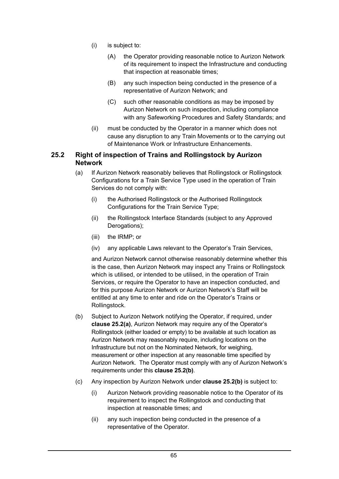- (i) is subject to:
	- (A) the Operator providing reasonable notice to Aurizon Network of its requirement to inspect the Infrastructure and conducting that inspection at reasonable times;
	- (B) any such inspection being conducted in the presence of a representative of Aurizon Network; and
	- (C) such other reasonable conditions as may be imposed by Aurizon Network on such inspection, including compliance with any Safeworking Procedures and Safety Standards; and
- (ii) must be conducted by the Operator in a manner which does not cause any disruption to any Train Movements or to the carrying out of Maintenance Work or Infrastructure Enhancements.

#### **25.2 Right of inspection of Trains and Rollingstock by Aurizon Network**

- (a) If Aurizon Network reasonably believes that Rollingstock or Rollingstock Configurations for a Train Service Type used in the operation of Train Services do not comply with:
	- (i) the Authorised Rollingstock or the Authorised Rollingstock Configurations for the Train Service Type;
	- (ii) the Rollingstock Interface Standards (subject to any Approved Derogations);
	- (iii) the IRMP; or
	- (iv) any applicable Laws relevant to the Operator's Train Services,

and Aurizon Network cannot otherwise reasonably determine whether this is the case, then Aurizon Network may inspect any Trains or Rollingstock which is utilised, or intended to be utilised, in the operation of Train Services, or require the Operator to have an inspection conducted, and for this purpose Aurizon Network or Aurizon Network's Staff will be entitled at any time to enter and ride on the Operator's Trains or Rollingstock.

- (b) Subject to Aurizon Network notifying the Operator, if required, under **clause 25.2(a)**, Aurizon Network may require any of the Operator's Rollingstock (either loaded or empty) to be available at such location as Aurizon Network may reasonably require, including locations on the Infrastructure but not on the Nominated Network, for weighing, measurement or other inspection at any reasonable time specified by Aurizon Network. The Operator must comply with any of Aurizon Network's requirements under this **clause 25.2(b)**.
- (c) Any inspection by Aurizon Network under **clause 25.2(b)** is subject to:
	- (i) Aurizon Network providing reasonable notice to the Operator of its requirement to inspect the Rollingstock and conducting that inspection at reasonable times; and
	- (ii) any such inspection being conducted in the presence of a representative of the Operator.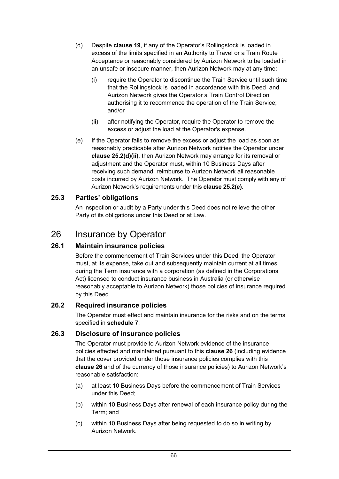- (d) Despite **clause 19**, if any of the Operator's Rollingstock is loaded in excess of the limits specified in an Authority to Travel or a Train Route Acceptance or reasonably considered by Aurizon Network to be loaded in an unsafe or insecure manner, then Aurizon Network may at any time:
	- (i) require the Operator to discontinue the Train Service until such time that the Rollingstock is loaded in accordance with this Deed and Aurizon Network gives the Operator a Train Control Direction authorising it to recommence the operation of the Train Service; and/or
	- (ii) after notifying the Operator, require the Operator to remove the excess or adjust the load at the Operator's expense.
- (e) If the Operator fails to remove the excess or adjust the load as soon as reasonably practicable after Aurizon Network notifies the Operator under **clause 25.2(d)(ii)**, then Aurizon Network may arrange for its removal or adjustment and the Operator must, within 10 Business Days after receiving such demand, reimburse to Aurizon Network all reasonable costs incurred by Aurizon Network. The Operator must comply with any of Aurizon Network's requirements under this **clause 25.2(e)**.

# **25.3 Parties' obligations**

An inspection or audit by a Party under this Deed does not relieve the other Party of its obligations under this Deed or at Law.

# 26 Insurance by Operator

# **26.1 Maintain insurance policies**

Before the commencement of Train Services under this Deed, the Operator must, at its expense, take out and subsequently maintain current at all times during the Term insurance with a corporation (as defined in the Corporations Act) licensed to conduct insurance business in Australia (or otherwise reasonably acceptable to Aurizon Network) those policies of insurance required by this Deed.

# **26.2 Required insurance policies**

The Operator must effect and maintain insurance for the risks and on the terms specified in **schedule 7**.

# **26.3 Disclosure of insurance policies**

The Operator must provide to Aurizon Network evidence of the insurance policies effected and maintained pursuant to this **clause 26** (including evidence that the cover provided under those insurance policies complies with this **clause 26** and of the currency of those insurance policies) to Aurizon Network's reasonable satisfaction:

- (a) at least 10 Business Days before the commencement of Train Services under this Deed;
- (b) within 10 Business Days after renewal of each insurance policy during the Term; and
- (c) within 10 Business Days after being requested to do so in writing by Aurizon Network.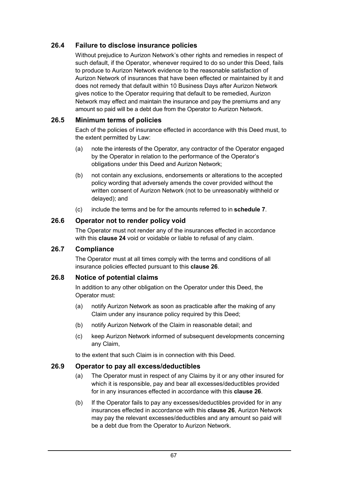# **26.4 Failure to disclose insurance policies**

Without prejudice to Aurizon Network's other rights and remedies in respect of such default, if the Operator, whenever required to do so under this Deed, fails to produce to Aurizon Network evidence to the reasonable satisfaction of Aurizon Network of insurances that have been effected or maintained by it and does not remedy that default within 10 Business Days after Aurizon Network gives notice to the Operator requiring that default to be remedied, Aurizon Network may effect and maintain the insurance and pay the premiums and any amount so paid will be a debt due from the Operator to Aurizon Network.

# **26.5 Minimum terms of policies**

Each of the policies of insurance effected in accordance with this Deed must, to the extent permitted by Law:

- (a) note the interests of the Operator, any contractor of the Operator engaged by the Operator in relation to the performance of the Operator's obligations under this Deed and Aurizon Network;
- (b) not contain any exclusions, endorsements or alterations to the accepted policy wording that adversely amends the cover provided without the written consent of Aurizon Network (not to be unreasonably withheld or delayed); and
- (c) include the terms and be for the amounts referred to in **schedule 7**.

# **26.6 Operator not to render policy void**

The Operator must not render any of the insurances effected in accordance with this **clause 24** void or voidable or liable to refusal of any claim.

#### **26.7 Compliance**

The Operator must at all times comply with the terms and conditions of all insurance policies effected pursuant to this **clause 26**.

#### **26.8 Notice of potential claims**

In addition to any other obligation on the Operator under this Deed, the Operator must:

- (a) notify Aurizon Network as soon as practicable after the making of any Claim under any insurance policy required by this Deed;
- (b) notify Aurizon Network of the Claim in reasonable detail; and
- (c) keep Aurizon Network informed of subsequent developments concerning any Claim,

to the extent that such Claim is in connection with this Deed.

# **26.9 Operator to pay all excess/deductibles**

- (a) The Operator must in respect of any Claims by it or any other insured for which it is responsible, pay and bear all excesses/deductibles provided for in any insurances effected in accordance with this **clause 26**.
- (b) If the Operator fails to pay any excesses/deductibles provided for in any insurances effected in accordance with this **clause 26**, Aurizon Network may pay the relevant excesses/deductibles and any amount so paid will be a debt due from the Operator to Aurizon Network.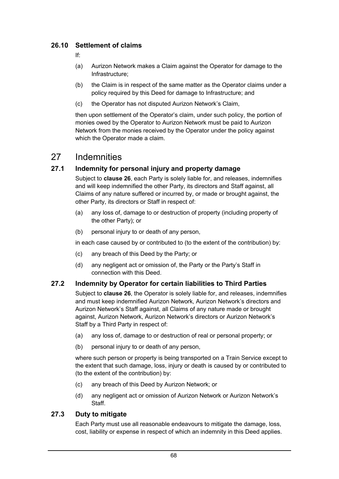# **26.10 Settlement of claims**

If:

- (a) Aurizon Network makes a Claim against the Operator for damage to the Infrastructure;
- (b) the Claim is in respect of the same matter as the Operator claims under a policy required by this Deed for damage to Infrastructure; and
- (c) the Operator has not disputed Aurizon Network's Claim,

then upon settlement of the Operator's claim, under such policy, the portion of monies owed by the Operator to Aurizon Network must be paid to Aurizon Network from the monies received by the Operator under the policy against which the Operator made a claim.

# 27 Indemnities

# **27.1 Indemnity for personal injury and property damage**

Subject to **clause 26**, each Party is solely liable for, and releases, indemnifies and will keep indemnified the other Party, its directors and Staff against, all Claims of any nature suffered or incurred by, or made or brought against, the other Party, its directors or Staff in respect of:

- (a) any loss of, damage to or destruction of property (including property of the other Party); or
- (b) personal injury to or death of any person,

in each case caused by or contributed to (to the extent of the contribution) by:

- (c) any breach of this Deed by the Party; or
- (d) any negligent act or omission of, the Party or the Party's Staff in connection with this Deed.

# **27.2 Indemnity by Operator for certain liabilities to Third Parties**

Subject to **clause 26**, the Operator is solely liable for, and releases, indemnifies and must keep indemnified Aurizon Network, Aurizon Network's directors and Aurizon Network's Staff against, all Claims of any nature made or brought against, Aurizon Network, Aurizon Network's directors or Aurizon Network's Staff by a Third Party in respect of:

- (a) any loss of, damage to or destruction of real or personal property; or
- (b) personal injury to or death of any person,

where such person or property is being transported on a Train Service except to the extent that such damage, loss, injury or death is caused by or contributed to (to the extent of the contribution) by:

- (c) any breach of this Deed by Aurizon Network; or
- (d) any negligent act or omission of Aurizon Network or Aurizon Network's Staff.

# **27.3 Duty to mitigate**

Each Party must use all reasonable endeavours to mitigate the damage, loss, cost, liability or expense in respect of which an indemnity in this Deed applies.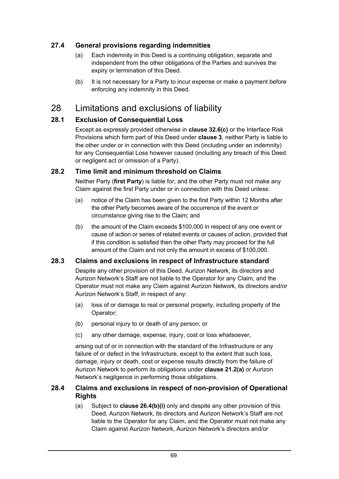# **27.4 General provisions regarding indemnities**

- (a) Each indemnity in this Deed is a continuing obligation, separate and independent from the other obligations of the Parties and survives the expiry or termination of this Deed.
- (b) It is not necessary for a Party to incur expense or make a payment before enforcing any indemnity in this Deed.

# 28 Limitations and exclusions of liability

# **28.1 Exclusion of Consequential Loss**

Except as expressly provided otherwise in **clause 32.6(c)** or the Interface Risk Provisions which form part of this Deed under **clause 3**, neither Party is liable to the other under or in connection with this Deed (including under an indemnity) for any Consequential Loss however caused (including any breach of this Deed or negligent act or omission of a Party).

# **28.2 Time limit and minimum threshold on Claims**

Neither Party (**first Party**) is liable for, and the other Party must not make any Claim against the first Party under or in connection with this Deed unless:

- (a) notice of the Claim has been given to the first Party within 12 Months after the other Party becomes aware of the occurrence of the event or circumstance giving rise to the Claim; and
- (b) the amount of the Claim exceeds \$100,000 in respect of any one event or cause of action or series of related events or causes of action, provided that if this condition is satisfied then the other Party may proceed for the full amount of the Claim and not only the amount in excess of \$100,000.

# **28.3 Claims and exclusions in respect of Infrastructure standard**

Despite any other provision of this Deed, Aurizon Network, its directors and Aurizon Network's Staff are not liable to the Operator for any Claim, and the Operator must not make any Claim against Aurizon Network, its directors and/or Aurizon Network's Staff, in respect of any:

- (a) loss of or damage to real or personal property, including property of the Operator;
- (b) personal injury to or death of any person; or
- (c) any other damage, expense, injury, cost or loss whatsoever,

arising out of or in connection with the standard of the Infrastructure or any failure of or defect in the Infrastructure, except to the extent that such loss, damage, injury or death, cost or expense results directly from the failure of Aurizon Network to perform its obligations under **clause 21.2(a)** or Aurizon Network's negligence in performing those obligations.

#### **28.4 Claims and exclusions in respect of non-provision of Operational Rights**

(a) Subject to **clause 26.4(b)(i)** only and despite any other provision of this Deed, Aurizon Network, its directors and Aurizon Network's Staff are not liable to the Operator for any Claim, and the Operator must not make any Claim against Aurizon Network, Aurizon Network's directors and/or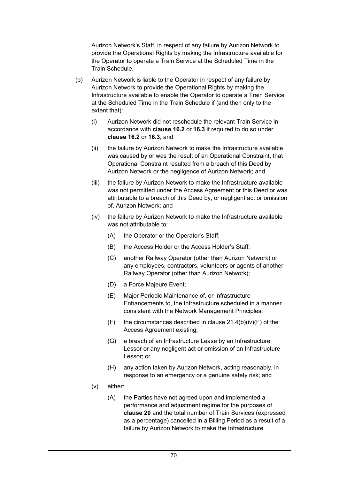Aurizon Network's Staff, in respect of any failure by Aurizon Network to provide the Operational Rights by making the Infrastructure available for the Operator to operate a Train Service at the Scheduled Time in the Train Schedule.

- (b) Aurizon Network is liable to the Operator in respect of any failure by Aurizon Network to provide the Operational Rights by making the Infrastructure available to enable the Operator to operate a Train Service at the Scheduled Time in the Train Schedule if (and then only to the extent that):
	- (i) Aurizon Network did not reschedule the relevant Train Service in accordance with **clause 16.2** or **16.3** if required to do so under **clause 16.2** or **16.3**; and
	- (ii) the failure by Aurizon Network to make the Infrastructure available was caused by or was the result of an Operational Constraint, that Operational Constraint resulted from a breach of this Deed by Aurizon Network or the negligence of Aurizon Network; and
	- (iii) the failure by Aurizon Network to make the Infrastructure available was not permitted under the Access Agreement or this Deed or was attributable to a breach of this Deed by, or negligent act or omission of, Aurizon Network; and
	- (iv) the failure by Aurizon Network to make the Infrastructure available was not attributable to:
		- (A) the Operator or the Operator's Staff;
		- (B) the Access Holder or the Access Holder's Staff;
		- (C) another Railway Operator (other than Aurizon Network) or any employees, contractors, volunteers or agents of another Railway Operator (other than Aurizon Network);
		- (D) a Force Majeure Event;
		- (E) Major Periodic Maintenance of, or Infrastructure Enhancements to, the Infrastructure scheduled in a manner consistent with the Network Management Principles;
		- $(F)$  the circumstances described in clause 21.4(b)(iv)(F) of the Access Agreement existing;
		- (G) a breach of an Infrastructure Lease by an Infrastructure Lessor or any negligent act or omission of an Infrastructure Lessor; or
		- (H) any action taken by Aurizon Network, acting reasonably, in response to an emergency or a genuine safety risk; and
	- (v) either:
		- (A) the Parties have not agreed upon and implemented a performance and adjustment regime for the purposes of **clause 20** and the total number of Train Services (expressed as a percentage) cancelled in a Billing Period as a result of a failure by Aurizon Network to make the Infrastructure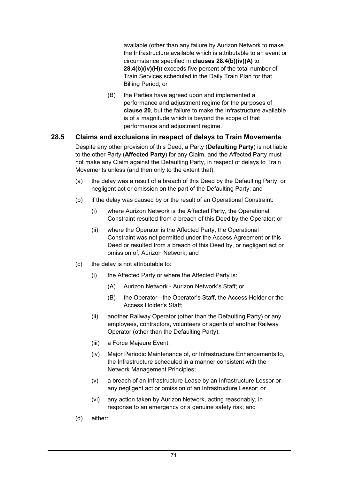available (other than any failure by Aurizon Network to make the Infrastructure available which is attributable to an event or circumstance specified in **clauses 28.4(b)(iv)(A)** to **28.4(b)(iv)(H)**) exceeds five percent of the total number of Train Services scheduled in the Daily Train Plan for that Billing Period; or

(B) the Parties have agreed upon and implemented a performance and adjustment regime for the purposes of **clause 20**, but the failure to make the Infrastructure available is of a magnitude which is beyond the scope of that performance and adjustment regime.

# **28.5 Claims and exclusions in respect of delays to Train Movements**

Despite any other provision of this Deed, a Party (**Defaulting Party**) is not liable to the other Party (**Affected Party**) for any Claim, and the Affected Party must not make any Claim against the Defaulting Party, in respect of delays to Train Movements unless (and then only to the extent that):

- (a) the delay was a result of a breach of this Deed by the Defaulting Party, or negligent act or omission on the part of the Defaulting Party; and
- (b) if the delay was caused by or the result of an Operational Constraint:
	- (i) where Aurizon Network is the Affected Party, the Operational Constraint resulted from a breach of this Deed by the Operator; or
	- (ii) where the Operator is the Affected Party, the Operational Constraint was not permitted under the Access Agreement or this Deed or resulted from a breach of this Deed by, or negligent act or omission of, Aurizon Network; and
- (c) the delay is not attributable to:
	- (i) the Affected Party or where the Affected Party is:
		- (A) Aurizon Network Aurizon Network's Staff; or
		- (B) the Operator the Operator's Staff, the Access Holder or the Access Holder's Staff;
	- (ii) another Railway Operator (other than the Defaulting Party) or any employees, contractors, volunteers or agents of another Railway Operator (other than the Defaulting Party);
	- (iii) a Force Majeure Event;
	- (iv) Major Periodic Maintenance of, or Infrastructure Enhancements to, the Infrastructure scheduled in a manner consistent with the Network Management Principles;
	- (v) a breach of an Infrastructure Lease by an Infrastructure Lessor or any negligent act or omission of an Infrastructure Lessor; or
	- (vi) any action taken by Aurizon Network, acting reasonably, in response to an emergency or a genuine safety risk; and
- (d) either: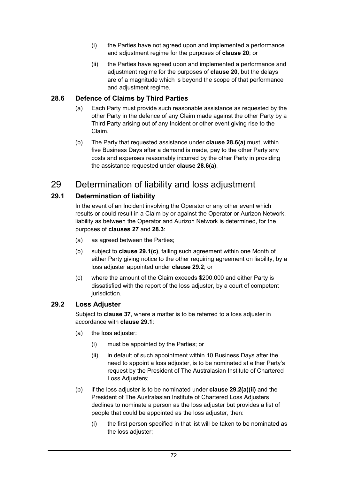- (i) the Parties have not agreed upon and implemented a performance and adjustment regime for the purposes of **clause 20**; or
- (ii) the Parties have agreed upon and implemented a performance and adjustment regime for the purposes of **clause 20**, but the delays are of a magnitude which is beyond the scope of that performance and adjustment regime.

# **28.6 Defence of Claims by Third Parties**

- (a) Each Party must provide such reasonable assistance as requested by the other Party in the defence of any Claim made against the other Party by a Third Party arising out of any Incident or other event giving rise to the Claim.
- (b) The Party that requested assistance under **clause 28.6(a)** must, within five Business Days after a demand is made, pay to the other Party any costs and expenses reasonably incurred by the other Party in providing the assistance requested under **clause 28.6(a)**.

# 29 Determination of liability and loss adjustment

# **29.1 Determination of liability**

In the event of an Incident involving the Operator or any other event which results or could result in a Claim by or against the Operator or Aurizon Network, liability as between the Operator and Aurizon Network is determined, for the purposes of **clauses 27** and **28.3**:

- (a) as agreed between the Parties;
- (b) subject to **clause 29.1(c)**, failing such agreement within one Month of either Party giving notice to the other requiring agreement on liability, by a loss adjuster appointed under **clause 29.2**; or
- (c) where the amount of the Claim exceeds \$200,000 and either Party is dissatisfied with the report of the loss adjuster, by a court of competent jurisdiction.

# **29.2 Loss Adjuster**

Subject to **clause 37**, where a matter is to be referred to a loss adjuster in accordance with **clause 29.1**:

- (a) the loss adjuster:
	- (i) must be appointed by the Parties; or
	- (ii) in default of such appointment within 10 Business Days after the need to appoint a loss adjuster, is to be nominated at either Party's request by the President of The Australasian Institute of Chartered Loss Adjusters;
- (b) if the loss adjuster is to be nominated under **clause 29.2(a)(ii)** and the President of The Australasian Institute of Chartered Loss Adjusters declines to nominate a person as the loss adjuster but provides a list of people that could be appointed as the loss adjuster, then:
	- (i) the first person specified in that list will be taken to be nominated as the loss adjuster;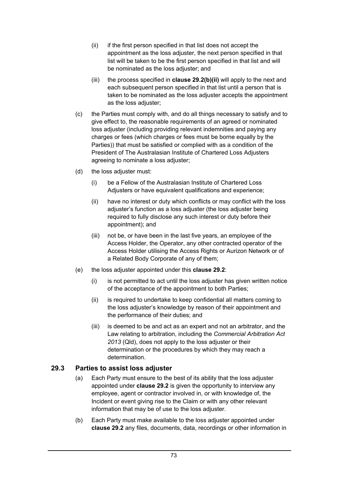- (ii) if the first person specified in that list does not accept the appointment as the loss adjuster, the next person specified in that list will be taken to be the first person specified in that list and will be nominated as the loss adjuster; and
- (iii) the process specified in **clause 29.2(b)(ii)** will apply to the next and each subsequent person specified in that list until a person that is taken to be nominated as the loss adjuster accepts the appointment as the loss adjuster;
- (c) the Parties must comply with, and do all things necessary to satisfy and to give effect to, the reasonable requirements of an agreed or nominated loss adjuster (including providing relevant indemnities and paying any charges or fees (which charges or fees must be borne equally by the Parties)) that must be satisfied or complied with as a condition of the President of The Australasian Institute of Chartered Loss Adjusters agreeing to nominate a loss adjuster;
- (d) the loss adjuster must:
	- (i) be a Fellow of the Australasian Institute of Chartered Loss Adjusters or have equivalent qualifications and experience;
	- (ii) have no interest or duty which conflicts or may conflict with the loss adiuster's function as a loss adjuster (the loss adjuster being required to fully disclose any such interest or duty before their appointment); and
	- (iii) not be, or have been in the last five years, an employee of the Access Holder, the Operator, any other contracted operator of the Access Holder utilising the Access Rights or Aurizon Network or of a Related Body Corporate of any of them;
- (e) the loss adjuster appointed under this **clause 29.2**:
	- (i) is not permitted to act until the loss adjuster has given written notice of the acceptance of the appointment to both Parties;
	- (ii) is required to undertake to keep confidential all matters coming to the loss adjuster's knowledge by reason of their appointment and the performance of their duties; and
	- (iii) is deemed to be and act as an expert and not an arbitrator, and the Law relating to arbitration, including the *Commercial Arbitration Act 2013* (Qld), does not apply to the loss adjuster or their determination or the procedures by which they may reach a determination.

# **29.3 Parties to assist loss adjuster**

- (a) Each Party must ensure to the best of its ability that the loss adjuster appointed under **clause 29.2** is given the opportunity to interview any employee, agent or contractor involved in, or with knowledge of, the Incident or event giving rise to the Claim or with any other relevant information that may be of use to the loss adjuster.
- (b) Each Party must make available to the loss adjuster appointed under **clause 29.2** any files, documents, data, recordings or other information in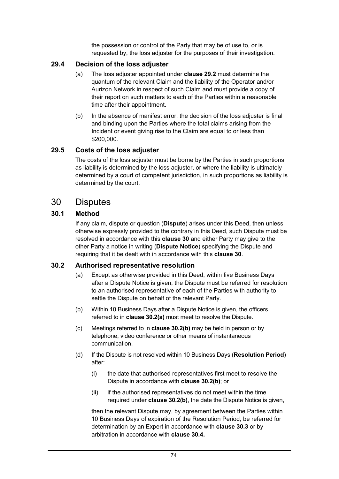the possession or control of the Party that may be of use to, or is requested by, the loss adjuster for the purposes of their investigation.

# **29.4 Decision of the loss adjuster**

- (a) The loss adjuster appointed under **clause 29.2** must determine the quantum of the relevant Claim and the liability of the Operator and/or Aurizon Network in respect of such Claim and must provide a copy of their report on such matters to each of the Parties within a reasonable time after their appointment.
- (b) In the absence of manifest error, the decision of the loss adjuster is final and binding upon the Parties where the total claims arising from the Incident or event giving rise to the Claim are equal to or less than \$200,000.

#### **29.5 Costs of the loss adjuster**

The costs of the loss adjuster must be borne by the Parties in such proportions as liability is determined by the loss adjuster, or where the liability is ultimately determined by a court of competent jurisdiction, in such proportions as liability is determined by the court.

# 30 Disputes

# **30.1 Method**

If any claim, dispute or question (**Dispute**) arises under this Deed, then unless otherwise expressly provided to the contrary in this Deed, such Dispute must be resolved in accordance with this **clause 30** and either Party may give to the other Party a notice in writing (**Dispute Notice**) specifying the Dispute and requiring that it be dealt with in accordance with this **clause 30**.

# **30.2 Authorised representative resolution**

- (a) Except as otherwise provided in this Deed, within five Business Days after a Dispute Notice is given, the Dispute must be referred for resolution to an authorised representative of each of the Parties with authority to settle the Dispute on behalf of the relevant Party.
- (b) Within 10 Business Days after a Dispute Notice is given, the officers referred to in **clause 30.2(a)** must meet to resolve the Dispute.
- (c) Meetings referred to in **clause 30.2(b)** may be held in person or by telephone, video conference or other means of instantaneous communication.
- (d) If the Dispute is not resolved within 10 Business Days (**Resolution Period**) after:
	- (i) the date that authorised representatives first meet to resolve the Dispute in accordance with **clause 30.2(b)**; or
	- (ii) if the authorised representatives do not meet within the time required under **clause 30.2(b)**, the date the Dispute Notice is given,

then the relevant Dispute may, by agreement between the Parties within 10 Business Days of expiration of the Resolution Period, be referred for determination by an Expert in accordance with **clause 30.3** or by arbitration in accordance with **clause 30.4.**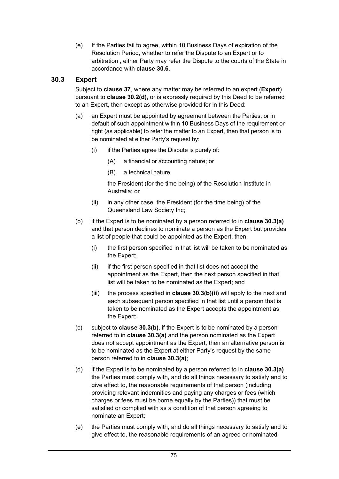(e) If the Parties fail to agree, within 10 Business Days of expiration of the Resolution Period, whether to refer the Dispute to an Expert or to arbitration , either Party may refer the Dispute to the courts of the State in accordance with **clause 30.6**.

# **30.3 Expert**

Subject to **clause 37**, where any matter may be referred to an expert (**Expert**) pursuant to **clause 30.2(d)**, or is expressly required by this Deed to be referred to an Expert, then except as otherwise provided for in this Deed:

- (a) an Expert must be appointed by agreement between the Parties, or in default of such appointment within 10 Business Days of the requirement or right (as applicable) to refer the matter to an Expert, then that person is to be nominated at either Party's request by:
	- (i) if the Parties agree the Dispute is purely of:
		- (A) a financial or accounting nature; or
		- (B) a technical nature,

the President (for the time being) of the Resolution Institute in Australia; or

- (ii) in any other case, the President (for the time being) of the Queensland Law Society Inc;
- (b) if the Expert is to be nominated by a person referred to in **clause 30.3(a)** and that person declines to nominate a person as the Expert but provides a list of people that could be appointed as the Expert, then:
	- (i) the first person specified in that list will be taken to be nominated as the Expert;
	- (ii) if the first person specified in that list does not accept the appointment as the Expert, then the next person specified in that list will be taken to be nominated as the Expert; and
	- (iii) the process specified in **clause 30.3(b)(ii)** will apply to the next and each subsequent person specified in that list until a person that is taken to be nominated as the Expert accepts the appointment as the Expert;
- (c) subject to **clause 30.3(b)**, if the Expert is to be nominated by a person referred to in **clause 30.3(a)** and the person nominated as the Expert does not accept appointment as the Expert, then an alternative person is to be nominated as the Expert at either Party's request by the same person referred to in **clause 30.3(a)**;
- (d) if the Expert is to be nominated by a person referred to in **clause 30.3(a)** the Parties must comply with, and do all things necessary to satisfy and to give effect to, the reasonable requirements of that person (including providing relevant indemnities and paying any charges or fees (which charges or fees must be borne equally by the Parties)) that must be satisfied or complied with as a condition of that person agreeing to nominate an Expert;
- (e) the Parties must comply with, and do all things necessary to satisfy and to give effect to, the reasonable requirements of an agreed or nominated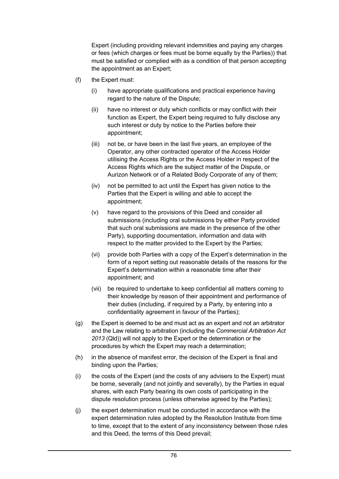Expert (including providing relevant indemnities and paying any charges or fees (which charges or fees must be borne equally by the Parties)) that must be satisfied or complied with as a condition of that person accepting the appointment as an Expert;

- (f) the Expert must:
	- (i) have appropriate qualifications and practical experience having regard to the nature of the Dispute;
	- (ii) have no interest or duty which conflicts or may conflict with their function as Expert, the Expert being required to fully disclose any such interest or duty by notice to the Parties before their appointment;
	- (iii) not be, or have been in the last five years, an employee of the Operator, any other contracted operator of the Access Holder utilising the Access Rights or the Access Holder in respect of the Access Rights which are the subject matter of the Dispute, or Aurizon Network or of a Related Body Corporate of any of them;
	- (iv) not be permitted to act until the Expert has given notice to the Parties that the Expert is willing and able to accept the appointment;
	- (v) have regard to the provisions of this Deed and consider all submissions (including oral submissions by either Party provided that such oral submissions are made in the presence of the other Party), supporting documentation, information and data with respect to the matter provided to the Expert by the Parties;
	- (vi) provide both Parties with a copy of the Expert's determination in the form of a report setting out reasonable details of the reasons for the Expert's determination within a reasonable time after their appointment; and
	- (vii) be required to undertake to keep confidential all matters coming to their knowledge by reason of their appointment and performance of their duties (including, if required by a Party, by entering into a confidentiality agreement in favour of the Parties);
- (g) the Expert is deemed to be and must act as an expert and not an arbitrator and the Law relating to arbitration (including the *Commercial Arbitration Act 2013* (Qld)) will not apply to the Expert or the determination or the procedures by which the Expert may reach a determination;
- (h) in the absence of manifest error, the decision of the Expert is final and binding upon the Parties;
- (i) the costs of the Expert (and the costs of any advisers to the Expert) must be borne, severally (and not jointly and severally), by the Parties in equal shares, with each Party bearing its own costs of participating in the dispute resolution process (unless otherwise agreed by the Parties);
- (j) the expert determination must be conducted in accordance with the expert determination rules adopted by the Resolution Institute from time to time, except that to the extent of any inconsistency between those rules and this Deed, the terms of this Deed prevail;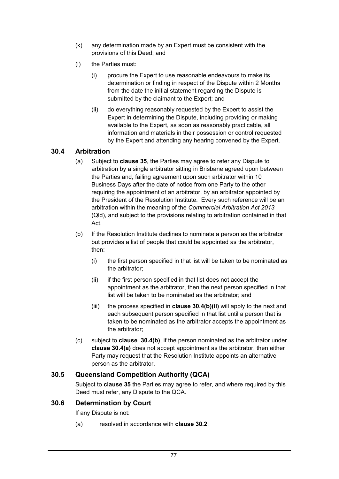- (k) any determination made by an Expert must be consistent with the provisions of this Deed; and
- (l) the Parties must:
	- (i) procure the Expert to use reasonable endeavours to make its determination or finding in respect of the Dispute within 2 Months from the date the initial statement regarding the Dispute is submitted by the claimant to the Expert; and
	- (ii) do everything reasonably requested by the Expert to assist the Expert in determining the Dispute, including providing or making available to the Expert, as soon as reasonably practicable, all information and materials in their possession or control requested by the Expert and attending any hearing convened by the Expert.

# **30.4 Arbitration**

- (a) Subject to **clause 35**, the Parties may agree to refer any Dispute to arbitration by a single arbitrator sitting in Brisbane agreed upon between the Parties and, failing agreement upon such arbitrator within 10 Business Days after the date of notice from one Party to the other requiring the appointment of an arbitrator, by an arbitrator appointed by the President of the Resolution Institute. Every such reference will be an arbitration within the meaning of the *Commercial Arbitration Act 2013* (Qld), and subject to the provisions relating to arbitration contained in that Act.
- (b) If the Resolution Institute declines to nominate a person as the arbitrator but provides a list of people that could be appointed as the arbitrator, then:
	- (i) the first person specified in that list will be taken to be nominated as the arbitrator;
	- (ii) if the first person specified in that list does not accept the appointment as the arbitrator, then the next person specified in that list will be taken to be nominated as the arbitrator; and
	- (iii) the process specified in **clause 30.4(b)(ii)** will apply to the next and each subsequent person specified in that list until a person that is taken to be nominated as the arbitrator accepts the appointment as the arbitrator;
- (c) subject to **clause 30.4(b)**, if the person nominated as the arbitrator under **clause 30.4(a)** does not accept appointment as the arbitrator, then either Party may request that the Resolution Institute appoints an alternative person as the arbitrator.

# **30.5 Queensland Competition Authority (QCA)**

Subject to **clause 35** the Parties may agree to refer, and where required by this Deed must refer, any Dispute to the QCA.

#### **30.6 Determination by Court**

If any Dispute is not:

(a) resolved in accordance with **clause 30.2**;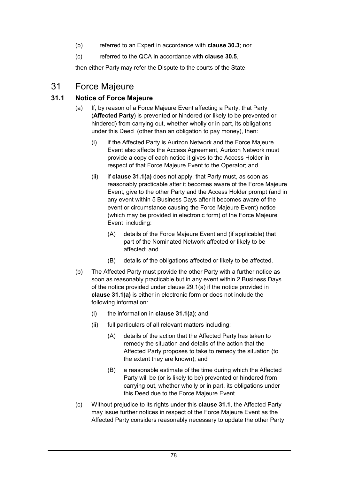- (b) referred to an Expert in accordance with **clause 30.3**; nor
- (c) referred to the QCA in accordance with **clause 30.5**,

then either Party may refer the Dispute to the courts of the State.

# 31 Force Majeure

# **31.1 Notice of Force Majeure**

- (a) If, by reason of a Force Majeure Event affecting a Party, that Party (**Affected Party**) is prevented or hindered (or likely to be prevented or hindered) from carrying out, whether wholly or in part, its obligations under this Deed (other than an obligation to pay money), then:
	- (i) if the Affected Party is Aurizon Network and the Force Majeure Event also affects the Access Agreement, Aurizon Network must provide a copy of each notice it gives to the Access Holder in respect of that Force Majeure Event to the Operator; and
	- (ii) if **clause 31.1(a)** does not apply, that Party must, as soon as reasonably practicable after it becomes aware of the Force Majeure Event, give to the other Party and the Access Holder prompt (and in any event within 5 Business Days after it becomes aware of the event or circumstance causing the Force Majeure Event) notice (which may be provided in electronic form) of the Force Majeure Event including:
		- (A) details of the Force Majeure Event and (if applicable) that part of the Nominated Network affected or likely to be affected; and
		- (B) details of the obligations affected or likely to be affected.
- (b) The Affected Party must provide the other Party with a further notice as soon as reasonably practicable but in any event within 2 Business Days of the notice provided under clause 29.1(a) if the notice provided in **clause 31.1(a)** is either in electronic form or does not include the following information:
	- (i) the information in **clause 31.1(a)**; and
	- (ii) full particulars of all relevant matters including:
		- (A) details of the action that the Affected Party has taken to remedy the situation and details of the action that the Affected Party proposes to take to remedy the situation (to the extent they are known); and
		- (B) a reasonable estimate of the time during which the Affected Party will be (or is likely to be) prevented or hindered from carrying out, whether wholly or in part, its obligations under this Deed due to the Force Majeure Event.
- (c) Without prejudice to its rights under this **clause 31.1**, the Affected Party may issue further notices in respect of the Force Majeure Event as the Affected Party considers reasonably necessary to update the other Party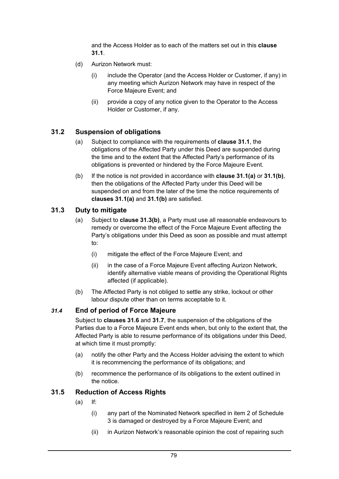and the Access Holder as to each of the matters set out in this **clause 31.1**.

- (d) Aurizon Network must:
	- (i) include the Operator (and the Access Holder or Customer, if any) in any meeting which Aurizon Network may have in respect of the Force Majeure Event; and
	- (ii) provide a copy of any notice given to the Operator to the Access Holder or Customer, if any.

# **31.2 Suspension of obligations**

- (a) Subject to compliance with the requirements of **clause 31.1**, the obligations of the Affected Party under this Deed are suspended during the time and to the extent that the Affected Party's performance of its obligations is prevented or hindered by the Force Majeure Event.
- (b) If the notice is not provided in accordance with **clause 31.1(a)** or **31.1(b)**, then the obligations of the Affected Party under this Deed will be suspended on and from the later of the time the notice requirements of **clauses 31.1(a)** and **31.1(b)** are satisfied.

# **31.3 Duty to mitigate**

- (a) Subject to **clause 31.3(b)**, a Party must use all reasonable endeavours to remedy or overcome the effect of the Force Majeure Event affecting the Party's obligations under this Deed as soon as possible and must attempt to:
	- (i) mitigate the effect of the Force Majeure Event; and
	- (ii) in the case of a Force Majeure Event affecting Aurizon Network, identify alternative viable means of providing the Operational Rights affected (if applicable).
- (b) The Affected Party is not obliged to settle any strike, lockout or other labour dispute other than on terms acceptable to it.

# *31.4* **End of period of Force Majeure**

Subject to **clauses 31.6** and **31.7**, the suspension of the obligations of the Parties due to a Force Majeure Event ends when, but only to the extent that, the Affected Party is able to resume performance of its obligations under this Deed, at which time it must promptly:

- (a) notify the other Party and the Access Holder advising the extent to which it is recommencing the performance of its obligations; and
- (b) recommence the performance of its obligations to the extent outlined in the notice.

# **31.5 Reduction of Access Rights**

- $(a)$  If:
	- (i) any part of the Nominated Network specified in item 2 of Schedule 3 is damaged or destroyed by a Force Majeure Event; and
	- (ii) in Aurizon Network's reasonable opinion the cost of repairing such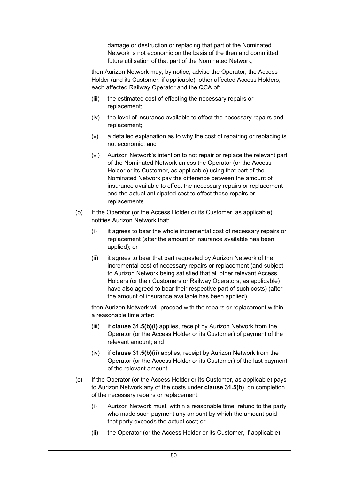damage or destruction or replacing that part of the Nominated Network is not economic on the basis of the then and committed future utilisation of that part of the Nominated Network,

then Aurizon Network may, by notice, advise the Operator, the Access Holder (and its Customer, if applicable), other affected Access Holders, each affected Railway Operator and the QCA of:

- (iii) the estimated cost of effecting the necessary repairs or replacement;
- (iv) the level of insurance available to effect the necessary repairs and replacement;
- (v) a detailed explanation as to why the cost of repairing or replacing is not economic; and
- (vi) Aurizon Network's intention to not repair or replace the relevant part of the Nominated Network unless the Operator (or the Access Holder or its Customer, as applicable) using that part of the Nominated Network pay the difference between the amount of insurance available to effect the necessary repairs or replacement and the actual anticipated cost to effect those repairs or replacements.
- (b) If the Operator (or the Access Holder or its Customer, as applicable) notifies Aurizon Network that:
	- (i) it agrees to bear the whole incremental cost of necessary repairs or replacement (after the amount of insurance available has been applied); or
	- (ii) it agrees to bear that part requested by Aurizon Network of the incremental cost of necessary repairs or replacement (and subject to Aurizon Network being satisfied that all other relevant Access Holders (or their Customers or Railway Operators, as applicable) have also agreed to bear their respective part of such costs) (after the amount of insurance available has been applied),

then Aurizon Network will proceed with the repairs or replacement within a reasonable time after:

- (iii) if **clause 31.5(b)(i)** applies, receipt by Aurizon Network from the Operator (or the Access Holder or its Customer) of payment of the relevant amount; and
- (iv) if **clause 31.5(b)(ii)** applies, receipt by Aurizon Network from the Operator (or the Access Holder or its Customer) of the last payment of the relevant amount.
- (c) If the Operator (or the Access Holder or its Customer, as applicable) pays to Aurizon Network any of the costs under **clause 31.5(b)**, on completion of the necessary repairs or replacement:
	- (i) Aurizon Network must, within a reasonable time, refund to the party who made such payment any amount by which the amount paid that party exceeds the actual cost; or
	- (ii) the Operator (or the Access Holder or its Customer, if applicable)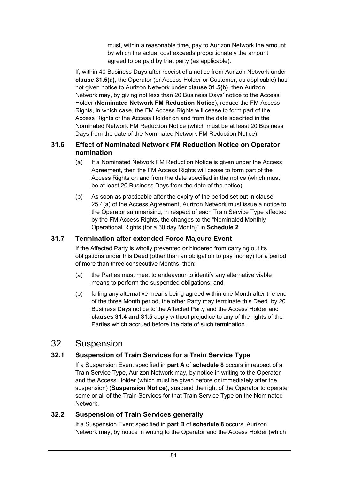must, within a reasonable time, pay to Aurizon Network the amount by which the actual cost exceeds proportionately the amount agreed to be paid by that party (as applicable).

If, within 40 Business Days after receipt of a notice from Aurizon Network under **clause 31.5(a)**, the Operator (or Access Holder or Customer, as applicable) has not given notice to Aurizon Network under **clause 31.5(b)**, then Aurizon Network may, by giving not less than 20 Business Days' notice to the Access Holder (**Nominated Network FM Reduction Notice**), reduce the FM Access Rights, in which case, the FM Access Rights will cease to form part of the Access Rights of the Access Holder on and from the date specified in the Nominated Network FM Reduction Notice (which must be at least 20 Business Days from the date of the Nominated Network FM Reduction Notice).

#### **31.6 Effect of Nominated Network FM Reduction Notice on Operator nomination**

- (a) If a Nominated Network FM Reduction Notice is given under the Access Agreement, then the FM Access Rights will cease to form part of the Access Rights on and from the date specified in the notice (which must be at least 20 Business Days from the date of the notice).
- (b) As soon as practicable after the expiry of the period set out in clause 25.4(a) of the Access Agreement, Aurizon Network must issue a notice to the Operator summarising, in respect of each Train Service Type affected by the FM Access Rights, the changes to the "Nominated Monthly Operational Rights (for a 30 day Month)" in **Schedule 2**.

# **31.7 Termination after extended Force Majeure Event**

If the Affected Party is wholly prevented or hindered from carrying out its obligations under this Deed (other than an obligation to pay money) for a period of more than three consecutive Months, then:

- (a) the Parties must meet to endeavour to identify any alternative viable means to perform the suspended obligations; and
- (b) failing any alternative means being agreed within one Month after the end of the three Month period, the other Party may terminate this Deed by 20 Business Days notice to the Affected Party and the Access Holder and **clauses 31.4 and 31.5** apply without prejudice to any of the rights of the Parties which accrued before the date of such termination.

# 32 Suspension

# **32.1 Suspension of Train Services for a Train Service Type**

If a Suspension Event specified in **part A** of **schedule 8** occurs in respect of a Train Service Type, Aurizon Network may, by notice in writing to the Operator and the Access Holder (which must be given before or immediately after the suspension) (**Suspension Notice**), suspend the right of the Operator to operate some or all of the Train Services for that Train Service Type on the Nominated Network.

# **32.2 Suspension of Train Services generally**

If a Suspension Event specified in **part B** of **schedule 8** occurs, Aurizon Network may, by notice in writing to the Operator and the Access Holder (which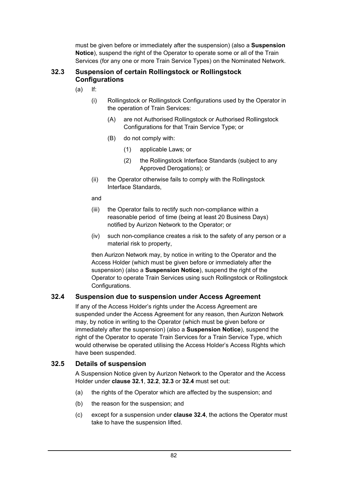must be given before or immediately after the suspension) (also a **Suspension Notice**), suspend the right of the Operator to operate some or all of the Train Services (for any one or more Train Service Types) on the Nominated Network.

#### **32.3 Suspension of certain Rollingstock or Rollingstock Configurations**

- (a) If:
	- (i) Rollingstock or Rollingstock Configurations used by the Operator in the operation of Train Services:
		- (A) are not Authorised Rollingstock or Authorised Rollingstock Configurations for that Train Service Type; or
		- (B) do not comply with:
			- (1) applicable Laws; or
			- (2) the Rollingstock Interface Standards (subject to any Approved Derogations); or
	- (ii) the Operator otherwise fails to comply with the Rollingstock Interface Standards,
	- and
	- (iii) the Operator fails to rectify such non-compliance within a reasonable period of time (being at least 20 Business Days) notified by Aurizon Network to the Operator; or
	- (iv) such non-compliance creates a risk to the safety of any person or a material risk to property,

then Aurizon Network may, by notice in writing to the Operator and the Access Holder (which must be given before or immediately after the suspension) (also a **Suspension Notice**), suspend the right of the Operator to operate Train Services using such Rollingstock or Rollingstock Configurations.

# **32.4 Suspension due to suspension under Access Agreement**

If any of the Access Holder's rights under the Access Agreement are suspended under the Access Agreement for any reason, then Aurizon Network may, by notice in writing to the Operator (which must be given before or immediately after the suspension) (also a **Suspension Notice**), suspend the right of the Operator to operate Train Services for a Train Service Type, which would otherwise be operated utilising the Access Holder's Access Rights which have been suspended.

# **32.5 Details of suspension**

A Suspension Notice given by Aurizon Network to the Operator and the Access Holder under **clause 32.1**, **32.2**, **32.3** or **32.4** must set out:

- (a) the rights of the Operator which are affected by the suspension; and
- (b) the reason for the suspension; and
- (c) except for a suspension under **clause 32.4**, the actions the Operator must take to have the suspension lifted.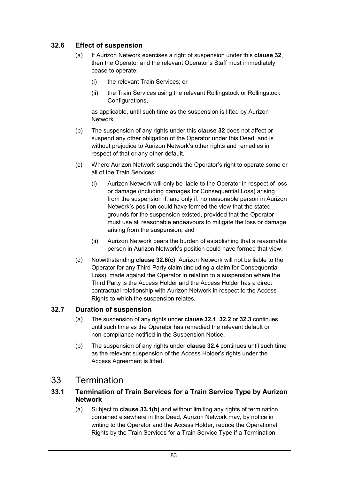# **32.6 Effect of suspension**

- (a) If Aurizon Network exercises a right of suspension under this **clause 32**, then the Operator and the relevant Operator's Staff must immediately cease to operate:
	- (i) the relevant Train Services; or
	- (ii) the Train Services using the relevant Rollingstock or Rollingstock Configurations,

as applicable, until such time as the suspension is lifted by Aurizon Network.

- (b) The suspension of any rights under this **clause 32** does not affect or suspend any other obligation of the Operator under this Deed, and is without prejudice to Aurizon Network's other rights and remedies in respect of that or any other default.
- (c) Where Aurizon Network suspends the Operator's right to operate some or all of the Train Services:
	- (i) Aurizon Network will only be liable to the Operator in respect of loss or damage (including damages for Consequential Loss) arising from the suspension if, and only if, no reasonable person in Aurizon Network's position could have formed the view that the stated grounds for the suspension existed, provided that the Operator must use all reasonable endeavours to mitigate the loss or damage arising from the suspension; and
	- (ii) Aurizon Network bears the burden of establishing that a reasonable person in Aurizon Network's position could have formed that view.
- (d) Notwithstanding **clause 32.6(c)**, Aurizon Network will not be liable to the Operator for any Third Party claim (including a claim for Consequential Loss), made against the Operator in relation to a suspension where the Third Party is the Access Holder and the Access Holder has a direct contractual relationship with Aurizon Network in respect to the Access Rights to which the suspension relates.

# **32.7 Duration of suspension**

- (a) The suspension of any rights under **clause 32.1**, **32.2** or **32.3** continues until such time as the Operator has remedied the relevant default or non-compliance notified in the Suspension Notice.
- (b) The suspension of any rights under **clause 32.4** continues until such time as the relevant suspension of the Access Holder's rights under the Access Agreement is lifted.

# 33 Termination

#### **33.1 Termination of Train Services for a Train Service Type by Aurizon Network**

(a) Subject to **clause 33.1(b)** and without limiting any rights of termination contained elsewhere in this Deed, Aurizon Network may, by notice in writing to the Operator and the Access Holder, reduce the Operational Rights by the Train Services for a Train Service Type if a Termination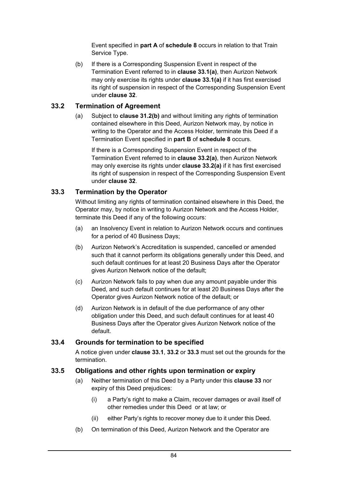Event specified in **part A** of **schedule 8** occurs in relation to that Train Service Type.

(b) If there is a Corresponding Suspension Event in respect of the Termination Event referred to in **clause 33.1(a)**, then Aurizon Network may only exercise its rights under **clause 33.1(a)** if it has first exercised its right of suspension in respect of the Corresponding Suspension Event under **clause 32**.

# **33.2 Termination of Agreement**

(a) Subject to **clause 31.2(b)** and without limiting any rights of termination contained elsewhere in this Deed, Aurizon Network may, by notice in writing to the Operator and the Access Holder, terminate this Deed if a Termination Event specified in **part B** of **schedule 8** occurs.

If there is a Corresponding Suspension Event in respect of the Termination Event referred to in **clause 33.2(a)**, then Aurizon Network may only exercise its rights under **clause 33.2(a)** if it has first exercised its right of suspension in respect of the Corresponding Suspension Event under **clause 32**.

# **33.3 Termination by the Operator**

Without limiting any rights of termination contained elsewhere in this Deed, the Operator may, by notice in writing to Aurizon Network and the Access Holder, terminate this Deed if any of the following occurs:

- (a) an Insolvency Event in relation to Aurizon Network occurs and continues for a period of 40 Business Days;
- (b) Aurizon Network's Accreditation is suspended, cancelled or amended such that it cannot perform its obligations generally under this Deed, and such default continues for at least 20 Business Days after the Operator gives Aurizon Network notice of the default;
- (c) Aurizon Network fails to pay when due any amount payable under this Deed, and such default continues for at least 20 Business Days after the Operator gives Aurizon Network notice of the default; or
- (d) Aurizon Network is in default of the due performance of any other obligation under this Deed, and such default continues for at least 40 Business Days after the Operator gives Aurizon Network notice of the default.

# **33.4 Grounds for termination to be specified**

A notice given under **clause 33.1**, **33.2** or **33.3** must set out the grounds for the termination.

# **33.5 Obligations and other rights upon termination or expiry**

- (a) Neither termination of this Deed by a Party under this **clause 33** nor expiry of this Deed prejudices:
	- (i) a Party's right to make a Claim, recover damages or avail itself of other remedies under this Deed or at law; or
	- (ii) either Party's rights to recover money due to it under this Deed.
- (b) On termination of this Deed, Aurizon Network and the Operator are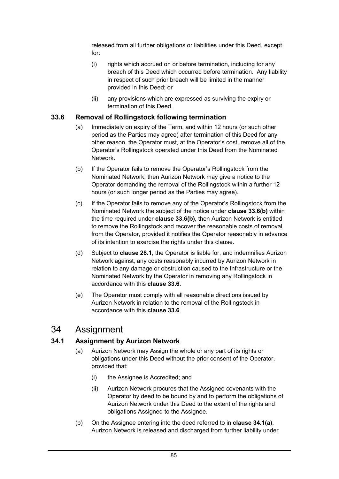released from all further obligations or liabilities under this Deed, except for:

- (i) rights which accrued on or before termination, including for any breach of this Deed which occurred before termination. Any liability in respect of such prior breach will be limited in the manner provided in this Deed; or
- (ii) any provisions which are expressed as surviving the expiry or termination of this Deed.

#### **33.6 Removal of Rollingstock following termination**

- (a) Immediately on expiry of the Term, and within 12 hours (or such other period as the Parties may agree) after termination of this Deed for any other reason, the Operator must, at the Operator's cost, remove all of the Operator's Rollingstock operated under this Deed from the Nominated Network.
- (b) If the Operator fails to remove the Operator's Rollingstock from the Nominated Network, then Aurizon Network may give a notice to the Operator demanding the removal of the Rollingstock within a further 12 hours (or such longer period as the Parties may agree).
- (c) If the Operator fails to remove any of the Operator's Rollingstock from the Nominated Network the subject of the notice under **clause 33.6(b)** within the time required under **clause 33.6(b)**, then Aurizon Network is entitled to remove the Rollingstock and recover the reasonable costs of removal from the Operator, provided it notifies the Operator reasonably in advance of its intention to exercise the rights under this clause.
- (d) Subject to **clause 28.1**, the Operator is liable for, and indemnifies Aurizon Network against, any costs reasonably incurred by Aurizon Network in relation to any damage or obstruction caused to the Infrastructure or the Nominated Network by the Operator in removing any Rollingstock in accordance with this **clause 33.6**.
- (e) The Operator must comply with all reasonable directions issued by Aurizon Network in relation to the removal of the Rollingstock in accordance with this **clause 33.6**.

# 34 Assignment

# **34.1 Assignment by Aurizon Network**

- (a) Aurizon Network may Assign the whole or any part of its rights or obligations under this Deed without the prior consent of the Operator, provided that:
	- (i) the Assignee is Accredited; and
	- (ii) Aurizon Network procures that the Assignee covenants with the Operator by deed to be bound by and to perform the obligations of Aurizon Network under this Deed to the extent of the rights and obligations Assigned to the Assignee.
- (b) On the Assignee entering into the deed referred to in **clause 34.1(a)**, Aurizon Network is released and discharged from further liability under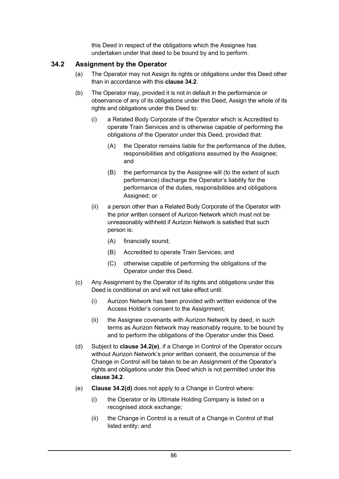this Deed in respect of the obligations which the Assignee has undertaken under that deed to be bound by and to perform.

# **34.2 Assignment by the Operator**

- (a) The Operator may not Assign its rights or obligations under this Deed other than in accordance with this **clause 34.2**.
- (b) The Operator may, provided it is not in default in the performance or observance of any of its obligations under this Deed, Assign the whole of its rights and obligations under this Deed to:
	- (i) a Related Body Corporate of the Operator which is Accredited to operate Train Services and is otherwise capable of performing the obligations of the Operator under this Deed, provided that:
		- (A) the Operator remains liable for the performance of the duties, responsibilities and obligations assumed by the Assignee; and
		- (B) the performance by the Assignee will (to the extent of such performance) discharge the Operator's liability for the performance of the duties, responsibilities and obligations Assigned; or
	- (ii) a person other than a Related Body Corporate of the Operator with the prior written consent of Aurizon Network which must not be unreasonably withheld if Aurizon Network is satisfied that such person is:
		- (A) financially sound;
		- (B) Accredited to operate Train Services; and
		- (C) otherwise capable of performing the obligations of the Operator under this Deed.
- (c) Any Assignment by the Operator of its rights and obligations under this Deed is conditional on and will not take effect until:
	- (i) Aurizon Network has been provided with written evidence of the Access Holder's consent to the Assignment;
	- (ii) the Assignee covenants with Aurizon Network by deed, in such terms as Aurizon Network may reasonably require, to be bound by and to perform the obligations of the Operator under this Deed.
- (d) Subject to **clause 34.2(e)**, if a Change in Control of the Operator occurs without Aurizon Network's prior written consent, the occurrence of the Change in Control will be taken to be an Assignment of the Operator's rights and obligations under this Deed which is not permitted under this **clause 34.2**.
- (e) **Clause 34.2(d)** does not apply to a Change in Control where:
	- (i) the Operator or its Ultimate Holding Company is listed on a recognised stock exchange;
	- (ii) the Change in Control is a result of a Change in Control of that listed entity; and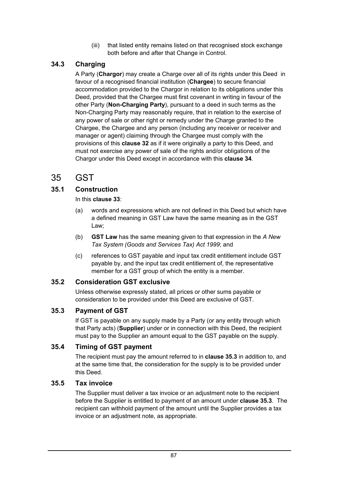(iii) that listed entity remains listed on that recognised stock exchange both before and after that Change in Control.

# **34.3 Charging**

A Party (**Chargor**) may create a Charge over all of its rights under this Deed in favour of a recognised financial institution (**Chargee**) to secure financial accommodation provided to the Chargor in relation to its obligations under this Deed, provided that the Chargee must first covenant in writing in favour of the other Party (**Non-Charging Party**), pursuant to a deed in such terms as the Non-Charging Party may reasonably require, that in relation to the exercise of any power of sale or other right or remedy under the Charge granted to the Chargee, the Chargee and any person (including any receiver or receiver and manager or agent) claiming through the Chargee must comply with the provisions of this **clause 32** as if it were originally a party to this Deed, and must not exercise any power of sale of the rights and/or obligations of the Chargor under this Deed except in accordance with this **clause 34**.

# 35 GST

# **35.1 Construction**

In this **clause 33**:

- (a) words and expressions which are not defined in this Deed but which have a defined meaning in GST Law have the same meaning as in the GST Law;
- (b) **GST Law** has the same meaning given to that expression in the *A New Tax System (Goods and Services Tax) Act 1999*; and
- (c) references to GST payable and input tax credit entitlement include GST payable by, and the input tax credit entitlement of, the representative member for a GST group of which the entity is a member.

# **35.2 Consideration GST exclusive**

Unless otherwise expressly stated, all prices or other sums payable or consideration to be provided under this Deed are exclusive of GST.

# **35.3 Payment of GST**

If GST is payable on any supply made by a Party (or any entity through which that Party acts) (**Supplier**) under or in connection with this Deed, the recipient must pay to the Supplier an amount equal to the GST payable on the supply.

# **35.4 Timing of GST payment**

The recipient must pay the amount referred to in **clause 35.3** in addition to, and at the same time that, the consideration for the supply is to be provided under this Deed.

# **35.5 Tax invoice**

The Supplier must deliver a tax invoice or an adjustment note to the recipient before the Supplier is entitled to payment of an amount under **clause 35.3**. The recipient can withhold payment of the amount until the Supplier provides a tax invoice or an adjustment note, as appropriate.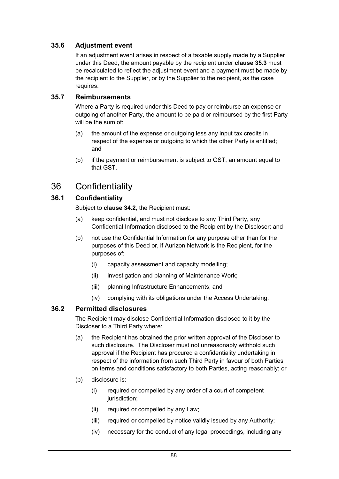# **35.6 Adjustment event**

If an adjustment event arises in respect of a taxable supply made by a Supplier under this Deed, the amount payable by the recipient under **clause 35.3** must be recalculated to reflect the adjustment event and a payment must be made by the recipient to the Supplier, or by the Supplier to the recipient, as the case requires.

#### **35.7 Reimbursements**

Where a Party is required under this Deed to pay or reimburse an expense or outgoing of another Party, the amount to be paid or reimbursed by the first Party will be the sum of:

- (a) the amount of the expense or outgoing less any input tax credits in respect of the expense or outgoing to which the other Party is entitled; and
- (b) if the payment or reimbursement is subject to GST, an amount equal to that GST.

# 36 Confidentiality

# **36.1 Confidentiality**

Subject to **clause 34.2**, the Recipient must:

- (a) keep confidential, and must not disclose to any Third Party, any Confidential Information disclosed to the Recipient by the Discloser; and
- (b) not use the Confidential Information for any purpose other than for the purposes of this Deed or, if Aurizon Network is the Recipient, for the purposes of:
	- (i) capacity assessment and capacity modelling;
	- (ii) investigation and planning of Maintenance Work;
	- (iii) planning Infrastructure Enhancements; and
	- (iv) complying with its obligations under the Access Undertaking.

#### **36.2 Permitted disclosures**

The Recipient may disclose Confidential Information disclosed to it by the Discloser to a Third Party where:

- (a) the Recipient has obtained the prior written approval of the Discloser to such disclosure. The Discloser must not unreasonably withhold such approval if the Recipient has procured a confidentiality undertaking in respect of the information from such Third Party in favour of both Parties on terms and conditions satisfactory to both Parties, acting reasonably; or
- (b) disclosure is:
	- (i) required or compelled by any order of a court of competent jurisdiction;
	- (ii) required or compelled by any Law;
	- (iii) required or compelled by notice validly issued by any Authority;
	- (iv) necessary for the conduct of any legal proceedings, including any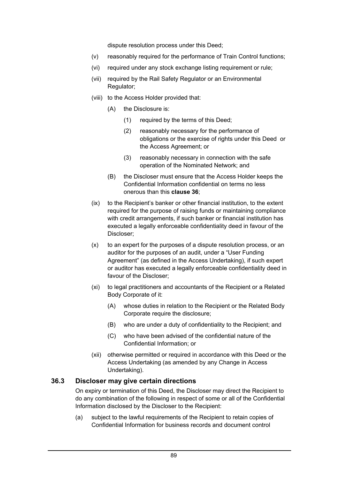dispute resolution process under this Deed;

- (v) reasonably required for the performance of Train Control functions;
- (vi) required under any stock exchange listing requirement or rule;
- (vii) required by the Rail Safety Regulator or an Environmental Regulator;
- (viii) to the Access Holder provided that:
	- (A) the Disclosure is:
		- (1) required by the terms of this Deed;
		- (2) reasonably necessary for the performance of obligations or the exercise of rights under this Deed or the Access Agreement; or
		- (3) reasonably necessary in connection with the safe operation of the Nominated Network; and
	- (B) the Discloser must ensure that the Access Holder keeps the Confidential Information confidential on terms no less onerous than this **clause 36**;
- (ix) to the Recipient's banker or other financial institution, to the extent required for the purpose of raising funds or maintaining compliance with credit arrangements, if such banker or financial institution has executed a legally enforceable confidentiality deed in favour of the Discloser;
- (x) to an expert for the purposes of a dispute resolution process, or an auditor for the purposes of an audit, under a "User Funding Agreement" (as defined in the Access Undertaking), if such expert or auditor has executed a legally enforceable confidentiality deed in favour of the Discloser;
- (xi) to legal practitioners and accountants of the Recipient or a Related Body Corporate of it:
	- (A) whose duties in relation to the Recipient or the Related Body Corporate require the disclosure;
	- (B) who are under a duty of confidentiality to the Recipient; and
	- (C) who have been advised of the confidential nature of the Confidential Information; or
- (xii) otherwise permitted or required in accordance with this Deed or the Access Undertaking (as amended by any Change in Access Undertaking).

#### **36.3 Discloser may give certain directions**

On expiry or termination of this Deed, the Discloser may direct the Recipient to do any combination of the following in respect of some or all of the Confidential Information disclosed by the Discloser to the Recipient:

(a) subject to the lawful requirements of the Recipient to retain copies of Confidential Information for business records and document control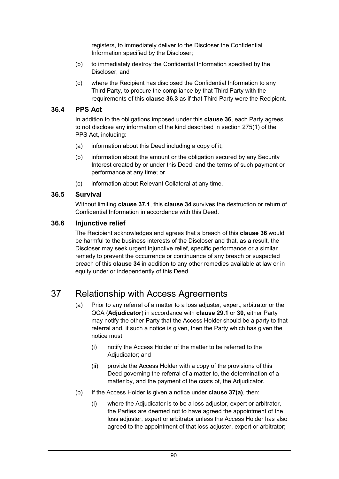registers, to immediately deliver to the Discloser the Confidential Information specified by the Discloser;

- (b) to immediately destroy the Confidential Information specified by the Discloser; and
- (c) where the Recipient has disclosed the Confidential Information to any Third Party, to procure the compliance by that Third Party with the requirements of this **clause 36.3** as if that Third Party were the Recipient.

# **36.4 PPS Act**

In addition to the obligations imposed under this **clause 36**, each Party agrees to not disclose any information of the kind described in section 275(1) of the PPS Act, including:

- (a) information about this Deed including a copy of it;
- (b) information about the amount or the obligation secured by any Security Interest created by or under this Deed and the terms of such payment or performance at any time; or
- (c) information about Relevant Collateral at any time.

# **36.5 Survival**

Without limiting **clause 37.1**, this **clause 34** survives the destruction or return of Confidential Information in accordance with this Deed.

# **36.6 Injunctive relief**

The Recipient acknowledges and agrees that a breach of this **clause 36** would be harmful to the business interests of the Discloser and that, as a result, the Discloser may seek urgent injunctive relief, specific performance or a similar remedy to prevent the occurrence or continuance of any breach or suspected breach of this **clause 34** in addition to any other remedies available at law or in equity under or independently of this Deed.

# 37 Relationship with Access Agreements

- (a) Prior to any referral of a matter to a loss adjuster, expert, arbitrator or the QCA (**Adjudicator**) in accordance with **clause 29.1** or **30**, either Party may notify the other Party that the Access Holder should be a party to that referral and, if such a notice is given, then the Party which has given the notice must:
	- (i) notify the Access Holder of the matter to be referred to the Adjudicator; and
	- (ii) provide the Access Holder with a copy of the provisions of this Deed governing the referral of a matter to, the determination of a matter by, and the payment of the costs of, the Adjudicator.
- (b) If the Access Holder is given a notice under **clause 37(a)**, then:
	- (i) where the Adjudicator is to be a loss adjustor, expert or arbitrator, the Parties are deemed not to have agreed the appointment of the loss adjuster, expert or arbitrator unless the Access Holder has also agreed to the appointment of that loss adjuster, expert or arbitrator;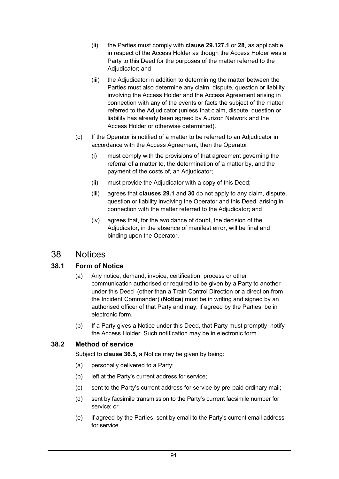- (ii) the Parties must comply with **clause 29.127.1** or **28**, as applicable, in respect of the Access Holder as though the Access Holder was a Party to this Deed for the purposes of the matter referred to the Adjudicator; and
- (iii) the Adjudicator in addition to determining the matter between the Parties must also determine any claim, dispute, question or liability involving the Access Holder and the Access Agreement arising in connection with any of the events or facts the subject of the matter referred to the Adjudicator (unless that claim, dispute, question or liability has already been agreed by Aurizon Network and the Access Holder or otherwise determined).
- (c) If the Operator is notified of a matter to be referred to an Adjudicator in accordance with the Access Agreement, then the Operator:
	- (i) must comply with the provisions of that agreement governing the referral of a matter to, the determination of a matter by, and the payment of the costs of, an Adjudicator;
	- (ii) must provide the Adjudicator with a copy of this Deed;
	- (iii) agrees that **clauses 29.1** and **30** do not apply to any claim, dispute, question or liability involving the Operator and this Deed arising in connection with the matter referred to the Adjudicator; and
	- (iv) agrees that, for the avoidance of doubt, the decision of the Adjudicator, in the absence of manifest error, will be final and binding upon the Operator.

# 38 Notices

# **38.1 Form of Notice**

- (a) Any notice, demand, invoice, certification, process or other communication authorised or required to be given by a Party to another under this Deed (other than a Train Control Direction or a direction from the Incident Commander) (**Notice**) must be in writing and signed by an authorised officer of that Party and may, if agreed by the Parties, be in electronic form.
- (b) If a Party gives a Notice under this Deed, that Party must promptly notify the Access Holder. Such notification may be in electronic form.

# **38.2 Method of service**

Subject to **clause 36.5**, a Notice may be given by being:

- (a) personally delivered to a Party;
- (b) left at the Party's current address for service;
- (c) sent to the Party's current address for service by pre-paid ordinary mail;
- (d) sent by facsimile transmission to the Party's current facsimile number for service; or
- (e) if agreed by the Parties, sent by email to the Party's current email address for service.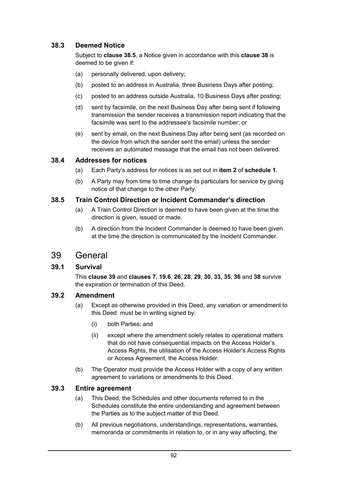# **38.3 Deemed Notice**

Subject to **clause 38.5**, a Notice given in accordance with this **clause 38** is deemed to be given if:

- (a) personally delivered, upon delivery;
- (b) posted to an address in Australia, three Business Days after posting;
- (c) posted to an address outside Australia, 10 Business Days after posting;
- (d) sent by facsimile, on the next Business Day after being sent if following transmission the sender receives a transmission report indicating that the facsimile was sent to the addressee's facsimile number; or
- (e) sent by email, on the next Business Day after being sent (as recorded on the device from which the sender sent the email) unless the sender receives an automated message that the email has not been delivered.

#### **38.4 Addresses for notices**

- (a) Each Party's address for notices is as set out in **item 2** of **schedule 1**.
- (b) A Party may from time to time change its particulars for service by giving notice of that change to the other Party.

#### **38.5 Train Control Direction or Incident Commander's direction**

- (a) A Train Control Direction is deemed to have been given at the time the direction is given, issued or made.
- (b) A direction from the Incident Commander is deemed to have been given at the time the direction is communicated by the Incident Commander.

# 39 General

# **39.1 Survival**

This **clause 39** and **clauses 7**, **19.6**, **26**, **28**, **29**, **30**, **33**, **35**, **36** and **38** survive the expiration or termination of this Deed.

#### **39.2 Amendment**

- (a) Except as otherwise provided in this Deed, any variation or amendment to this Deed must be in writing signed by:
	- (i) both Parties; and
	- (ii) except where the amendment solely relates to operational matters that do not have consequential impacts on the Access Holder's Access Rights, the utilisation of the Access Holder's Access Rights or Access Agreement, the Access Holder.
- (b) The Operator must provide the Access Holder with a copy of any written agreement to variations or amendments to this Deed.

#### **39.3 Entire agreement**

- (a) This Deed, the Schedules and other documents referred to in the Schedules constitute the entire understanding and agreement between the Parties as to the subject matter of this Deed.
- (b) All previous negotiations, understandings, representations, warranties, memoranda or commitments in relation to, or in any way affecting, the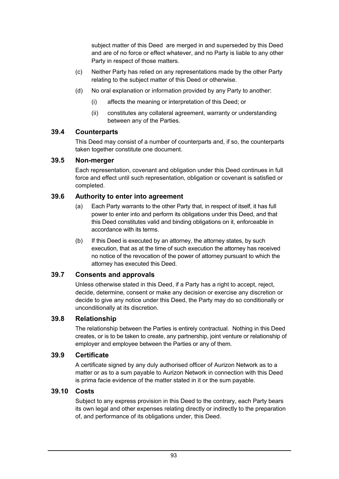subject matter of this Deed are merged in and superseded by this Deed and are of no force or effect whatever, and no Party is liable to any other Party in respect of those matters.

- (c) Neither Party has relied on any representations made by the other Party relating to the subject matter of this Deed or otherwise.
- (d) No oral explanation or information provided by any Party to another:
	- (i) affects the meaning or interpretation of this Deed; or
	- (ii) constitutes any collateral agreement, warranty or understanding between any of the Parties.

# **39.4 Counterparts**

This Deed may consist of a number of counterparts and, if so, the counterparts taken together constitute one document.

# **39.5 Non-merger**

Each representation, covenant and obligation under this Deed continues in full force and effect until such representation, obligation or covenant is satisfied or completed.

# **39.6 Authority to enter into agreement**

- (a) Each Party warrants to the other Party that, in respect of itself, it has full power to enter into and perform its obligations under this Deed, and that this Deed constitutes valid and binding obligations on it, enforceable in accordance with its terms.
- (b) If this Deed is executed by an attorney, the attorney states, by such execution, that as at the time of such execution the attorney has received no notice of the revocation of the power of attorney pursuant to which the attorney has executed this Deed.

# **39.7 Consents and approvals**

Unless otherwise stated in this Deed, if a Party has a right to accept, reject, decide, determine, consent or make any decision or exercise any discretion or decide to give any notice under this Deed, the Party may do so conditionally or unconditionally at its discretion.

# **39.8 Relationship**

The relationship between the Parties is entirely contractual. Nothing in this Deed creates, or is to be taken to create, any partnership, joint venture or relationship of employer and employee between the Parties or any of them.

# **39.9 Certificate**

A certificate signed by any duly authorised officer of Aurizon Network as to a matter or as to a sum payable to Aurizon Network in connection with this Deed is prima facie evidence of the matter stated in it or the sum payable.

# **39.10 Costs**

Subject to any express provision in this Deed to the contrary, each Party bears its own legal and other expenses relating directly or indirectly to the preparation of, and performance of its obligations under, this Deed.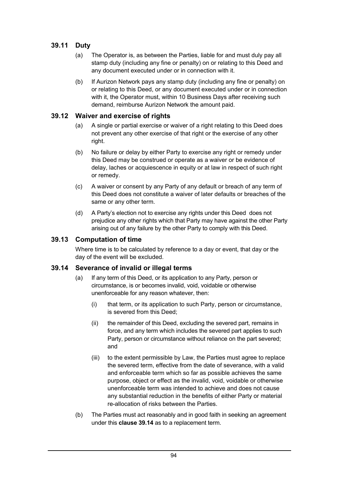# **39.11 Duty**

- (a) The Operator is, as between the Parties, liable for and must duly pay all stamp duty (including any fine or penalty) on or relating to this Deed and any document executed under or in connection with it.
- (b) If Aurizon Network pays any stamp duty (including any fine or penalty) on or relating to this Deed, or any document executed under or in connection with it, the Operator must, within 10 Business Days after receiving such demand, reimburse Aurizon Network the amount paid.

# **39.12 Waiver and exercise of rights**

- (a) A single or partial exercise or waiver of a right relating to this Deed does not prevent any other exercise of that right or the exercise of any other right.
- (b) No failure or delay by either Party to exercise any right or remedy under this Deed may be construed or operate as a waiver or be evidence of delay, laches or acquiescence in equity or at law in respect of such right or remedy.
- (c) A waiver or consent by any Party of any default or breach of any term of this Deed does not constitute a waiver of later defaults or breaches of the same or any other term.
- (d) A Party's election not to exercise any rights under this Deed does not prejudice any other rights which that Party may have against the other Party arising out of any failure by the other Party to comply with this Deed.

# **39.13 Computation of time**

Where time is to be calculated by reference to a day or event, that day or the day of the event will be excluded.

# **39.14 Severance of invalid or illegal terms**

- (a) If any term of this Deed, or its application to any Party, person or circumstance, is or becomes invalid, void, voidable or otherwise unenforceable for any reason whatever, then:
	- (i) that term, or its application to such Party, person or circumstance, is severed from this Deed;
	- (ii) the remainder of this Deed, excluding the severed part, remains in force, and any term which includes the severed part applies to such Party, person or circumstance without reliance on the part severed; and
	- (iii) to the extent permissible by Law, the Parties must agree to replace the severed term, effective from the date of severance, with a valid and enforceable term which so far as possible achieves the same purpose, object or effect as the invalid, void, voidable or otherwise unenforceable term was intended to achieve and does not cause any substantial reduction in the benefits of either Party or material re-allocation of risks between the Parties.
- (b) The Parties must act reasonably and in good faith in seeking an agreement under this **clause 39.14** as to a replacement term.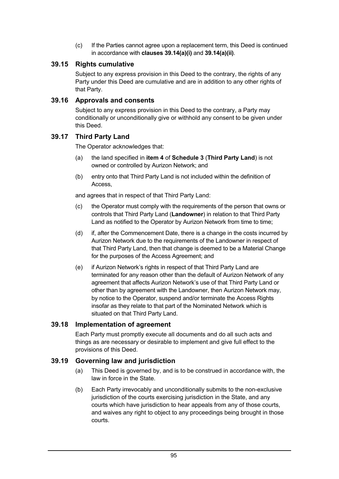(c) If the Parties cannot agree upon a replacement term, this Deed is continued in accordance with **clauses 39.14(a)(i)** and **39.14(a)(ii)**.

# **39.15 Rights cumulative**

Subject to any express provision in this Deed to the contrary, the rights of any Party under this Deed are cumulative and are in addition to any other rights of that Party.

#### **39.16 Approvals and consents**

Subject to any express provision in this Deed to the contrary, a Party may conditionally or unconditionally give or withhold any consent to be given under this Deed.

# **39.17 Third Party Land**

The Operator acknowledges that:

- (a) the land specified in **item 4** of **Schedule 3** (**Third Party Land**) is not owned or controlled by Aurizon Network; and
- (b) entry onto that Third Party Land is not included within the definition of Access,

and agrees that in respect of that Third Party Land:

- (c) the Operator must comply with the requirements of the person that owns or controls that Third Party Land (**Landowner**) in relation to that Third Party Land as notified to the Operator by Aurizon Network from time to time;
- (d) if, after the Commencement Date, there is a change in the costs incurred by Aurizon Network due to the requirements of the Landowner in respect of that Third Party Land, then that change is deemed to be a Material Change for the purposes of the Access Agreement; and
- (e) if Aurizon Network's rights in respect of that Third Party Land are terminated for any reason other than the default of Aurizon Network of any agreement that affects Aurizon Network's use of that Third Party Land or other than by agreement with the Landowner, then Aurizon Network may, by notice to the Operator, suspend and/or terminate the Access Rights insofar as they relate to that part of the Nominated Network which is situated on that Third Party Land.

# **39.18 Implementation of agreement**

Each Party must promptly execute all documents and do all such acts and things as are necessary or desirable to implement and give full effect to the provisions of this Deed.

# **39.19 Governing law and jurisdiction**

- (a) This Deed is governed by, and is to be construed in accordance with, the law in force in the State.
- (b) Each Party irrevocably and unconditionally submits to the non-exclusive jurisdiction of the courts exercising jurisdiction in the State, and any courts which have jurisdiction to hear appeals from any of those courts, and waives any right to object to any proceedings being brought in those courts.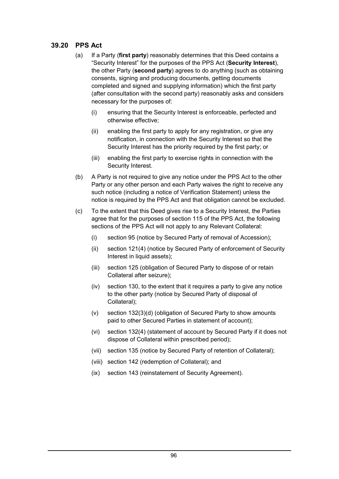# **39.20 PPS Act**

- (a) If a Party (**first party**) reasonably determines that this Deed contains a "Security Interest" for the purposes of the PPS Act (**Security Interest**), the other Party (**second party**) agrees to do anything (such as obtaining consents, signing and producing documents, getting documents completed and signed and supplying information) which the first party (after consultation with the second party) reasonably asks and considers necessary for the purposes of:
	- (i) ensuring that the Security Interest is enforceable, perfected and otherwise effective;
	- (ii) enabling the first party to apply for any registration, or give any notification, in connection with the Security Interest so that the Security Interest has the priority required by the first party; or
	- (iii) enabling the first party to exercise rights in connection with the Security Interest.
- (b) A Party is not required to give any notice under the PPS Act to the other Party or any other person and each Party waives the right to receive any such notice (including a notice of Verification Statement) unless the notice is required by the PPS Act and that obligation cannot be excluded.
- (c) To the extent that this Deed gives rise to a Security Interest, the Parties agree that for the purposes of section 115 of the PPS Act, the following sections of the PPS Act will not apply to any Relevant Collateral:
	- (i) section 95 (notice by Secured Party of removal of Accession);
	- (ii) section 121(4) (notice by Secured Party of enforcement of Security Interest in liquid assets);
	- (iii) section 125 (obligation of Secured Party to dispose of or retain Collateral after seizure);
	- (iv) section 130, to the extent that it requires a party to give any notice to the other party (notice by Secured Party of disposal of Collateral);
	- (v) section 132(3)(d) (obligation of Secured Party to show amounts paid to other Secured Parties in statement of account);
	- (vi) section 132(4) (statement of account by Secured Party if it does not dispose of Collateral within prescribed period);
	- (vii) section 135 (notice by Secured Party of retention of Collateral);
	- (viii) section 142 (redemption of Collateral); and
	- (ix) section 143 (reinstatement of Security Agreement).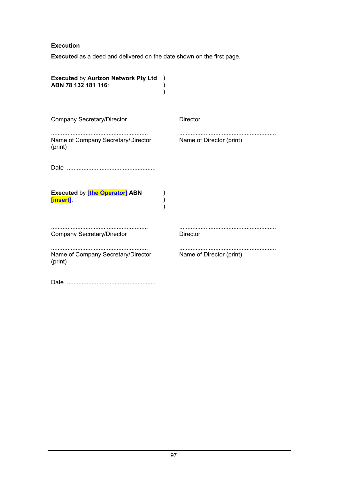# **Execution**

**Executed** as a deed and delivered on the date shown on the first page.

| <b>Executed by Aurizon Network Pty Ltd</b><br>ABN 78 132 181 116: |                          |
|-------------------------------------------------------------------|--------------------------|
| <b>Company Secretary/Director</b>                                 | <br><b>Director</b>      |
| Name of Company Secretary/Director<br>(print)                     | Name of Director (print) |
|                                                                   |                          |
| <b>Executed by [the Operator] ABN</b><br>[insert]                 |                          |
| <b>Company Secretary/Director</b>                                 | <b>Director</b>          |
| Name of Company Secretary/Director<br>(print)                     | Name of Director (print) |
|                                                                   |                          |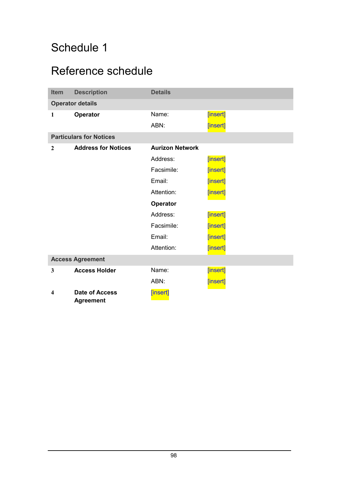# Schedule 1

# Reference schedule

| <b>Item</b>  | <b>Description</b>                        | <b>Details</b>         |          |
|--------------|-------------------------------------------|------------------------|----------|
|              | <b>Operator details</b>                   |                        |          |
| $\mathbf{1}$ | <b>Operator</b>                           | Name:                  | [insert] |
|              |                                           | ABN:                   | [insert] |
|              | <b>Particulars for Notices</b>            |                        |          |
| $\mathbf{2}$ | <b>Address for Notices</b>                | <b>Aurizon Network</b> |          |
|              |                                           | Address:               | [insert] |
|              |                                           | Facsimile:             | [insert] |
|              |                                           | Email:                 | [insert] |
|              |                                           | Attention:             | [insert] |
|              |                                           | <b>Operator</b>        |          |
|              |                                           | Address:               | [insert] |
|              |                                           | Facsimile:             | [insert] |
|              |                                           | Email:                 | [insert] |
|              |                                           | Attention:             | [insert] |
|              | <b>Access Agreement</b>                   |                        |          |
| 3            | <b>Access Holder</b>                      | Name:                  | [insert] |
|              |                                           | ABN:                   | [insert] |
| 4            | <b>Date of Access</b><br><b>Agreement</b> | [insert]               |          |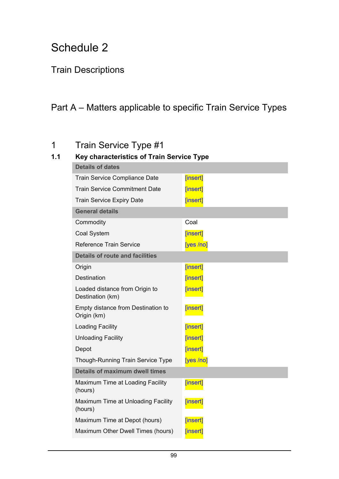# Schedule 2

# Train Descriptions

# Part A – Matters applicable to specific Train Service Types

# 1 Train Service Type #1

# **1.1 Key characteristics of Train Service Type**

| <b>Details of dates</b>                            |           |
|----------------------------------------------------|-----------|
| Train Service Compliance Date                      | [insert]  |
| <b>Train Service Commitment Date</b>               | [insert]  |
| <b>Train Service Expiry Date</b>                   | [insert]  |
| <b>General details</b>                             |           |
| Commodity                                          | Coal      |
| Coal System                                        | [insert]  |
| <b>Reference Train Service</b>                     | [yes /no] |
| <b>Details of route and facilities</b>             |           |
| Origin                                             | [insert]  |
| <b>Destination</b>                                 | [insert]  |
| Loaded distance from Origin to<br>Destination (km) | [insert]  |
| Empty distance from Destination to<br>Origin (km)  | [insert]  |
| <b>Loading Facility</b>                            | [insert]  |
| <b>Unloading Facility</b>                          | [insert]  |
| Depot                                              | [insert]  |
| <b>Though-Running Train Service Type</b>           | [yes /no] |
| Details of maximum dwell times                     |           |
| Maximum Time at Loading Facility<br>(hours)        | [insert]  |
| Maximum Time at Unloading Facility<br>(hours)      | [insert]  |
| Maximum Time at Depot (hours)                      | [insert]  |
| Maximum Other Dwell Times (hours)                  | [insert]  |
|                                                    |           |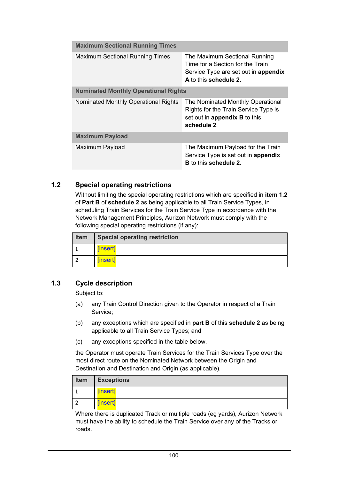| <b>Maximum Sectional Running Times</b>      |                                                                                                                                    |
|---------------------------------------------|------------------------------------------------------------------------------------------------------------------------------------|
| <b>Maximum Sectional Running Times</b>      | The Maximum Sectional Running<br>Time for a Section for the Train<br>Service Type are set out in appendix<br>A to this schedule 2. |
| <b>Nominated Monthly Operational Rights</b> |                                                                                                                                    |
| Nominated Monthly Operational Rights        | The Nominated Monthly Operational<br>Rights for the Train Service Type is<br>set out in appendix B to this<br>schedule 2.          |
| <b>Maximum Payload</b>                      |                                                                                                                                    |
| Maximum Payload                             | The Maximum Payload for the Train<br>Service Type is set out in appendix<br><b>B</b> to this schedule 2.                           |

# **1.2 Special operating restrictions**

Without limiting the special operating restrictions which are specified in **item 1.2** of **Part B** of **schedule 2** as being applicable to all Train Service Types, in scheduling Train Services for the Train Service Type in accordance with the Network Management Principles, Aurizon Network must comply with the following special operating restrictions (if any):

| <b>Item</b> | <b>Special operating restriction</b> |
|-------------|--------------------------------------|
|             | [insert]                             |
|             | [insert]                             |

# **1.3 Cycle description**

Subject to:

- (a) any Train Control Direction given to the Operator in respect of a Train Service;
- (b) any exceptions which are specified in **part B** of this **schedule 2** as being applicable to all Train Service Types; and
- (c) any exceptions specified in the table below,

the Operator must operate Train Services for the Train Services Type over the most direct route on the Nominated Network between the Origin and Destination and Destination and Origin (as applicable).

| Item | <b>Exceptions</b> |
|------|-------------------|
|      | [insert]          |
|      | [insert]          |

Where there is duplicated Track or multiple roads (eg yards), Aurizon Network must have the ability to schedule the Train Service over any of the Tracks or roads.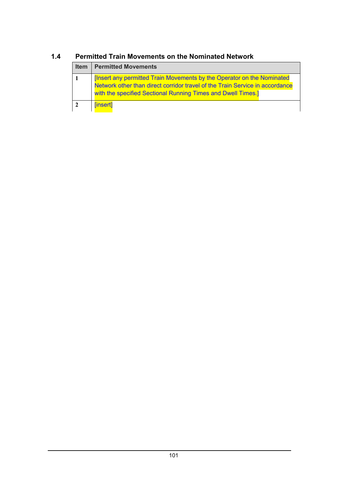# **Item Permitted Movements 1** [Insert any permitted Train Movements by the Operator on the Nominated Network other than direct corridor travel of the Train Service in accordance with the specified Sectional Running Times and Dwell Times.] **2** [insert]

# **1.4 Permitted Train Movements on the Nominated Network**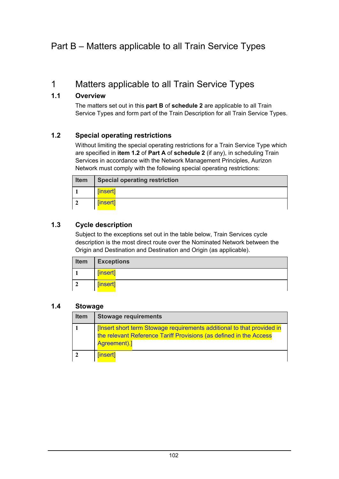### Part B – Matters applicable to all Train Service Types

### 1 Matters applicable to all Train Service Types

#### **1.1 Overview**

The matters set out in this **part B** of **schedule 2** are applicable to all Train Service Types and form part of the Train Description for all Train Service Types.

#### **1.2 Special operating restrictions**

Without limiting the special operating restrictions for a Train Service Type which are specified in **item 1.2** of **Part A** of **schedule 2** (if any), in scheduling Train Services in accordance with the Network Management Principles, Aurizon Network must comply with the following special operating restrictions:

| <b>Item</b> | <b>Special operating restriction</b> |
|-------------|--------------------------------------|
|             | [insert]                             |
|             | [insert]                             |

#### **1.3 Cycle description**

Subject to the exceptions set out in the table below, Train Services cycle description is the most direct route over the Nominated Network between the Origin and Destination and Destination and Origin (as applicable).

| <b>Item</b> | <b>Exceptions</b> |
|-------------|-------------------|
|             | [insert]          |
| -2          | [insert]          |

#### **1.4 Stowage**

| <b>Item</b> | <b>Stowage requirements</b>                                                                                                                              |
|-------------|----------------------------------------------------------------------------------------------------------------------------------------------------------|
|             | The short term Stowage requirements additional to that provided in<br>the relevant Reference Tariff Provisions (as defined in the Access<br>Agreement).] |
|             | [insert]                                                                                                                                                 |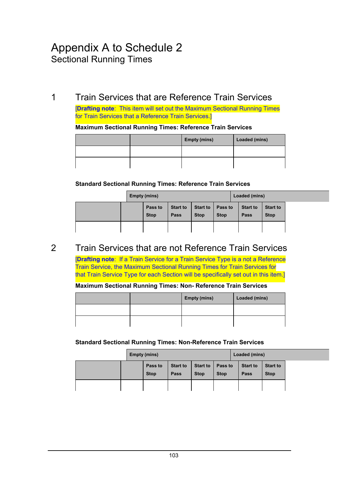## Appendix A to Schedule 2 Sectional Running Times

### 1 Train Services that are Reference Train Services

[**Drafting note**: This item will set out the Maximum Sectional Running Times for Train Services that a Reference Train Services.]

#### **Maximum Sectional Running Times: Reference Train Services**

|  | <b>Empty (mins)</b> | Loaded (mins) |
|--|---------------------|---------------|
|  |                     |               |
|  |                     |               |

#### **Standard Sectional Running Times: Reference Train Services**

|  | Empty (mins)           |                                |                                |                        | Loaded (mins)           |                                |
|--|------------------------|--------------------------------|--------------------------------|------------------------|-------------------------|--------------------------------|
|  | Pass to<br><b>Stop</b> | <b>Start to</b><br><b>Pass</b> | <b>Start to</b><br><b>Stop</b> | Pass to<br><b>Stop</b> | <b>Start to</b><br>Pass | <b>Start to</b><br><b>Stop</b> |
|  |                        |                                |                                |                        |                         |                                |

### 2 Train Services that are not Reference Train Services

[**Drafting note**: If a Train Service for a Train Service Type is a not a Reference Train Service, the Maximum Sectional Running Times for Train Services for that Train Service Type for each Section will be specifically set out in this item.]

#### **Maximum Sectional Running Times: Non- Reference Train Services**

|  | <b>Empty (mins)</b> | Loaded (mins) |
|--|---------------------|---------------|
|  |                     |               |
|  |                     |               |

#### **Standard Sectional Running Times: Non-Reference Train Services**

|  | Empty (mins)           |                         |                                |                        | Loaded (mins)           |                                |  |
|--|------------------------|-------------------------|--------------------------------|------------------------|-------------------------|--------------------------------|--|
|  | Pass to<br><b>Stop</b> | <b>Start to</b><br>Pass | <b>Start to</b><br><b>Stop</b> | Pass to<br><b>Stop</b> | <b>Start to</b><br>Pass | <b>Start to</b><br><b>Stop</b> |  |
|  |                        |                         |                                |                        |                         |                                |  |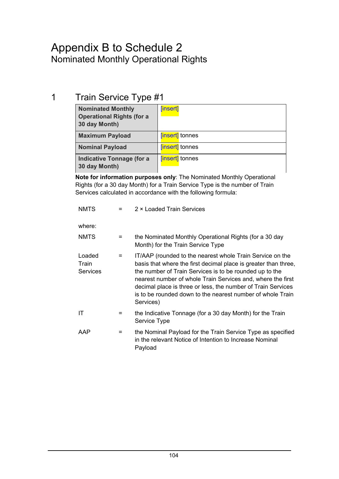## Appendix B to Schedule 2 Nominated Monthly Operational Rights

## 1 Train Service Type #1

| <b>Nominated Monthly</b><br><b>Operational Rights (for a</b><br>30 day Month) | [insert]               |
|-------------------------------------------------------------------------------|------------------------|
| <b>Maximum Payload</b>                                                        | <b>[insert]</b> tonnes |
| <b>Nominal Payload</b>                                                        | <b>[insert]</b> tonnes |
| <b>Indicative Tonnage (for a</b><br>30 day Month)                             | <b>[insert]</b> tonnes |

**Note for information purposes only**: The Nominated Monthly Operational Rights (for a 30 day Month) for a Train Service Type is the number of Train Services calculated in accordance with the following formula:

| <b>NMTS</b>                        | $=$ | 2 × Loaded Train Services                                                                                                                                                                                                                                                                                                                                                                         |
|------------------------------------|-----|---------------------------------------------------------------------------------------------------------------------------------------------------------------------------------------------------------------------------------------------------------------------------------------------------------------------------------------------------------------------------------------------------|
| where:                             |     |                                                                                                                                                                                                                                                                                                                                                                                                   |
| NMTS                               | $=$ | the Nominated Monthly Operational Rights (for a 30 day<br>Month) for the Train Service Type                                                                                                                                                                                                                                                                                                       |
| Loaded<br>Train<br><b>Services</b> | $=$ | IT/AAP (rounded to the nearest whole Train Service on the<br>basis that where the first decimal place is greater than three,<br>the number of Train Services is to be rounded up to the<br>nearest number of whole Train Services and, where the first<br>decimal place is three or less, the number of Train Services<br>is to be rounded down to the nearest number of whole Train<br>Services) |
| ΙT                                 | $=$ | the Indicative Tonnage (for a 30 day Month) for the Train<br>Service Type                                                                                                                                                                                                                                                                                                                         |
| AAP                                | $=$ | the Nominal Payload for the Train Service Type as specified<br>in the relevant Notice of Intention to Increase Nominal<br>Payload                                                                                                                                                                                                                                                                 |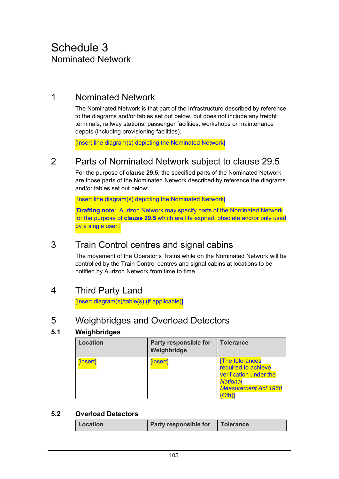### 1 Nominated Network

The Nominated Network is that part of the Infrastructure described by reference to the diagrams and/or tables set out below, but does not include any freight terminals, railway stations, passenger facilities, workshops or maintenance depots (including provisioning facilities).

[Insert line diagram(s) depicting the Nominated Network]

### 2 Parts of Nominated Network subject to clause 29.5

For the purpose of **clause 29.5**, the specified parts of the Nominated Network are those parts of the Nominated Network described by reference the diagrams and/or tables set out below:

[Insert line diagram(s) depicting the Nominated Network]

[**Drafting note**: Aurizon Network may specify parts of the Nominated Network for the purpose of **clause 29.5** which are life expired, obsolete and/or only used by a single user.]

### 3 Train Control centres and signal cabins

The movement of the Operator's Trains while on the Nominated Network will be controlled by the Train Control centres and signal cabins at locations to be notified by Aurizon Network from time to time.

### 4 Third Party Land

[Insert diagram(s)/table(s) (if applicable)]

### 5 Weighbridges and Overload Detectors

#### **5.1 Weighbridges**

| <b>Location</b> | Party responsible for<br>Weighbridge | <b>Tolerance</b>                                                                                                  |
|-----------------|--------------------------------------|-------------------------------------------------------------------------------------------------------------------|
| [insert]        | [insert]                             | The tolerances<br>required to achieve<br>verification under the<br><b>National</b><br><b>Measurement Act 1960</b> |

#### **5.2 Overload Detectors**

| Location | <b>Party responsible for</b> | <b>Tolerance</b> |
|----------|------------------------------|------------------|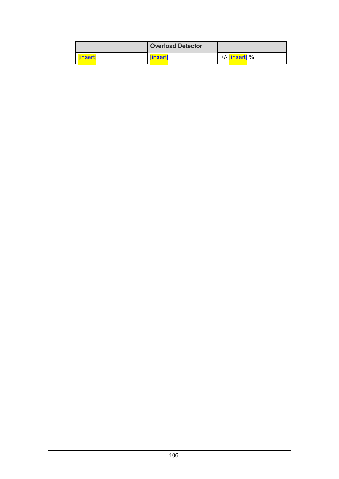|          | <b>Overload Detector</b> |                             |
|----------|--------------------------|-----------------------------|
| [insert] | [insert]                 | +/- <mark>[insert]</mark> % |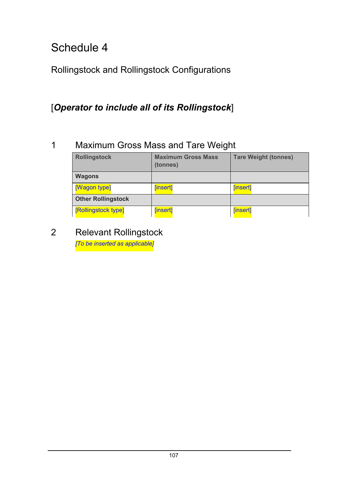Rollingstock and Rollingstock Configurations

## [*Operator to include all of its Rollingstock*]

## 1 Maximum Gross Mass and Tare Weight

| <b>Rollingstock</b>       | <b>Maximum Gross Mass</b><br>(tonnes) | <b>Tare Weight (tonnes)</b> |
|---------------------------|---------------------------------------|-----------------------------|
| <b>Wagons</b>             |                                       |                             |
| [Wagon type]              | [insert]                              | [insert]                    |
| <b>Other Rollingstock</b> |                                       |                             |
| [Rollingstock type]       | [insert]                              | [insert]                    |

# 2 Relevant Rollingstock

*[To be inserted as applicable]*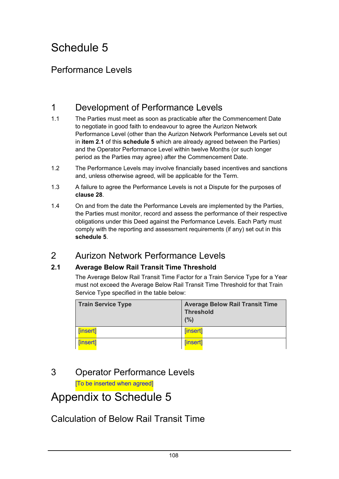### Performance Levels

### 1 Development of Performance Levels

- 1.1 The Parties must meet as soon as practicable after the Commencement Date to negotiate in good faith to endeavour to agree the Aurizon Network Performance Level (other than the Aurizon Network Performance Levels set out in **item 2.1** of this **schedule 5** which are already agreed between the Parties) and the Operator Performance Level within twelve Months (or such longer period as the Parties may agree) after the Commencement Date.
- 1.2 The Performance Levels may involve financially based incentives and sanctions and, unless otherwise agreed, will be applicable for the Term.
- 1.3 A failure to agree the Performance Levels is not a Dispute for the purposes of **clause 28**.
- 1.4 On and from the date the Performance Levels are implemented by the Parties, the Parties must monitor, record and assess the performance of their respective obligations under this Deed against the Performance Levels. Each Party must comply with the reporting and assessment requirements (if any) set out in this **schedule 5**.

### 2 Aurizon Network Performance Levels

#### **2.1 Average Below Rail Transit Time Threshold**

The Average Below Rail Transit Time Factor for a Train Service Type for a Year must not exceed the Average Below Rail Transit Time Threshold for that Train Service Type specified in the table below:

| <b>Train Service Type</b> | <b>Average Below Rail Transit Time</b><br><b>Threshold</b><br>(%) |
|---------------------------|-------------------------------------------------------------------|
| [insert]                  | [insert]                                                          |
| [insert]                  | [insert]                                                          |

### 3 Operator Performance Levels

[To be inserted when agreed]

# Appendix to Schedule 5

### Calculation of Below Rail Transit Time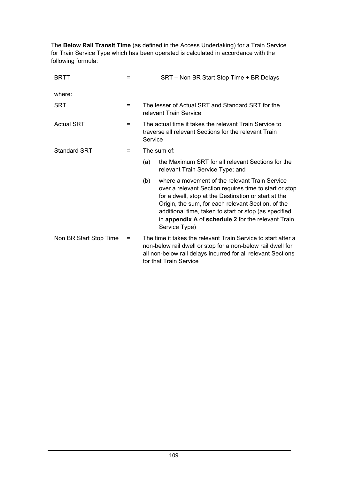The **Below Rail Transit Time** (as defined in the Access Undertaking) for a Train Service for Train Service Type which has been operated is calculated in accordance with the following formula:

| <b>BRTT</b>            | =   | SRT - Non BR Start Stop Time + BR Delays                                                                                                                                                                                                                                                                                                                      |  |
|------------------------|-----|---------------------------------------------------------------------------------------------------------------------------------------------------------------------------------------------------------------------------------------------------------------------------------------------------------------------------------------------------------------|--|
| where:                 |     |                                                                                                                                                                                                                                                                                                                                                               |  |
| <b>SRT</b>             | $=$ | The lesser of Actual SRT and Standard SRT for the<br>relevant Train Service                                                                                                                                                                                                                                                                                   |  |
| <b>Actual SRT</b>      | =   | The actual time it takes the relevant Train Service to<br>traverse all relevant Sections for the relevant Train<br>Service                                                                                                                                                                                                                                    |  |
| <b>Standard SRT</b>    | =   | The sum of:                                                                                                                                                                                                                                                                                                                                                   |  |
|                        |     | the Maximum SRT for all relevant Sections for the<br>(a)<br>relevant Train Service Type; and                                                                                                                                                                                                                                                                  |  |
|                        |     | where a movement of the relevant Train Service<br>(b)<br>over a relevant Section requires time to start or stop<br>for a dwell, stop at the Destination or start at the<br>Origin, the sum, for each relevant Section, of the<br>additional time, taken to start or stop (as specified<br>in appendix A of schedule 2 for the relevant Train<br>Service Type) |  |
| Non BR Start Stop Time | =   | The time it takes the relevant Train Service to start after a<br>non-below rail dwell or stop for a non-below rail dwell for<br>all non-below rail delays incurred for all relevant Sections<br>for that Train Service                                                                                                                                        |  |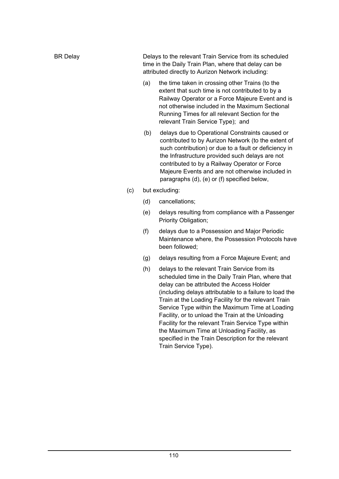| BR Delay | Delays to the relevant Train Service from its scheduled<br>time in the Daily Train Plan, where that delay can be<br>attributed directly to Aurizon Network including: |
|----------|-----------------------------------------------------------------------------------------------------------------------------------------------------------------------|
|          | the time taken in crossing other Trains (to the<br>(a)                                                                                                                |

- extent that such time is not contributed to by a Railway Operator or a Force Majeure Event and is not otherwise included in the Maximum Sectional Running Times for all relevant Section for the relevant Train Service Type); and
- (b) delays due to Operational Constraints caused or contributed to by Aurizon Network (to the extent of such contribution) or due to a fault or deficiency in the Infrastructure provided such delays are not contributed to by a Railway Operator or Force Majeure Events and are not otherwise included in paragraphs (d), (e) or (f) specified below,
- (c) but excluding:
	- (d) cancellations;
	- (e) delays resulting from compliance with a Passenger Priority Obligation;
	- (f) delays due to a Possession and Major Periodic Maintenance where, the Possession Protocols have been followed;
	- (g) delays resulting from a Force Majeure Event; and
	- (h) delays to the relevant Train Service from its scheduled time in the Daily Train Plan, where that delay can be attributed the Access Holder (including delays attributable to a failure to load the Train at the Loading Facility for the relevant Train Service Type within the Maximum Time at Loading Facility, or to unload the Train at the Unloading Facility for the relevant Train Service Type within the Maximum Time at Unloading Facility, as specified in the Train Description for the relevant Train Service Type).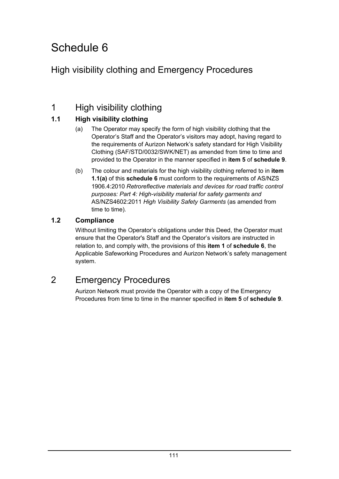## High visibility clothing and Emergency Procedures

### 1 High visibility clothing

### **1.1 High visibility clothing**

- (a) The Operator may specify the form of high visibility clothing that the Operator's Staff and the Operator's visitors may adopt, having regard to the requirements of Aurizon Network's safety standard for High Visibility Clothing (SAF/STD/0032/SWK/NET) as amended from time to time and provided to the Operator in the manner specified in **item 5** of **schedule 9**.
- (b) The colour and materials for the high visibility clothing referred to in **item 1.1(a)** of this **schedule 6** must conform to the requirements of AS/NZS 1906.4:2010 *Retroreflective materials and devices for road traffic control purposes: Part 4: High-visibility material for safety garments and* AS/NZS4602:2011 *High Visibility Safety Garments* (as amended from time to time)*.*

#### **1.2 Compliance**

Without limiting the Operator's obligations under this Deed, the Operator must ensure that the Operator's Staff and the Operator's visitors are instructed in relation to, and comply with, the provisions of this **item 1** of **schedule 6**, the Applicable Safeworking Procedures and Aurizon Network's safety management system.

### 2 Emergency Procedures

Aurizon Network must provide the Operator with a copy of the Emergency Procedures from time to time in the manner specified in **item 5** of **schedule 9**.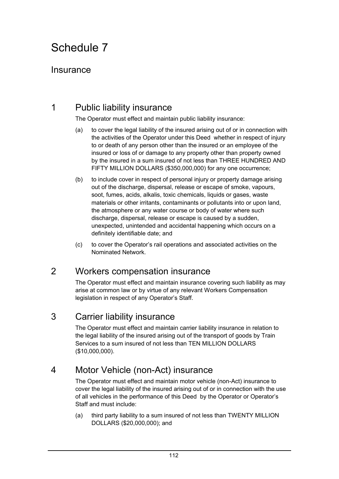### Insurance

### 1 Public liability insurance

The Operator must effect and maintain public liability insurance:

- (a) to cover the legal liability of the insured arising out of or in connection with the activities of the Operator under this Deed whether in respect of injury to or death of any person other than the insured or an employee of the insured or loss of or damage to any property other than property owned by the insured in a sum insured of not less than THREE HUNDRED AND FIFTY MILLION DOLLARS (\$350,000,000) for any one occurrence;
- (b) to include cover in respect of personal injury or property damage arising out of the discharge, dispersal, release or escape of smoke, vapours, soot, fumes, acids, alkalis, toxic chemicals, liquids or gases, waste materials or other irritants, contaminants or pollutants into or upon land, the atmosphere or any water course or body of water where such discharge, dispersal, release or escape is caused by a sudden, unexpected, unintended and accidental happening which occurs on a definitely identifiable date; and
- (c) to cover the Operator's rail operations and associated activities on the Nominated Network.

### 2 Workers compensation insurance

The Operator must effect and maintain insurance covering such liability as may arise at common law or by virtue of any relevant Workers Compensation legislation in respect of any Operator's Staff.

### 3 Carrier liability insurance

The Operator must effect and maintain carrier liability insurance in relation to the legal liability of the insured arising out of the transport of goods by Train Services to a sum insured of not less than TEN MILLION DOLLARS (\$10,000,000).

### 4 Motor Vehicle (non-Act) insurance

The Operator must effect and maintain motor vehicle (non-Act) insurance to cover the legal liability of the insured arising out of or in connection with the use of all vehicles in the performance of this Deed by the Operator or Operator's Staff and must include:

(a) third party liability to a sum insured of not less than TWENTY MILLION DOLLARS (\$20,000,000); and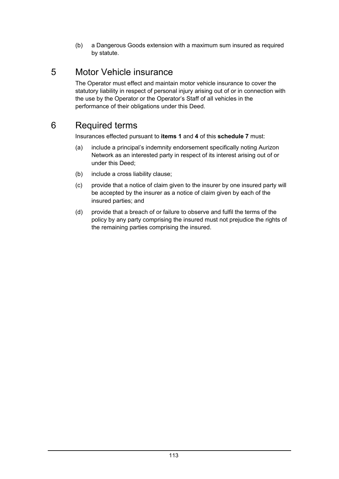(b) a Dangerous Goods extension with a maximum sum insured as required by statute.

## 5 Motor Vehicle insurance

The Operator must effect and maintain motor vehicle insurance to cover the statutory liability in respect of personal injury arising out of or in connection with the use by the Operator or the Operator's Staff of all vehicles in the performance of their obligations under this Deed.

## 6 Required terms

Insurances effected pursuant to **items 1** and **4** of this **schedule 7** must:

- (a) include a principal's indemnity endorsement specifically noting Aurizon Network as an interested party in respect of its interest arising out of or under this Deed;
- (b) include a cross liability clause;
- (c) provide that a notice of claim given to the insurer by one insured party will be accepted by the insurer as a notice of claim given by each of the insured parties; and
- (d) provide that a breach of or failure to observe and fulfil the terms of the policy by any party comprising the insured must not prejudice the rights of the remaining parties comprising the insured.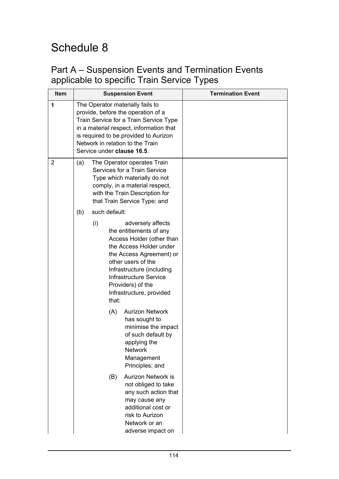### Part A – Suspension Events and Termination Events applicable to specific Train Service Types

| Item |     |     |               | <b>Suspension Event</b>                                                                                                                                                                                                                                                | <b>Termination Event</b> |
|------|-----|-----|---------------|------------------------------------------------------------------------------------------------------------------------------------------------------------------------------------------------------------------------------------------------------------------------|--------------------------|
| 1    |     |     |               | The Operator materially fails to<br>provide, before the operation of a<br>Train Service for a Train Service Type<br>in a material respect, information that<br>is required to be provided to Aurizon<br>Network in relation to the Train<br>Service under clause 16.5. |                          |
| 2    | (a) |     | such default: | The Operator operates Train<br>Services for a Train Service<br>Type which materially do not<br>comply, in a material respect,<br>with the Train Description for<br>that Train Service Type; and                                                                        |                          |
|      | (b) | (i) | that:         | adversely affects<br>the entitlements of any<br>Access Holder (other than<br>the Access Holder under<br>the Access Agreement) or<br>other users of the<br>Infrastructure (including<br><b>Infrastructure Service</b><br>Providers) of the<br>Infrastructure, provided  |                          |
|      |     |     | (A)           | <b>Aurizon Network</b><br>has sought to<br>minimise the impact<br>of such default by<br>applying the<br><b>Network</b><br>Management<br>Principles; and                                                                                                                |                          |
|      |     |     | (B)           | <b>Aurizon Network is</b><br>not obliged to take<br>any such action that<br>may cause any<br>additional cost or<br>risk to Aurizon<br>Network or an<br>adverse impact on                                                                                               |                          |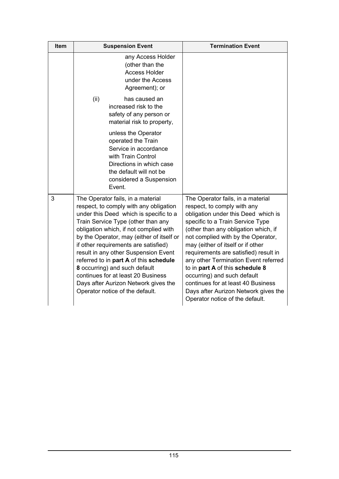| Item | <b>Suspension Event</b>                                                                                                                                                                                                                                                                                                                                                                                                                                                                                                        | <b>Termination Event</b>                                                                                                                                                                                                                                                                                                                                                                                                                                                                                                           |
|------|--------------------------------------------------------------------------------------------------------------------------------------------------------------------------------------------------------------------------------------------------------------------------------------------------------------------------------------------------------------------------------------------------------------------------------------------------------------------------------------------------------------------------------|------------------------------------------------------------------------------------------------------------------------------------------------------------------------------------------------------------------------------------------------------------------------------------------------------------------------------------------------------------------------------------------------------------------------------------------------------------------------------------------------------------------------------------|
|      | any Access Holder<br>(other than the<br><b>Access Holder</b><br>under the Access<br>Agreement); or                                                                                                                                                                                                                                                                                                                                                                                                                             |                                                                                                                                                                                                                                                                                                                                                                                                                                                                                                                                    |
|      | (ii)<br>has caused an<br>increased risk to the<br>safety of any person or<br>material risk to property,                                                                                                                                                                                                                                                                                                                                                                                                                        |                                                                                                                                                                                                                                                                                                                                                                                                                                                                                                                                    |
|      | unless the Operator<br>operated the Train<br>Service in accordance<br>with Train Control<br>Directions in which case<br>the default will not be<br>considered a Suspension<br>Event.                                                                                                                                                                                                                                                                                                                                           |                                                                                                                                                                                                                                                                                                                                                                                                                                                                                                                                    |
| 3    | The Operator fails, in a material<br>respect, to comply with any obligation<br>under this Deed which is specific to a<br>Train Service Type (other than any<br>obligation which, if not complied with<br>by the Operator, may (either of itself or<br>if other requirements are satisfied)<br>result in any other Suspension Event<br>referred to in part A of this schedule<br>8 occurring) and such default<br>continues for at least 20 Business<br>Days after Aurizon Network gives the<br>Operator notice of the default. | The Operator fails, in a material<br>respect, to comply with any<br>obligation under this Deed which is<br>specific to a Train Service Type<br>(other than any obligation which, if<br>not complied with by the Operator,<br>may (either of itself or if other<br>requirements are satisfied) result in<br>any other Termination Event referred<br>to in part A of this schedule 8<br>occurring) and such default<br>continues for at least 40 Business<br>Days after Aurizon Network gives the<br>Operator notice of the default. |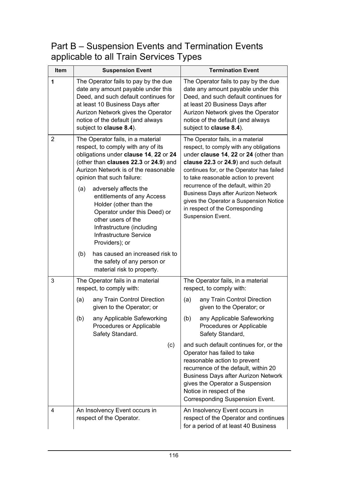### Part B – Suspension Events and Termination Events applicable to all Train Services Types

| Item           | <b>Suspension Event</b>                                                                                                                                                                                                                                                                                                                                                                                                                                                                                                                                              | <b>Termination Event</b>                                                                                                                                                                                                                                                                                                                                                                                                                    |
|----------------|----------------------------------------------------------------------------------------------------------------------------------------------------------------------------------------------------------------------------------------------------------------------------------------------------------------------------------------------------------------------------------------------------------------------------------------------------------------------------------------------------------------------------------------------------------------------|---------------------------------------------------------------------------------------------------------------------------------------------------------------------------------------------------------------------------------------------------------------------------------------------------------------------------------------------------------------------------------------------------------------------------------------------|
| 1              | The Operator fails to pay by the due<br>date any amount payable under this<br>Deed, and such default continues for<br>at least 10 Business Days after<br>Aurizon Network gives the Operator<br>notice of the default (and always<br>subject to clause 8.4).                                                                                                                                                                                                                                                                                                          | The Operator fails to pay by the due<br>date any amount payable under this<br>Deed, and such default continues for<br>at least 20 Business Days after<br>Aurizon Network gives the Operator<br>notice of the default (and always<br>subject to clause 8.4).                                                                                                                                                                                 |
| $\overline{2}$ | The Operator fails, in a material<br>respect, to comply with any of its<br>obligations under clause 14, 22 or 24<br>(other than clauses 22.3 or 24.9) and<br>Aurizon Network is of the reasonable<br>opinion that such failure:<br>adversely affects the<br>(a)<br>entitlements of any Access<br>Holder (other than the<br>Operator under this Deed) or<br>other users of the<br>Infrastructure (including<br><b>Infrastructure Service</b><br>Providers); or<br>has caused an increased risk to<br>(b)<br>the safety of any person or<br>material risk to property. | The Operator fails, in a material<br>respect, to comply with any obligations<br>under clause 14, 22 or 24 (other than<br>clause 22.3 or 24.9) and such default<br>continues for, or the Operator has failed<br>to take reasonable action to prevent<br>recurrence of the default, within 20<br><b>Business Days after Aurizon Network</b><br>gives the Operator a Suspension Notice<br>in respect of the Corresponding<br>Suspension Event. |
| 3              | The Operator fails in a material<br>respect, to comply with:                                                                                                                                                                                                                                                                                                                                                                                                                                                                                                         | The Operator fails, in a material<br>respect, to comply with:                                                                                                                                                                                                                                                                                                                                                                               |
|                | any Train Control Direction<br>(a)<br>given to the Operator; or<br>any Applicable Safeworking<br>(b)<br>Procedures or Applicable                                                                                                                                                                                                                                                                                                                                                                                                                                     | any Train Control Direction<br>(a)<br>given to the Operator; or<br>any Applicable Safeworking<br>(b)<br>Procedures or Applicable                                                                                                                                                                                                                                                                                                            |
|                | Safety Standard.<br>(c)                                                                                                                                                                                                                                                                                                                                                                                                                                                                                                                                              | Safety Standard,<br>and such default continues for, or the<br>Operator has failed to take<br>reasonable action to prevent<br>recurrence of the default, within 20<br><b>Business Days after Aurizon Network</b><br>gives the Operator a Suspension<br>Notice in respect of the<br>Corresponding Suspension Event.                                                                                                                           |
| $\overline{4}$ | An Insolvency Event occurs in<br>respect of the Operator.                                                                                                                                                                                                                                                                                                                                                                                                                                                                                                            | An Insolvency Event occurs in<br>respect of the Operator and continues<br>for a period of at least 40 Business                                                                                                                                                                                                                                                                                                                              |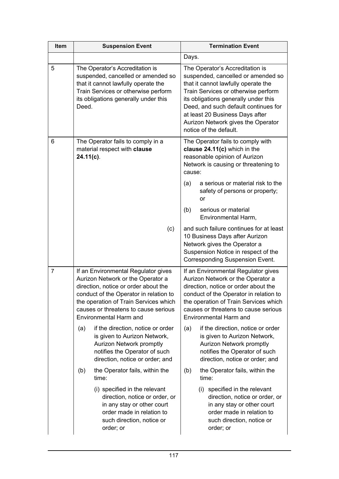| Item | <b>Suspension Event</b>                                                                                                                                                                                                                                               | <b>Termination Event</b>                                                                                                                                                                                                                                                                                                               |
|------|-----------------------------------------------------------------------------------------------------------------------------------------------------------------------------------------------------------------------------------------------------------------------|----------------------------------------------------------------------------------------------------------------------------------------------------------------------------------------------------------------------------------------------------------------------------------------------------------------------------------------|
|      |                                                                                                                                                                                                                                                                       | Days.                                                                                                                                                                                                                                                                                                                                  |
| 5    | The Operator's Accreditation is<br>suspended, cancelled or amended so<br>that it cannot lawfully operate the<br>Train Services or otherwise perform<br>its obligations generally under this<br>Deed.                                                                  | The Operator's Accreditation is<br>suspended, cancelled or amended so<br>that it cannot lawfully operate the<br>Train Services or otherwise perform<br>its obligations generally under this<br>Deed, and such default continues for<br>at least 20 Business Days after<br>Aurizon Network gives the Operator<br>notice of the default. |
| 6    | The Operator fails to comply in a<br>material respect with clause<br>$24.11(c)$ .                                                                                                                                                                                     | The Operator fails to comply with<br>clause 24.11(c) which in the<br>reasonable opinion of Aurizon<br>Network is causing or threatening to<br>cause:                                                                                                                                                                                   |
|      |                                                                                                                                                                                                                                                                       | a serious or material risk to the<br>(a)<br>safety of persons or property;<br>or                                                                                                                                                                                                                                                       |
|      |                                                                                                                                                                                                                                                                       | serious or material<br>(b)<br>Environmental Harm,                                                                                                                                                                                                                                                                                      |
|      | (c)                                                                                                                                                                                                                                                                   | and such failure continues for at least<br>10 Business Days after Aurizon<br>Network gives the Operator a<br>Suspension Notice in respect of the<br>Corresponding Suspension Event.                                                                                                                                                    |
| 7    | If an Environmental Regulator gives<br>Aurizon Network or the Operator a<br>direction, notice or order about the<br>conduct of the Operator in relation to<br>the operation of Train Services which<br>causes or threatens to cause serious<br>Environmental Harm and | If an Environmental Regulator gives<br>Aurizon Network or the Operator a<br>direction, notice or order about the<br>conduct of the Operator in relation to<br>the operation of Train Services which<br>causes or threatens to cause serious<br>Environmental Harm and                                                                  |
|      | if the direction, notice or order<br>(a)<br>is given to Aurizon Network,<br>Aurizon Network promptly<br>notifies the Operator of such<br>direction, notice or order; and                                                                                              | if the direction, notice or order<br>(a)<br>is given to Aurizon Network,<br>Aurizon Network promptly<br>notifies the Operator of such<br>direction, notice or order; and                                                                                                                                                               |
|      | the Operator fails, within the<br>(b)<br>time:                                                                                                                                                                                                                        | the Operator fails, within the<br>(b)<br>time:                                                                                                                                                                                                                                                                                         |
|      | (i) specified in the relevant<br>direction, notice or order, or<br>in any stay or other court<br>order made in relation to<br>such direction, notice or<br>order; or                                                                                                  | specified in the relevant<br>(i)<br>direction, notice or order, or<br>in any stay or other court<br>order made in relation to<br>such direction, notice or<br>order; or                                                                                                                                                                |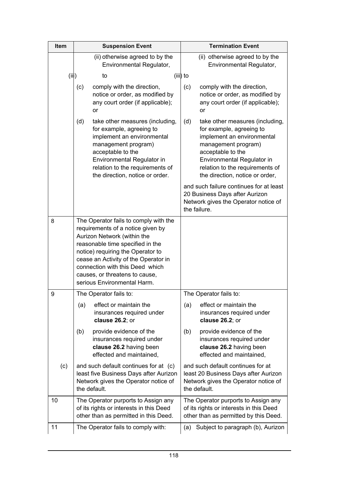| Item  | <b>Suspension Event</b>                                                                                                                                                                                                                                                                                                        | <b>Termination Event</b>                                                                                                                                                                                                                         |
|-------|--------------------------------------------------------------------------------------------------------------------------------------------------------------------------------------------------------------------------------------------------------------------------------------------------------------------------------|--------------------------------------------------------------------------------------------------------------------------------------------------------------------------------------------------------------------------------------------------|
|       | (ii) otherwise agreed to by the<br>Environmental Regulator,                                                                                                                                                                                                                                                                    | (ii) otherwise agreed to by the<br>Environmental Regulator,                                                                                                                                                                                      |
| (iii) | to                                                                                                                                                                                                                                                                                                                             | (iii) to                                                                                                                                                                                                                                         |
|       | comply with the direction,<br>(c)<br>notice or order, as modified by<br>any court order (if applicable);<br>or                                                                                                                                                                                                                 | comply with the direction,<br>(c)<br>notice or order, as modified by<br>any court order (if applicable);<br><b>or</b>                                                                                                                            |
|       | (d)<br>take other measures (including,<br>for example, agreeing to<br>implement an environmental<br>management program)<br>acceptable to the<br>Environmental Regulator in<br>relation to the requirements of<br>the direction, notice or order.                                                                               | (d)<br>take other measures (including,<br>for example, agreeing to<br>implement an environmental<br>management program)<br>acceptable to the<br>Environmental Regulator in<br>relation to the requirements of<br>the direction, notice or order, |
|       |                                                                                                                                                                                                                                                                                                                                | and such failure continues for at least<br>20 Business Days after Aurizon<br>Network gives the Operator notice of<br>the failure.                                                                                                                |
| 8     | The Operator fails to comply with the<br>requirements of a notice given by<br>Aurizon Network (within the<br>reasonable time specified in the<br>notice) requiring the Operator to<br>cease an Activity of the Operator in<br>connection with this Deed which<br>causes, or threatens to cause,<br>serious Environmental Harm. |                                                                                                                                                                                                                                                  |
| 9     | The Operator fails to:                                                                                                                                                                                                                                                                                                         | The Operator fails to:                                                                                                                                                                                                                           |
|       | effect or maintain the<br>(a)<br>insurances required under<br>clause 26.2; or                                                                                                                                                                                                                                                  | effect or maintain the<br>(a)<br>insurances required under<br>clause 26.2; or                                                                                                                                                                    |
|       | provide evidence of the<br>(b)<br>insurances required under<br>clause 26.2 having been<br>effected and maintained,                                                                                                                                                                                                             | provide evidence of the<br>(b)<br>insurances required under<br>clause 26.2 having been<br>effected and maintained,                                                                                                                               |
| (c)   | and such default continues for at (c)<br>least five Business Days after Aurizon<br>Network gives the Operator notice of<br>the default.                                                                                                                                                                                        | and such default continues for at<br>least 20 Business Days after Aurizon<br>Network gives the Operator notice of<br>the default.                                                                                                                |
| 10    | The Operator purports to Assign any<br>of its rights or interests in this Deed<br>other than as permitted in this Deed.                                                                                                                                                                                                        | The Operator purports to Assign any<br>of its rights or interests in this Deed<br>other than as permitted by this Deed.                                                                                                                          |
| 11    | The Operator fails to comply with:                                                                                                                                                                                                                                                                                             | Subject to paragraph (b), Aurizon<br>(a)                                                                                                                                                                                                         |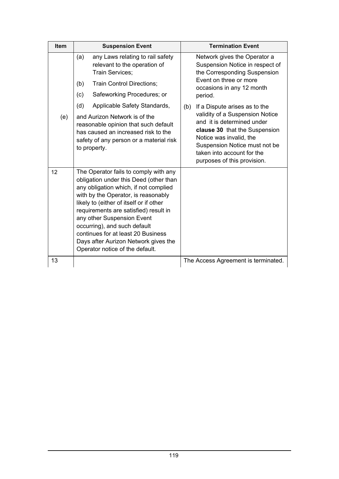| Item | <b>Suspension Event</b>                                                                                                                                                                                                                                                                                                                                                                                                            | <b>Termination Event</b>                                                                                                                                                                                                                                        |
|------|------------------------------------------------------------------------------------------------------------------------------------------------------------------------------------------------------------------------------------------------------------------------------------------------------------------------------------------------------------------------------------------------------------------------------------|-----------------------------------------------------------------------------------------------------------------------------------------------------------------------------------------------------------------------------------------------------------------|
|      | any Laws relating to rail safety<br>(a)<br>relevant to the operation of<br>Train Services;<br><b>Train Control Directions;</b><br>(b)<br>Safeworking Procedures; or<br>(c)                                                                                                                                                                                                                                                         | Network gives the Operator a<br>Suspension Notice in respect of<br>the Corresponding Suspension<br>Event on three or more<br>occasions in any 12 month<br>period.                                                                                               |
| (e)  | Applicable Safety Standards,<br>(d)<br>and Aurizon Network is of the<br>reasonable opinion that such default<br>has caused an increased risk to the<br>safety of any person or a material risk<br>to property.                                                                                                                                                                                                                     | If a Dispute arises as to the<br>(b)<br>validity of a Suspension Notice<br>and it is determined under<br>clause 30 that the Suspension<br>Notice was invalid, the<br>Suspension Notice must not be<br>taken into account for the<br>purposes of this provision. |
| 12   | The Operator fails to comply with any<br>obligation under this Deed (other than<br>any obligation which, if not complied<br>with by the Operator, is reasonably<br>likely to (either of itself or if other<br>requirements are satisfied) result in<br>any other Suspension Event<br>occurring), and such default<br>continues for at least 20 Business<br>Days after Aurizon Network gives the<br>Operator notice of the default. |                                                                                                                                                                                                                                                                 |
| 13   |                                                                                                                                                                                                                                                                                                                                                                                                                                    | The Access Agreement is terminated.                                                                                                                                                                                                                             |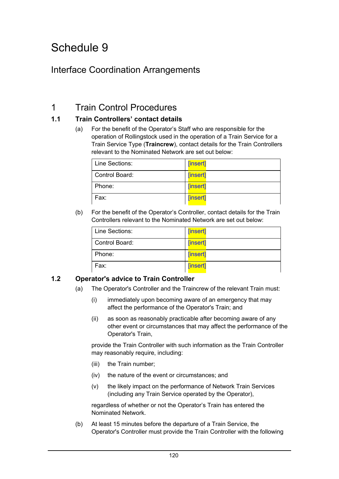### Interface Coordination Arrangements

### 1 Train Control Procedures

#### **1.1 Train Controllers' contact details**

(a) For the benefit of the Operator's Staff who are responsible for the operation of Rollingstock used in the operation of a Train Service for a Train Service Type (**Traincrew**), contact details for the Train Controllers relevant to the Nominated Network are set out below:

| Line Sections: | [insert]        |
|----------------|-----------------|
| Control Board: | <b>[insert]</b> |
| Phone:         | [insert]        |
| Fax:           | [insert]        |

(b) For the benefit of the Operator's Controller, contact details for the Train Controllers relevant to the Nominated Network are set out below:

| Line Sections: | [insert] |
|----------------|----------|
| Control Board: | [insert] |
| Phone:         | [insert] |
| Fax:           | [insert] |

#### **1.2 Operator's advice to Train Controller**

- (a) The Operator's Controller and the Traincrew of the relevant Train must:
	- (i) immediately upon becoming aware of an emergency that may affect the performance of the Operator's Train; and
	- (ii) as soon as reasonably practicable after becoming aware of any other event or circumstances that may affect the performance of the Operator's Train,

provide the Train Controller with such information as the Train Controller may reasonably require, including:

- (iii) the Train number;
- (iv) the nature of the event or circumstances; and
- (v) the likely impact on the performance of Network Train Services (including any Train Service operated by the Operator),

regardless of whether or not the Operator's Train has entered the Nominated Network.

(b) At least 15 minutes before the departure of a Train Service, the Operator's Controller must provide the Train Controller with the following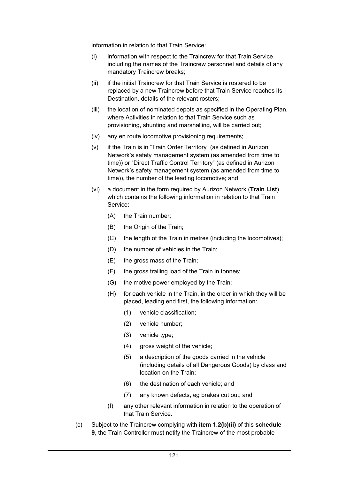information in relation to that Train Service:

- (i) information with respect to the Traincrew for that Train Service including the names of the Traincrew personnel and details of any mandatory Traincrew breaks;
- (ii) if the initial Traincrew for that Train Service is rostered to be replaced by a new Traincrew before that Train Service reaches its Destination, details of the relevant rosters;
- (iii) the location of nominated depots as specified in the Operating Plan, where Activities in relation to that Train Service such as provisioning, shunting and marshalling, will be carried out;
- (iv) any en route locomotive provisioning requirements;
- (v) if the Train is in "Train Order Territory" (as defined in Aurizon Network's safety management system (as amended from time to time)) or "Direct Traffic Control Territory" (as defined in Aurizon Network's safety management system (as amended from time to time)), the number of the leading locomotive; and
- (vi) a document in the form required by Aurizon Network (**Train List**) which contains the following information in relation to that Train Service:
	- (A) the Train number;
	- (B) the Origin of the Train;
	- (C) the length of the Train in metres (including the locomotives);
	- (D) the number of vehicles in the Train;
	- (E) the gross mass of the Train;
	- (F) the gross trailing load of the Train in tonnes;
	- (G) the motive power employed by the Train;
	- (H) for each vehicle in the Train, in the order in which they will be placed, leading end first, the following information:
		- (1) vehicle classification;
		- (2) vehicle number;
		- (3) vehicle type;
		- (4) gross weight of the vehicle;
		- (5) a description of the goods carried in the vehicle (including details of all Dangerous Goods) by class and location on the Train;
		- (6) the destination of each vehicle; and
		- (7) any known defects, eg brakes cut out; and
	- (I) any other relevant information in relation to the operation of that Train Service.
- (c) Subject to the Traincrew complying with **item 1.2(b)(ii)** of this **schedule 9**, the Train Controller must notify the Traincrew of the most probable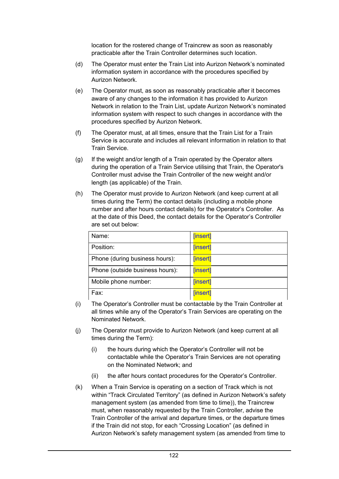location for the rostered change of Traincrew as soon as reasonably practicable after the Train Controller determines such location.

- (d) The Operator must enter the Train List into Aurizon Network's nominated information system in accordance with the procedures specified by Aurizon Network.
- (e) The Operator must, as soon as reasonably practicable after it becomes aware of any changes to the information it has provided to Aurizon Network in relation to the Train List, update Aurizon Network's nominated information system with respect to such changes in accordance with the procedures specified by Aurizon Network.
- (f) The Operator must, at all times, ensure that the Train List for a Train Service is accurate and includes all relevant information in relation to that Train Service.
- (g) If the weight and/or length of a Train operated by the Operator alters during the operation of a Train Service utilising that Train, the Operator's Controller must advise the Train Controller of the new weight and/or length (as applicable) of the Train.
- (h) The Operator must provide to Aurizon Network (and keep current at all times during the Term) the contact details (including a mobile phone number and after hours contact details) for the Operator's Controller. As at the date of this Deed, the contact details for the Operator's Controller are set out below:

| Name:                           | [insert] |
|---------------------------------|----------|
| Position:                       | [insert] |
| Phone (during business hours):  | [insert] |
| Phone (outside business hours): | [insert] |
| Mobile phone number:            | [insert] |
| Fax:                            | [insert] |

- (i) The Operator's Controller must be contactable by the Train Controller at all times while any of the Operator's Train Services are operating on the Nominated Network.
- (j) The Operator must provide to Aurizon Network (and keep current at all times during the Term):
	- (i) the hours during which the Operator's Controller will not be contactable while the Operator's Train Services are not operating on the Nominated Network; and
	- (ii) the after hours contact procedures for the Operator's Controller.
- (k) When a Train Service is operating on a section of Track which is not within "Track Circulated Territory" (as defined in Aurizon Network's safety management system (as amended from time to time)), the Traincrew must, when reasonably requested by the Train Controller, advise the Train Controller of the arrival and departure times, or the departure times if the Train did not stop, for each "Crossing Location" (as defined in Aurizon Network's safety management system (as amended from time to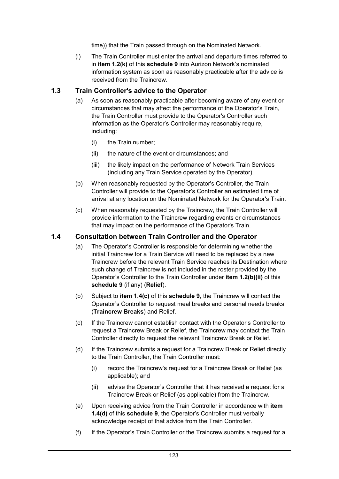time)) that the Train passed through on the Nominated Network.

(l) The Train Controller must enter the arrival and departure times referred to in **item 1.2(k)** of this **schedule 9** into Aurizon Network's nominated information system as soon as reasonably practicable after the advice is received from the Traincrew.

#### **1.3 Train Controller's advice to the Operator**

- (a) As soon as reasonably practicable after becoming aware of any event or circumstances that may affect the performance of the Operator's Train, the Train Controller must provide to the Operator's Controller such information as the Operator's Controller may reasonably require, including:
	- (i) the Train number;
	- (ii) the nature of the event or circumstances; and
	- (iii) the likely impact on the performance of Network Train Services (including any Train Service operated by the Operator).
- (b) When reasonably requested by the Operator's Controller, the Train Controller will provide to the Operator's Controller an estimated time of arrival at any location on the Nominated Network for the Operator's Train.
- (c) When reasonably requested by the Traincrew, the Train Controller will provide information to the Traincrew regarding events or circumstances that may impact on the performance of the Operator's Train.

#### **1.4 Consultation between Train Controller and the Operator**

- (a) The Operator's Controller is responsible for determining whether the initial Traincrew for a Train Service will need to be replaced by a new Traincrew before the relevant Train Service reaches its Destination where such change of Traincrew is not included in the roster provided by the Operator's Controller to the Train Controller under **item 1.2(b)(ii)** of this **schedule 9** (if any) (**Relief**).
- (b) Subject to **item 1.4(c)** of this **schedule 9**, the Traincrew will contact the Operator's Controller to request meal breaks and personal needs breaks (**Traincrew Breaks**) and Relief.
- (c) If the Traincrew cannot establish contact with the Operator's Controller to request a Traincrew Break or Relief, the Traincrew may contact the Train Controller directly to request the relevant Traincrew Break or Relief.
- (d) If the Traincrew submits a request for a Traincrew Break or Relief directly to the Train Controller, the Train Controller must:
	- (i) record the Traincrew's request for a Traincrew Break or Relief (as applicable); and
	- (ii) advise the Operator's Controller that it has received a request for a Traincrew Break or Relief (as applicable) from the Traincrew.
- (e) Upon receiving advice from the Train Controller in accordance with **item 1.4(d)** of this **schedule 9**, the Operator's Controller must verbally acknowledge receipt of that advice from the Train Controller.
- (f) If the Operator's Train Controller or the Traincrew submits a request for a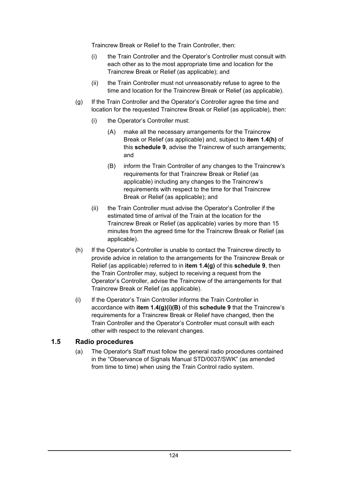Traincrew Break or Relief to the Train Controller, then:

- (i) the Train Controller and the Operator's Controller must consult with each other as to the most appropriate time and location for the Traincrew Break or Relief (as applicable); and
- (ii) the Train Controller must not unreasonably refuse to agree to the time and location for the Traincrew Break or Relief (as applicable).
- (g) If the Train Controller and the Operator's Controller agree the time and location for the requested Traincrew Break or Relief (as applicable), then:
	- (i) the Operator's Controller must:
		- (A) make all the necessary arrangements for the Traincrew Break or Relief (as applicable) and, subject to **item 1.4(h)** of this **schedule 9**, advise the Traincrew of such arrangements; and
		- (B) inform the Train Controller of any changes to the Traincrew's requirements for that Traincrew Break or Relief (as applicable) including any changes to the Traincrew's requirements with respect to the time for that Traincrew Break or Relief (as applicable); and
	- (ii) the Train Controller must advise the Operator's Controller if the estimated time of arrival of the Train at the location for the Traincrew Break or Relief (as applicable) varies by more than 15 minutes from the agreed time for the Traincrew Break or Relief (as applicable).
- (h) If the Operator's Controller is unable to contact the Traincrew directly to provide advice in relation to the arrangements for the Traincrew Break or Relief (as applicable) referred to in **item 1.4(g)** of this **schedule 9**, then the Train Controller may, subject to receiving a request from the Operator's Controller, advise the Traincrew of the arrangements for that Traincrew Break or Relief (as applicable).
- (i) If the Operator's Train Controller informs the Train Controller in accordance with **item 1.4(g)(i)(B)** of this **schedule 9** that the Traincrew's requirements for a Traincrew Break or Relief have changed, then the Train Controller and the Operator's Controller must consult with each other with respect to the relevant changes.

#### **1.5 Radio procedures**

(a) The Operator's Staff must follow the general radio procedures contained in the "Observance of Signals Manual STD/0037/SWK" (as amended from time to time) when using the Train Control radio system.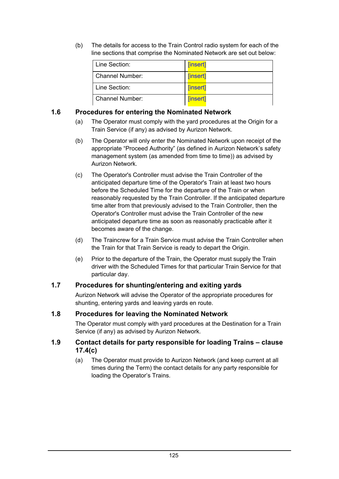(b) The details for access to the Train Control radio system for each of the line sections that comprise the Nominated Network are set out below:

| Line Section:          | [insert] |
|------------------------|----------|
| Channel Number:        | [insert] |
| Line Section:          | [insert] |
| <b>Channel Number:</b> | [insert] |

#### **1.6 Procedures for entering the Nominated Network**

- (a) The Operator must comply with the yard procedures at the Origin for a Train Service (if any) as advised by Aurizon Network.
- (b) The Operator will only enter the Nominated Network upon receipt of the appropriate "Proceed Authority" (as defined in Aurizon Network's safety management system (as amended from time to time)) as advised by Aurizon Network.
- (c) The Operator's Controller must advise the Train Controller of the anticipated departure time of the Operator's Train at least two hours before the Scheduled Time for the departure of the Train or when reasonably requested by the Train Controller. If the anticipated departure time alter from that previously advised to the Train Controller, then the Operator's Controller must advise the Train Controller of the new anticipated departure time as soon as reasonably practicable after it becomes aware of the change.
- (d) The Traincrew for a Train Service must advise the Train Controller when the Train for that Train Service is ready to depart the Origin.
- (e) Prior to the departure of the Train, the Operator must supply the Train driver with the Scheduled Times for that particular Train Service for that particular day.

#### **1.7 Procedures for shunting/entering and exiting yards**

Aurizon Network will advise the Operator of the appropriate procedures for shunting, entering yards and leaving yards en route.

#### **1.8 Procedures for leaving the Nominated Network**

The Operator must comply with yard procedures at the Destination for a Train Service (if any) as advised by Aurizon Network.

#### **1.9 Contact details for party responsible for loading Trains – clause 17.4(c)**

(a) The Operator must provide to Aurizon Network (and keep current at all times during the Term) the contact details for any party responsible for loading the Operator's Trains.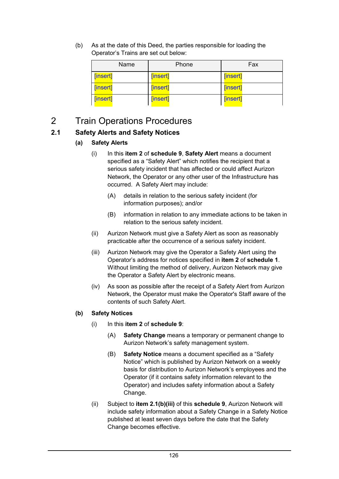(b) As at the date of this Deed, the parties responsible for loading the Operator's Trains are set out below:

| Name     | Phone    | Fax      |
|----------|----------|----------|
| [insert] | [insert] | [insert] |
| [insert] | [insert] | [insert] |
| [insert] | [insert] | [insert] |

### 2 Train Operations Procedures

#### **2.1 Safety Alerts and Safety Notices**

#### **(a) Safety Alerts**

- (i) In this **item 2** of **schedule 9**, **Safety Alert** means a document specified as a "Safety Alert" which notifies the recipient that a serious safety incident that has affected or could affect Aurizon Network, the Operator or any other user of the Infrastructure has occurred. A Safety Alert may include:
	- (A) details in relation to the serious safety incident (for information purposes); and/or
	- (B) information in relation to any immediate actions to be taken in relation to the serious safety incident.
- (ii) Aurizon Network must give a Safety Alert as soon as reasonably practicable after the occurrence of a serious safety incident.
- (iii) Aurizon Network may give the Operator a Safety Alert using the Operator's address for notices specified in **item 2** of **schedule 1**. Without limiting the method of delivery, Aurizon Network may give the Operator a Safety Alert by electronic means.
- (iv) As soon as possible after the receipt of a Safety Alert from Aurizon Network, the Operator must make the Operator's Staff aware of the contents of such Safety Alert.

#### **(b) Safety Notices**

- (i) In this **item 2** of **schedule 9**:
	- (A) **Safety Change** means a temporary or permanent change to Aurizon Network's safety management system.
	- (B) **Safety Notice** means a document specified as a "Safety Notice" which is published by Aurizon Network on a weekly basis for distribution to Aurizon Network's employees and the Operator (if it contains safety information relevant to the Operator) and includes safety information about a Safety Change.
- (ii) Subject to **item 2.1(b)(iii)** of this **schedule 9**, Aurizon Network will include safety information about a Safety Change in a Safety Notice published at least seven days before the date that the Safety Change becomes effective.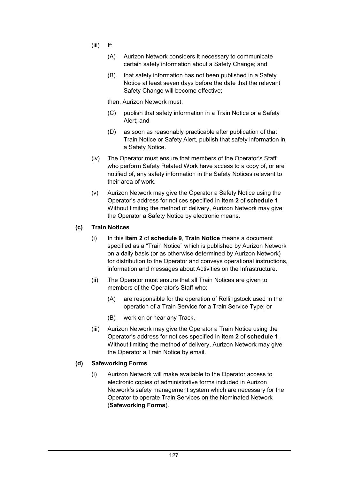- (iii) If:
	- (A) Aurizon Network considers it necessary to communicate certain safety information about a Safety Change; and
	- (B) that safety information has not been published in a Safety Notice at least seven days before the date that the relevant Safety Change will become effective;
	- then, Aurizon Network must:
	- (C) publish that safety information in a Train Notice or a Safety Alert; and
	- (D) as soon as reasonably practicable after publication of that Train Notice or Safety Alert, publish that safety information in a Safety Notice.
- (iv) The Operator must ensure that members of the Operator's Staff who perform Safety Related Work have access to a copy of, or are notified of, any safety information in the Safety Notices relevant to their area of work.
- (v) Aurizon Network may give the Operator a Safety Notice using the Operator's address for notices specified in **item 2** of **schedule 1**. Without limiting the method of delivery, Aurizon Network may give the Operator a Safety Notice by electronic means.

#### **(c) Train Notices**

- (i) In this **item 2** of **schedule 9**, **Train Notice** means a document specified as a "Train Notice" which is published by Aurizon Network on a daily basis (or as otherwise determined by Aurizon Network) for distribution to the Operator and conveys operational instructions, information and messages about Activities on the Infrastructure.
- (ii) The Operator must ensure that all Train Notices are given to members of the Operator's Staff who:
	- (A) are responsible for the operation of Rollingstock used in the operation of a Train Service for a Train Service Type; or
	- (B) work on or near any Track.
- (iii) Aurizon Network may give the Operator a Train Notice using the Operator's address for notices specified in **item 2** of **schedule 1**. Without limiting the method of delivery, Aurizon Network may give the Operator a Train Notice by email.

#### **(d) Safeworking Forms**

(i) Aurizon Network will make available to the Operator access to electronic copies of administrative forms included in Aurizon Network's safety management system which are necessary for the Operator to operate Train Services on the Nominated Network (**Safeworking Forms**).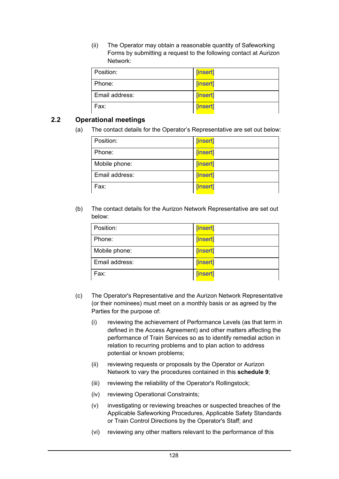(ii) The Operator may obtain a reasonable quantity of Safeworking Forms by submitting a request to the following contact at Aurizon Network:

| Position:      | [insert] |
|----------------|----------|
| Phone:         | [insert] |
| Email address: | [insert] |
| Fax:           | [insert] |

#### **2.2 Operational meetings**

(a) The contact details for the Operator's Representative are set out below:

| Position:      | [insert] |
|----------------|----------|
| Phone:         | [insert] |
| Mobile phone:  | [insert] |
| Email address: | [insert] |
| Fax:           | [insert] |

(b) The contact details for the Aurizon Network Representative are set out below:

| Position:      | [insert] |
|----------------|----------|
| Phone:         | [insert] |
| Mobile phone:  | [insert] |
| Email address: | [insert] |
| Fax:           | [insert] |

- (c) The Operator's Representative and the Aurizon Network Representative (or their nominees) must meet on a monthly basis or as agreed by the Parties for the purpose of:
	- (i) reviewing the achievement of Performance Levels (as that term in defined in the Access Agreement) and other matters affecting the performance of Train Services so as to identify remedial action in relation to recurring problems and to plan action to address potential or known problems;
	- (ii) reviewing requests or proposals by the Operator or Aurizon Network to vary the procedures contained in this **schedule 9**;
	- (iii) reviewing the reliability of the Operator's Rollingstock;
	- (iv) reviewing Operational Constraints;
	- (v) investigating or reviewing breaches or suspected breaches of the Applicable Safeworking Procedures, Applicable Safety Standards or Train Control Directions by the Operator's Staff; and
	- (vi) reviewing any other matters relevant to the performance of this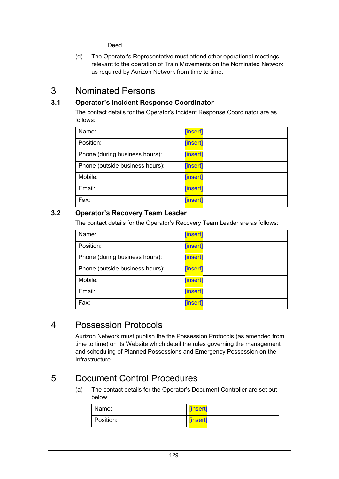Deed.

(d) The Operator's Representative must attend other operational meetings relevant to the operation of Train Movements on the Nominated Network as required by Aurizon Network from time to time.

### 3 Nominated Persons

#### **3.1 Operator's Incident Response Coordinator**

The contact details for the Operator's Incident Response Coordinator are as follows:

| Name:                           | [insert] |
|---------------------------------|----------|
| Position:                       | [insert] |
| Phone (during business hours):  | [insert] |
| Phone (outside business hours): | [insert] |
| Mobile:                         | [insert] |
| Email:                          | [insert] |
| Fax:                            | [insert] |

#### **3.2 Operator's Recovery Team Leader**

The contact details for the Operator's Recovery Team Leader are as follows:

| Name:                           | [insert] |
|---------------------------------|----------|
|                                 |          |
| Position:                       | [insert] |
| Phone (during business hours):  | [insert] |
| Phone (outside business hours): | [insert] |
| Mobile:                         | [insert] |
| Email:                          | [insert] |
| Fax:                            | [insert] |

### 4 Possession Protocols

Aurizon Network must publish the the Possession Protocols (as amended from time to time) on its Website which detail the rules governing the management and scheduling of Planned Possessions and Emergency Possession on the Infrastructure.

## 5 Document Control Procedures

(a) The contact details for the Operator's Document Controller are set out below:

| Name:     | [insert] |
|-----------|----------|
| Position: | [insert] |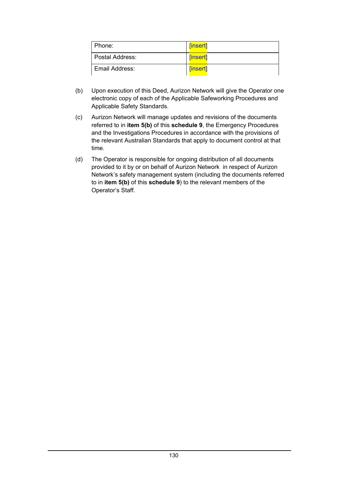| l Phone:          | <b>[insert]</b> |
|-------------------|-----------------|
| l Postal Address: | [insert]        |
| Email Address:    | [insert]        |

- (b) Upon execution of this Deed, Aurizon Network will give the Operator one electronic copy of each of the Applicable Safeworking Procedures and Applicable Safety Standards.
- (c) Aurizon Network will manage updates and revisions of the documents referred to in **item 5(b)** of this **schedule 9**, the Emergency Procedures and the Investigations Procedures in accordance with the provisions of the relevant Australian Standards that apply to document control at that time.
- (d) The Operator is responsible for ongoing distribution of all documents provided to it by or on behalf of Aurizon Network in respect of Aurizon Network's safety management system (including the documents referred to in **item 5(b)** of this **schedule 9**) to the relevant members of the Operator's Staff.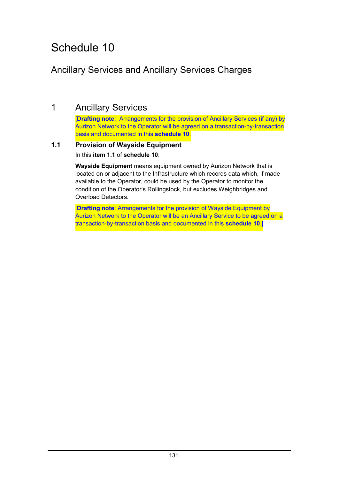### Ancillary Services and Ancillary Services Charges

### 1 Ancillary Services

[**Drafting note**: Arrangements for the provision of Ancillary Services (if any) by Aurizon Network to the Operator will be agreed on a transaction-by-transaction basis and documented in this **schedule 10**.

#### **1.1 Provision of Wayside Equipment** In this **item 1.1** of **schedule 10**:

**Wayside Equipment** means equipment owned by Aurizon Network that is located on or adjacent to the Infrastructure which records data which, if made available to the Operator, could be used by the Operator to monitor the condition of the Operator's Rollingstock, but excludes Weighbridges and Overload Detectors.

[**Drafting note**: Arrangements for the provision of Wayside Equipment by Aurizon Network to the Operator will be an Ancillary Service to be agreed on a transaction-by-transaction basis and documented in this **schedule 10**.]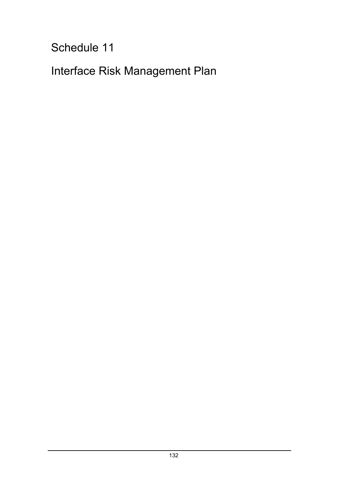Interface Risk Management Plan